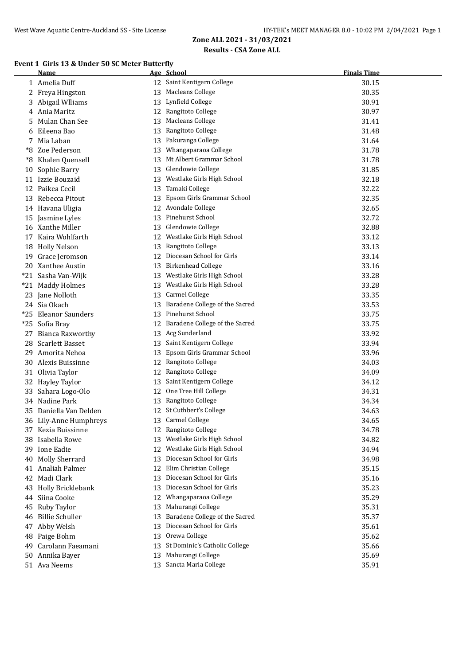#### **Event 1 Girls 13 & Under 50 SC Meter Butterfly**

|    | Name                   |    | Age School                     | <b>Finals Time</b> |
|----|------------------------|----|--------------------------------|--------------------|
|    | 1 Amelia Duff          |    | 12 Saint Kentigern College     | 30.15              |
|    | 2 Freya Hingston       | 13 | <b>Macleans College</b>        | 30.35              |
| 3  | Abigail Wlliams        | 13 | Lynfield College               | 30.91              |
|    | 4 Ania Maritz          |    | 12 Rangitoto College           | 30.97              |
| 5  | Mulan Chan See         | 13 | Macleans College               | 31.41              |
|    | 6 Eileena Bao          | 13 | Rangitoto College              | 31.48              |
| 7  | Mia Laban              |    | 13 Pakuranga College           | 31.64              |
| *8 | Zoe Pederson           | 13 | Whangaparaoa College           | 31.78              |
| *8 | Khalen Quensell        | 13 | Mt Albert Grammar School       | 31.78              |
| 10 | Sophie Barry           |    | 13 Glendowie College           | 31.85              |
|    | 11 Izzie Bouzaid       |    | 13 Westlake Girls High School  | 32.18              |
|    | 12 Paikea Cecil        | 13 | Tamaki College                 | 32.22              |
|    | 13 Rebecca Pitout      | 13 | Epsom Girls Grammar School     | 32.35              |
|    | 14 Havana Uligia       |    | 12 Avondale College            | 32.65              |
|    | 15 Jasmine Lyles       | 13 | Pinehurst School               | 32.72              |
|    | 16 Xanthe Miller       |    | 13 Glendowie College           | 32.88              |
|    | 17 Kaira Wohlfarth     |    | 12 Westlake Girls High School  | 33.12              |
|    | 18 Holly Nelson        | 13 | Rangitoto College              | 33.13              |
|    | 19 Grace Jeromson      |    | 12 Diocesan School for Girls   | 33.14              |
|    | 20 Xanthee Austin      |    | 13 Birkenhead College          | 33.16              |
|    | *21 Sasha Van-Wijk     |    | 13 Westlake Girls High School  | 33.28              |
|    | *21 Maddy Holmes       |    | 13 Westlake Girls High School  | 33.28              |
|    | 23 Jane Nolloth        |    | 13 Carmel College              | 33.35              |
|    | 24 Sia Okach           | 13 | Baradene College of the Sacred | 33.53              |
|    | *25 Eleanor Saunders   | 13 | Pinehurst School               | 33.75              |
|    | *25 Sofia Bray         | 12 | Baradene College of the Sacred | 33.75              |
| 27 | Bianca Raxworthy       | 13 | Acg Sunderland                 | 33.92              |
| 28 | <b>Scarlett Basset</b> | 13 | Saint Kentigern College        | 33.94              |
| 29 | Amorita Nehoa          | 13 | Epsom Girls Grammar School     | 33.96              |
| 30 | Alexis Buissinne       |    | 12 Rangitoto College           | 34.03              |
|    | 31 Olivia Taylor       |    | 12 Rangitoto College           | 34.09              |
|    | 32 Hayley Taylor       | 13 | Saint Kentigern College        | 34.12              |
|    | 33 Sahara Logo-Olo     |    | 12 One Tree Hill College       | 34.31              |
|    | 34 Nadine Park         |    | 13 Rangitoto College           | 34.34              |
|    | 35 Daniella Van Delden |    | 12 St Cuthbert's College       | 34.63              |
|    | 36 Lily-Anne Humphreys |    | 13 Carmel College              | 34.65              |
|    | 37 Kezia Buissinne     |    | 12 Rangitoto College           | 34.78              |
|    | 38 Isabella Rowe       | 13 | Westlake Girls High School     | 34.82              |
|    | 39 Ione Eadie          | 12 | Westlake Girls High School     | 34.94              |
| 40 | <b>Molly Sherrard</b>  | 13 | Diocesan School for Girls      | 34.98              |
|    | 41 Analiah Palmer      | 12 | Elim Christian College         | 35.15              |
| 42 | Madi Clark             | 13 | Diocesan School for Girls      | 35.16              |
| 43 | Holly Bricklebank      | 13 | Diocesan School for Girls      | 35.23              |
| 44 | Siina Cooke            | 12 | Whangaparaoa College           | 35.29              |
| 45 | Ruby Taylor            | 13 | Mahurangi College              | 35.31              |
|    | 46 Billie Schuller     | 13 | Baradene College of the Sacred | 35.37              |
|    | 47 Abby Welsh          | 13 | Diocesan School for Girls      | 35.61              |
| 48 | Paige Bohm             | 13 | Orewa College                  | 35.62              |
| 49 | Carolann Faeamani      | 13 | St Dominic's Catholic College  | 35.66              |
|    | 50 Annika Bayer        | 13 | Mahurangi College              | 35.69              |
|    | 51 Ava Neems           |    | 13 Sancta Maria College        | 35.91              |
|    |                        |    |                                |                    |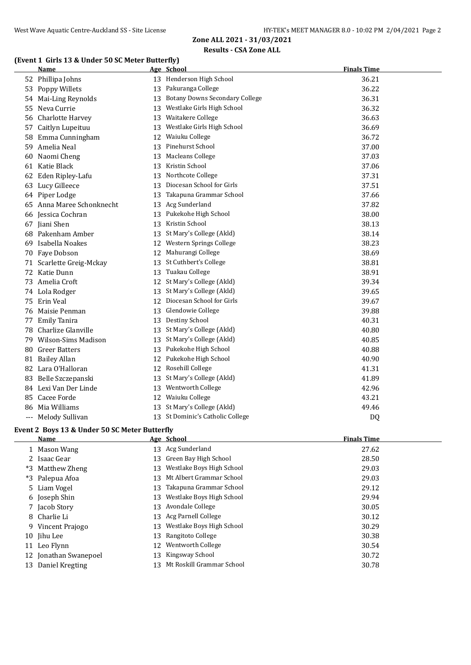## **(Event 1 Girls 13 & Under 50 SC Meter Butterfly)**

| <b>Name</b>                                   |  | Age School                        | <b>Finals Time</b> |  |  |
|-----------------------------------------------|--|-----------------------------------|--------------------|--|--|
| 52 Phillipa Johns                             |  | 13 Henderson High School          | 36.21              |  |  |
| 53 Poppy Willets                              |  | 13 Pakuranga College              | 36.22              |  |  |
| 54 Mai-Ling Reynolds                          |  | 13 Botany Downs Secondary College | 36.31              |  |  |
| 55 Neva Currie                                |  | 13 Westlake Girls High School     | 36.32              |  |  |
| 56 Charlotte Harvey                           |  | 13 Waitakere College              | 36.63              |  |  |
| 57 Caitlyn Lupeituu                           |  | 13 Westlake Girls High School     | 36.69              |  |  |
| 58 Emma Cunningham                            |  | 12 Waiuku College                 | 36.72              |  |  |
| 59 Amelia Neal                                |  | 13 Pinehurst School               | 37.00              |  |  |
| 60 Naomi Cheng                                |  | 13 Macleans College               | 37.03              |  |  |
| 61 Katie Black                                |  | 13 Kristin School                 | 37.06              |  |  |
| 62 Eden Ripley-Lafu                           |  | 13 Northcote College              | 37.31              |  |  |
| 63 Lucy Gilleece                              |  | 13 Diocesan School for Girls      | 37.51              |  |  |
| 64 Piper Lodge                                |  | 13 Takapuna Grammar School        | 37.66              |  |  |
| 65 Anna Maree Schonknecht                     |  | 13 Acg Sunderland                 | 37.82              |  |  |
| 66 Jessica Cochran                            |  | 13 Pukekohe High School           | 38.00              |  |  |
| 67 Jiani Shen                                 |  | 13 Kristin School                 | 38.13              |  |  |
| 68 Pakenham Amber                             |  | 13 St Mary's College (Akld)       | 38.14              |  |  |
| 69 Isabella Noakes                            |  | 12 Western Springs College        | 38.23              |  |  |
| 70 Faye Dobson                                |  | 12 Mahurangi College              | 38.69              |  |  |
| 71 Scarlette Greig-Mckay                      |  | 13 St Cuthbert's College          | 38.81              |  |  |
| 72 Katie Dunn                                 |  | 13 Tuakau College                 | 38.91              |  |  |
| 73 Amelia Croft                               |  | 12 St Mary's College (Akld)       | 39.34              |  |  |
| 74 Lola Rodger                                |  | 13 St Mary's College (Akld)       | 39.65              |  |  |
| 75 Erin Veal                                  |  | 12 Diocesan School for Girls      | 39.67              |  |  |
| 76 Maisie Penman                              |  | 13 Glendowie College              | 39.88              |  |  |
| 77 Emily Tanira                               |  | 13 Destiny School                 | 40.31              |  |  |
| 78 Charlize Glanville                         |  | 13 St Mary's College (Akld)       | 40.80              |  |  |
| 79 Wilson-Sims Madison                        |  | 13 St Mary's College (Akld)       | 40.85              |  |  |
| 80 Greer Batters                              |  | 13 Pukekohe High School           | 40.88              |  |  |
| 81 Bailey Allan                               |  | 12 Pukekohe High School           | 40.90              |  |  |
| 82 Lara O'Halloran                            |  | 12 Rosehill College               | 41.31              |  |  |
| 83 Belle Szczepanski                          |  | 13 St Mary's College (Akld)       | 41.89              |  |  |
| 84 Lexi Van Der Linde                         |  | 13 Wentworth College              | 42.96              |  |  |
| 85 Cacee Forde                                |  | 12 Waiuku College                 | 43.21              |  |  |
| 86 Mia Williams                               |  | 13 St Mary's College (Akld)       | 49.46              |  |  |
| --- Melody Sullivan                           |  | 13 St Dominic's Catholic College  | DQ                 |  |  |
| Event 2 Boys 13 & Under 50 SC Meter Butterfly |  |                                   |                    |  |  |
| <b>Name</b>                                   |  | Age School                        | <b>Finals Time</b> |  |  |
| 1 Mason Wang                                  |  | 13 Acg Sunderland                 | 27.62              |  |  |
| 2 Isaac Gear                                  |  | 13 Green Bay High School          | 28.50              |  |  |
| *3 Matthew Zheng                              |  | 13 Westlake Boys High School      | 29.03              |  |  |

| *3 Palepua Afoa       |     | 13 Mt Albert Grammar School  | 29.03 |
|-----------------------|-----|------------------------------|-------|
| 5 Liam Vogel          |     | 13 Takapuna Grammar School   | 29.12 |
| 6 Joseph Shin         | 13. | Westlake Boys High School    | 29.94 |
| 7 Jacob Story         |     | 13 Avondale College          | 30.05 |
| 8 Charlie Li          |     | 13 Acg Parnell College       | 30.12 |
| 9 Vincent Prajogo     |     | 13 Westlake Boys High School | 30.29 |
| 10 Jihu Lee           |     | 13 Rangitoto College         | 30.38 |
| 11 Leo Flynn          |     | 12 Wentworth College         | 30.54 |
| 12 Jonathan Swanepoel | 13  | Kingsway School              | 30.72 |
| 13 Daniel Kregting    |     | 13 Mt Roskill Grammar School | 30.78 |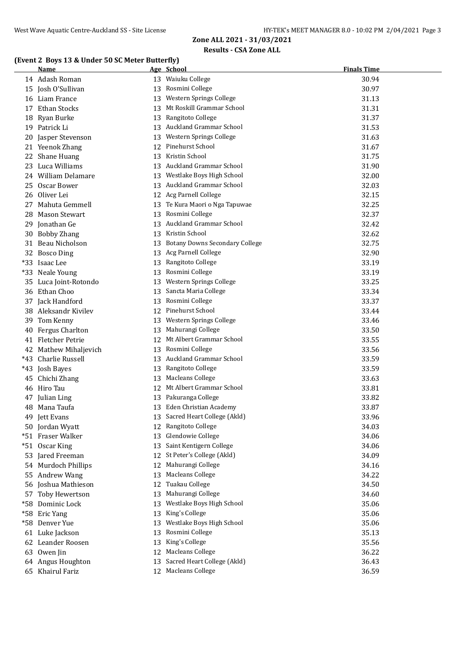#### **(Event 2 Boys 13 & Under 50 SC Meter Butterfly)**

|       | Name                  |    | Age School                        | <b>Finals Time</b> |
|-------|-----------------------|----|-----------------------------------|--------------------|
|       | 14 Adash Roman        |    | 13 Waiuku College                 | 30.94              |
|       | 15 Josh O'Sullivan    |    | 13 Rosmini College                | 30.97              |
|       | 16 Liam France        |    | 13 Western Springs College        | 31.13              |
|       | 17 Ethan Stocks       |    | 13 Mt Roskill Grammar School      | 31.31              |
|       | 18 Ryan Burke         |    | 13 Rangitoto College              | 31.37              |
|       | 19 Patrick Li         |    | 13 Auckland Grammar School        | 31.53              |
|       | 20 Jasper Stevenson   |    | 13 Western Springs College        | 31.63              |
|       | 21 Yeenok Zhang       |    | 12 Pinehurst School               | 31.67              |
|       | 22 Shane Huang        |    | 13 Kristin School                 | 31.75              |
|       | 23 Luca Williams      |    | 13 Auckland Grammar School        | 31.90              |
|       | 24 William Delamare   |    | 13 Westlake Boys High School      | 32.00              |
|       | 25 Oscar Bower        |    | 13 Auckland Grammar School        | 32.03              |
|       | 26 Oliver Lei         |    | 12 Acg Parnell College            | 32.15              |
|       | 27 Mahuta Gemmell     |    | 13 Te Kura Maori o Nga Tapuwae    | 32.25              |
|       | 28 Mason Stewart      |    | 13 Rosmini College                | 32.37              |
|       | 29 Jonathan Ge        |    | 13 Auckland Grammar School        | 32.42              |
|       | 30 Bobby Zhang        |    | 13 Kristin School                 | 32.62              |
|       | 31 Beau Nicholson     |    | 13 Botany Downs Secondary College | 32.75              |
|       | 32 Bosco Ding         |    | 13 Acg Parnell College            | 32.90              |
| $*33$ | Isaac Lee             |    | 13 Rangitoto College              | 33.19              |
|       | *33 Neale Young       |    | 13 Rosmini College                | 33.19              |
| 35    | Luca Joint-Rotondo    |    | 13 Western Springs College        | 33.25              |
|       | 36 Ethan Choo         |    | 13 Sancta Maria College           | 33.34              |
|       | 37 Jack Handford      |    | 13 Rosmini College                | 33.37              |
|       | 38 Aleksandr Kivilev  |    | 12 Pinehurst School               | 33.44              |
|       | 39 Tom Kenny          |    | 13 Western Springs College        | 33.46              |
| 40    | Fergus Charlton       |    | 13 Mahurangi College              | 33.50              |
|       | 41 Fletcher Petrie    |    | 12 Mt Albert Grammar School       | 33.55              |
|       | 42 Mathew Mihaljevich |    | 13 Rosmini College                | 33.56              |
|       | *43 Charlie Russell   |    | 13 Auckland Grammar School        | 33.59              |
|       | *43 Josh Bayes        |    | 13 Rangitoto College              | 33.59              |
|       | 45 Chichi Zhang       |    | 13 Macleans College               | 33.63              |
|       | 46 Hiro Tau           |    | 12 Mt Albert Grammar School       | 33.81              |
|       | 47 Julian Ling        |    | 13 Pakuranga College              | 33.82              |
|       | 48 Mana Taufa         |    | 13 Eden Christian Academy         | 33.87              |
|       | 49 Jett Evans         |    | 13 Sacred Heart College (Akld)    | 33.96              |
|       | 50 Jordan Wyatt       |    | 12 Rangitoto College              | 34.03              |
|       | *51 Fraser Walker     |    | 13 Glendowie College              | 34.06              |
|       | *51 Oscar King        |    | 13 Saint Kentigern College        | 34.06              |
|       | 53 Jared Freeman      |    | 12 St Peter's College (Akld)      | 34.09              |
|       | 54 Murdoch Phillips   | 12 | Mahurangi College                 | 34.16              |
|       | 55 Andrew Wang        | 13 | <b>Macleans College</b>           | 34.22              |
|       | 56 Joshua Mathieson   |    | 12 Tuakau College                 | 34.50              |
|       | 57 Toby Hewertson     | 13 | Mahurangi College                 | 34.60              |
|       | *58 Dominic Lock      | 13 | Westlake Boys High School         | 35.06              |
|       | *58 Eric Yang         | 13 | King's College                    | 35.06              |
|       | *58 Denver Yue        | 13 | Westlake Boys High School         | 35.06              |
|       | 61 Luke Jackson       | 13 | Rosmini College                   | 35.13              |
|       | 62 Leander Roosen     | 13 | King's College                    | 35.56              |
|       | 63 Owen Jin           | 12 | Macleans College                  | 36.22              |
|       | 64 Angus Houghton     | 13 | Sacred Heart College (Akld)       | 36.43              |
|       | 65 Khairul Fariz      | 12 | Macleans College                  | 36.59              |
|       |                       |    |                                   |                    |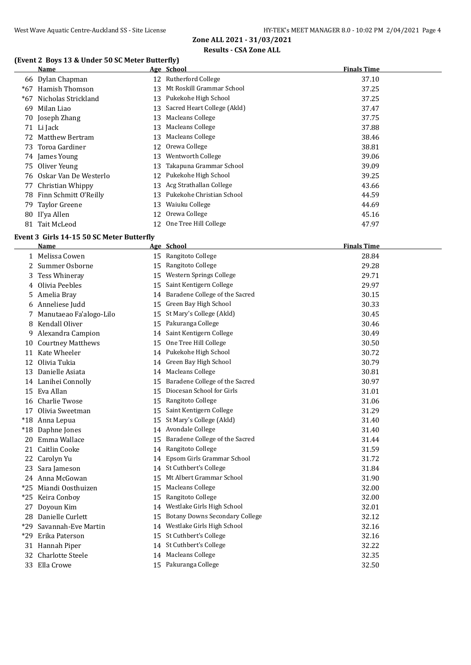## **(Event 2 Boys 13 & Under 50 SC Meter Butterfly)**

|       | Name                     |    | Age School                  | <b>Finals Time</b> |
|-------|--------------------------|----|-----------------------------|--------------------|
|       | 66 Dylan Chapman         |    | 12 Rutherford College       | 37.10              |
| $*67$ | Hamish Thomson           | 13 | Mt Roskill Grammar School   | 37.25              |
|       | *67 Nicholas Strickland  | 13 | Pukekohe High School        | 37.25              |
| 69    | Milan Liao               | 13 | Sacred Heart College (Akld) | 37.47              |
|       | 70 Joseph Zhang          | 13 | Macleans College            | 37.75              |
|       | 71 Li Jack               | 13 | Macleans College            | 37.88              |
|       | 72 Matthew Bertram       | 13 | Macleans College            | 38.46              |
|       | 73 Toroa Gardiner        |    | 12 Orewa College            | 38.81              |
|       | 74 James Young           | 13 | Wentworth College           | 39.06              |
|       | 75 Oliver Yeung          | 13 | Takapuna Grammar School     | 39.09              |
|       | 76 Oskar Van De Westerlo | 12 | Pukekohe High School        | 39.25              |
|       | 77 Christian Whippy      | 13 | Acg Strathallan College     | 43.66              |
|       | 78 Finn Schmitt O'Reilly | 13 | Pukekohe Christian School   | 44.59              |
|       | 79 Taylor Greene         | 13 | Waiuku College              | 44.69              |
|       | 80 Il'ya Allen           |    | 12 Orewa College            | 45.16              |
|       | 81 Tait McLeod           |    | 12 One Tree Hill College    | 47.97              |

#### **Event 3 Girls 14-15 50 SC Meter Butterfly**

|       | <b>Name</b>              |    | Age School                            | <b>Finals Time</b> |
|-------|--------------------------|----|---------------------------------------|--------------------|
|       | 1 Melissa Cowen          |    | 15 Rangitoto College                  | 28.84              |
| 2     | Summer Osborne           | 15 | Rangitoto College                     | 29.28              |
| 3     | Tess Whineray            | 15 | Western Springs College               | 29.71              |
|       | 4 Olivia Peebles         | 15 | Saint Kentigern College               | 29.97              |
| 5     | Amelia Bray              |    | 14 Baradene College of the Sacred     | 30.15              |
| 6     | Anneliese Judd           | 15 | Green Bay High School                 | 30.33              |
| 7     | Manutaeao Fa'alogo-Lilo  | 15 | St Mary's College (Akld)              | 30.45              |
| 8     | Kendall Oliver           |    | 15 Pakuranga College                  | 30.46              |
| 9     | Alexandra Campion        |    | 14 Saint Kentigern College            | 30.49              |
| 10    | <b>Courtney Matthews</b> | 15 | One Tree Hill College                 | 30.50              |
|       | 11 Kate Wheeler          |    | 14 Pukekohe High School               | 30.72              |
| 12    | Olivia Tukia             | 14 | Green Bay High School                 | 30.79              |
| 13    | Danielle Asiata          |    | 14 Macleans College                   | 30.81              |
|       | 14 Lanihei Connolly      | 15 | Baradene College of the Sacred        | 30.97              |
| 15    | Eva Allan                | 15 | Diocesan School for Girls             | 31.01              |
|       | 16 Charlie Twose         | 15 | Rangitoto College                     | 31.06              |
| 17    | Olivia Sweetman          | 15 | Saint Kentigern College               | 31.29              |
|       | *18 Anna Lepua           | 15 | St Mary's College (Akld)              | 31.40              |
|       | *18 Daphne Jones         |    | 14 Avondale College                   | 31.40              |
| 20    | Emma Wallace             | 15 | Baradene College of the Sacred        | 31.44              |
| 21    | <b>Caitlin Cooke</b>     | 14 | Rangitoto College                     | 31.59              |
|       | 22 Carolyn Yu            | 14 | Epsom Girls Grammar School            | 31.72              |
| 23    | Sara Jameson             |    | 14 St Cuthbert's College              | 31.84              |
|       | 24 Anna McGowan          | 15 | Mt Albert Grammar School              | 31.90              |
| $*25$ | Miandi Oosthuizen        | 15 | Macleans College                      | 32.00              |
| $*25$ | Keira Conboy             | 15 | Rangitoto College                     | 32.00              |
| 27    | Doyoun Kim               | 14 | Westlake Girls High School            | 32.01              |
|       | 28 Danielle Curlett      | 15 | <b>Botany Downs Secondary College</b> | 32.12              |
| $*29$ | Savannah-Eve Martin      |    | 14 Westlake Girls High School         | 32.16              |
| *29   | Erika Paterson           | 15 | St Cuthbert's College                 | 32.16              |
|       | 31 Hannah Piper          |    | 14 St Cuthbert's College              | 32.22              |
| 32    | <b>Charlotte Steele</b>  |    | 14 Macleans College                   | 32.35              |
| 33    | Ella Crowe               |    | 15 Pakuranga College                  | 32.50              |
|       |                          |    |                                       |                    |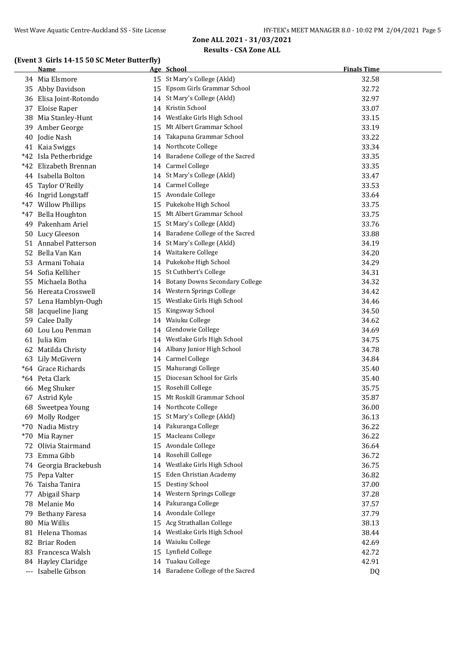## **(Event 3 Girls 14-15 50 SC Meter Butterfly)**

|    | Name                   |    | Age School                        | <b>Finals Time</b> |
|----|------------------------|----|-----------------------------------|--------------------|
|    | 34 Mia Elsmore         |    | 15 St Mary's College (Akld)       | 32.58              |
|    | 35 Abby Davidson       |    | 15 Epsom Girls Grammar School     | 32.72              |
|    | 36 Elisa Joint-Rotondo |    | 14 St Mary's College (Akld)       | 32.97              |
|    | 37 Eloise Raper        |    | 14 Kristin School                 | 33.07              |
| 38 | Mia Stanley-Hunt       |    | 14 Westlake Girls High School     | 33.15              |
| 39 | Amber George           |    | 15 Mt Albert Grammar School       | 33.19              |
| 40 | Jodie Nash             |    | 14 Takapuna Grammar School        | 33.22              |
|    | 41 Kaia Swiggs         |    | 14 Northcote College              | 33.34              |
|    | *42 Isla Petherbridge  |    | 14 Baradene College of the Sacred | 33.35              |
|    | *42 Elizabeth Brennan  |    | 14 Carmel College                 | 33.35              |
|    | 44 Isabella Bolton     |    | 14 St Mary's College (Akld)       | 33.47              |
| 45 | Taylor O'Reilly        |    | 14 Carmel College                 | 33.53              |
|    | 46 Ingrid Longstaff    |    | 15 Avondale College               | 33.64              |
|    | *47 Willow Phillips    |    | 15 Pukekohe High School           | 33.75              |
|    | *47 Bella Houghton     |    | 15 Mt Albert Grammar School       | 33.75              |
| 49 | Pakenham Ariel         |    | 15 St Mary's College (Akld)       | 33.76              |
|    | 50 Lucy Gleeson        |    | 14 Baradene College of the Sacred | 33.88              |
|    | 51 Annabel Patterson   |    | 14 St Mary's College (Akld)       | 34.19              |
|    | 52 Bella Van Kan       |    | 14 Waitakere College              | 34.20              |
| 53 | Armani Tohaia          |    | 14 Pukekohe High School           | 34.29              |
|    | 54 Sofia Kelliher      |    | 15 St Cuthbert's College          | 34.31              |
| 55 | Michaela Botha         |    | 14 Botany Downs Secondary College | 34.32              |
|    | 56 Hereata Crosswell   |    | 14 Western Springs College        | 34.42              |
|    | 57 Lena Hamblyn-Ough   |    | 15 Westlake Girls High School     | 34.46              |
| 58 | Jacqueline Jiang       | 15 | Kingsway School                   | 34.50              |
|    | 59 Calee Dally         |    | 14 Waiuku College                 | 34.62              |
| 60 | Lou Lou Penman         | 14 | Glendowie College                 | 34.69              |
|    | 61 Julia Kim           | 14 | Westlake Girls High School        | 34.75              |
|    | 62 Matilda Christy     |    | 14 Albany Junior High School      | 34.78              |
|    | 63 Lily McGivern       |    | 14 Carmel College                 | 34.84              |
|    | *64 Grace Richards     | 15 | Mahurangi College                 | 35.40              |
|    | *64 Peta Clark         | 15 | Diocesan School for Girls         | 35.40              |
|    | 66 Meg Shuker          |    | 15 Rosehill College               | 35.75              |
|    | 67 Astrid Kyle         |    | 15 Mt Roskill Grammar School      | 35.87              |
|    | 68 Sweetpea Young      |    | 14 Northcote College              | 36.00              |
|    | 69 Molly Rodger        |    | 15 St Mary's College (Akld)       | 36.13              |
|    | *70 Nadia Mistry       |    | 14 Pakuranga College              | 36.22              |
|    | *70 Mia Rayner         |    | 15 Macleans College               | 36.22              |
|    | 72 Olivia Stairmand    |    | 15 Avondale College               | 36.64              |
| 73 | Emma Gibb              |    | 14 Rosehill College               | 36.72              |
|    | 74 Georgia Brackebush  |    | 14 Westlake Girls High School     | 36.75              |
|    | 75 Pepa Valter         | 15 | Eden Christian Academy            | 36.82              |
|    | 76 Taisha Tanira       | 15 | Destiny School                    | 37.00              |
|    | 77 Abigail Sharp       | 14 | Western Springs College           | 37.28              |
|    | 78 Melanie Mo          | 14 | Pakuranga College                 | 37.57              |
| 79 | <b>Bethany Faresa</b>  |    | 14 Avondale College               | 37.79              |
| 80 | Mia Willis             | 15 | Acg Strathallan College           | 38.13              |
|    | 81 Helena Thomas       | 14 | Westlake Girls High School        | 38.44              |
|    | 82 Briar Roden         | 14 | Waiuku College                    | 42.69              |
|    | 83 Francesca Walsh     | 15 | Lynfield College                  | 42.72              |
|    | 84 Hayley Claridge     |    | 14 Tuakau College                 | 42.91              |
|    | --- Isabelle Gibson    |    | 14 Baradene College of the Sacred | DQ                 |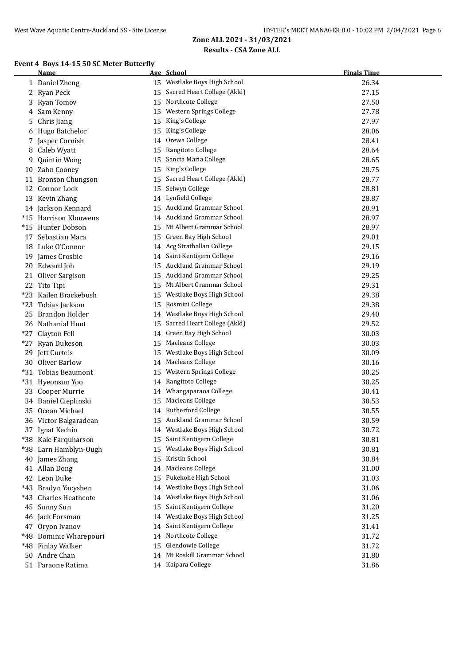## **Results - CSA Zone ALL**

#### **Event 4 Boys 14-15 50 SC Meter Butterfly**

|       | Name                     |    | Age School                   | <b>Finals Time</b> |
|-------|--------------------------|----|------------------------------|--------------------|
|       | 1 Daniel Zheng           |    | 15 Westlake Boys High School | 26.34              |
|       | 2 Ryan Peck              | 15 | Sacred Heart College (Akld)  | 27.15              |
|       | 3 Ryan Tomov             | 15 | Northcote College            | 27.50              |
|       | 4 Sam Kenny              | 15 | Western Springs College      | 27.78              |
| 5.    | Chris Jiang              | 15 | King's College               | 27.97              |
| 6     | Hugo Batchelor           | 15 | King's College               | 28.06              |
| 7     | Jasper Cornish           | 14 | Orewa College                | 28.41              |
| 8     | Caleb Wyatt              | 15 | Rangitoto College            | 28.64              |
| 9     | <b>Quintin Wong</b>      | 15 | Sancta Maria College         | 28.65              |
| 10    | Zahn Cooney              | 15 | King's College               | 28.75              |
| 11    | <b>Bronson Chungson</b>  | 15 | Sacred Heart College (Akld)  | 28.77              |
| 12    | Connor Lock              | 15 | Selwyn College               | 28.81              |
|       | 13 Kevin Zhang           | 14 | Lynfield College             | 28.87              |
|       | 14 Jackson Kennard       | 15 | Auckland Grammar School      | 28.91              |
|       | *15 Harrison Klouwens    | 14 | Auckland Grammar School      | 28.97              |
|       | *15 Hunter Dobson        | 15 | Mt Albert Grammar School     | 28.97              |
|       | 17 Sebastian Mara        | 15 | Green Bay High School        | 29.01              |
|       | 18 Luke O'Connor         |    | 14 Acg Strathallan College   | 29.15              |
|       | 19 James Crosbie         |    | 14 Saint Kentigern College   | 29.16              |
|       | 20 Edward Joh            |    | 15 Auckland Grammar School   | 29.19              |
| 21    | Oliver Sargison          |    | 15 Auckland Grammar School   | 29.25              |
|       | 22 Tito Tipi             |    | 15 Mt Albert Grammar School  | 29.31              |
|       | *23 Kailen Brackebush    |    | 15 Westlake Boys High School | 29.38              |
| *23   | Tobias Jackson           | 15 | Rosmini College              | 29.38              |
| 25    | Brandon Holder           | 14 | Westlake Boys High School    | 29.40              |
|       | 26 Nathanial Hunt        | 15 | Sacred Heart College (Akld)  | 29.52              |
|       | *27 Clayton Fell         | 14 | Green Bay High School        | 30.03              |
| $*27$ | Ryan Dukeson             | 15 | <b>Macleans College</b>      | 30.03              |
|       | 29 Jett Curteis          | 15 | Westlake Boys High School    | 30.09              |
|       | 30 Oliver Barlow         | 14 | <b>Macleans College</b>      | 30.16              |
|       | *31 Tobias Beaumont      | 15 | Western Springs College      | 30.25              |
|       | *31 Hyeonsun Yoo         | 14 | Rangitoto College            | 30.25              |
|       | 33 Cooper Murrie         | 14 | Whangaparaoa College         | 30.41              |
|       | 34 Daniel Cieplinski     | 15 | Macleans College             | 30.53              |
|       | 35 Ocean Michael         | 14 | <b>Rutherford College</b>    | 30.55              |
|       | 36 Victor Balgaradean    |    | 15 Auckland Grammar School   | 30.59              |
|       | 37 Ignat Kechin          | 14 | Westlake Boys High School    | 30.72              |
| *38   | Kale Farquharson         | 15 | Saint Kentigern College      | 30.81              |
| *38   | Larn Hamblyn-Ough        | 15 | Westlake Boys High School    | 30.81              |
| 40    | James Zhang              | 15 | Kristin School               | 30.84              |
| 41    | <b>Allan Dong</b>        | 14 | Macleans College             | 31.00              |
|       | 42 Leon Duke             | 15 | Pukekohe High School         | 31.03              |
| *43   | Bradyn Yacyshen          | 14 | Westlake Boys High School    | 31.06              |
| *43   | <b>Charles Heathcote</b> | 14 | Westlake Boys High School    | 31.06              |
| 45    | Sunny Sun                | 15 | Saint Kentigern College      | 31.20              |
|       | 46 Jack Forsman          | 14 | Westlake Boys High School    | 31.25              |
| 47    | Oryon Ivanov             | 14 | Saint Kentigern College      | 31.41              |
|       | *48 Dominic Wharepouri   | 14 | Northcote College            | 31.72              |
| *48   | <b>Finlay Walker</b>     | 15 | Glendowie College            | 31.72              |
| 50    | Andre Chan               | 14 | Mt Roskill Grammar School    | 31.80              |
|       | 51 Paraone Ratima        |    | 14 Kaipara College           | 31.86              |
|       |                          |    |                              |                    |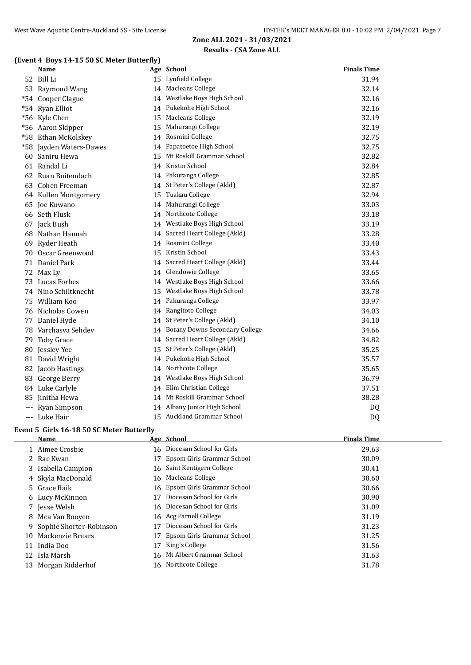## **(Event 4 Boys 14-15 50 SC Meter Butterfly)**

|    | Name                    |    | Age School                        | <b>Finals Time</b> |
|----|-------------------------|----|-----------------------------------|--------------------|
|    | 52 Bill Li              |    | 15 Lynfield College               | 31.94              |
|    | 53 Raymond Wang         |    | 14 Macleans College               | 32.14              |
|    | *54 Cooper Clague       |    | 14 Westlake Boys High School      | 32.16              |
|    | *54 Ryan Elliot         |    | 14 Pukekohe High School           | 32.16              |
|    | *56 Kyle Chen           | 15 | Macleans College                  | 32.19              |
|    | *56 Aaron Skipper       | 15 | Mahurangi College                 | 32.19              |
|    | *58 Ethan McKolskey     | 14 | Rosmini College                   | 32.75              |
|    | *58 Jayden Waters-Dawes |    | 14 Papatoetoe High School         | 32.75              |
|    | 60 Saniru Hewa          |    | 15 Mt Roskill Grammar School      | 32.82              |
|    | 61 Randal Li            |    | 14 Kristin School                 | 32.84              |
|    | 62 Ruan Buitendach      |    | 14 Pakuranga College              | 32.85              |
|    | 63 Cohen Freeman        |    | 14 St Peter's College (Akld)      | 32.87              |
|    | 64 Kullen Montgomery    | 15 | Tuakau College                    | 32.94              |
|    | 65 Joe Kuwano           | 14 | Mahurangi College                 | 33.03              |
|    | 66 Seth Flusk           | 14 | Northcote College                 | 33.18              |
|    | 67 Jack Bush            | 14 | Westlake Boys High School         | 33.19              |
|    | 68 Nathan Hannah        | 14 | Sacred Heart College (Akld)       | 33.28              |
| 69 | Ryder Heath             |    | 14 Rosmini College                | 33.40              |
|    | 70 Oscar Greenwood      | 15 | Kristin School                    | 33.43              |
|    | 71 Daniel Park          |    | 14 Sacred Heart College (Akld)    | 33.44              |
|    | 72 Max Ly               |    | 14 Glendowie College              | 33.65              |
| 73 | <b>Lucas Forbes</b>     | 14 | Westlake Boys High School         | 33.66              |
|    | 74 Nino Schiltknecht    | 15 | Westlake Boys High School         | 33.78              |
| 75 | William Koo             | 14 | Pakuranga College                 | 33.97              |
|    | 76 Nicholas Cowen       |    | 14 Rangitoto College              | 34.03              |
|    | 77 Daniel Hyde          |    | 14 St Peter's College (Akld)      | 34.10              |
|    | 78 Varchasva Sehdev     |    | 14 Botany Downs Secondary College | 34.66              |
| 79 | <b>Toby Grace</b>       |    | 14 Sacred Heart College (Akld)    | 34.82              |
| 80 | Jessley Yee             |    | 15 St Peter's College (Akld)      | 35.25              |
|    | 81 David Wright         |    | 14 Pukekohe High School           | 35.57              |
| 82 | Jacob Hastings          |    | 14 Northcote College              | 35.65              |
|    | 83 George Berry         |    | 14 Westlake Boys High School      | 36.79              |
|    | 84 Luke Carlyle         |    | 14 Elim Christian College         | 37.51              |
|    | 85 Jinitha Hewa         |    | 14 Mt Roskill Grammar School      | 38.28              |
|    | --- Ryan Simpson        |    | 14 Albany Junior High School      | DQ                 |
|    | --- Luke Hair           |    | 15 Auckland Grammar School        | DQ                 |

#### **Event 5 Girls 16-18 50 SC Meter Butterfly**

Ľ,

|    | Name                      |    | Age School                    | <b>Finals Time</b> |
|----|---------------------------|----|-------------------------------|--------------------|
|    | 1 Aimee Crosbie           |    | 16 Diocesan School for Girls  | 29.63              |
|    | 2 Rae Kwan                | 17 | Epsom Girls Grammar School    | 30.09              |
|    | 3 Isabella Campion        |    | 16 Saint Kentigern College    | 30.41              |
|    | 4 Skyla MacDonald         |    | 16 Macleans College           | 30.60              |
|    | 5 Grace Baik              |    | 16 Epsom Girls Grammar School | 30.66              |
|    | 6 Lucy McKinnon           | 17 | Diocesan School for Girls     | 30.90              |
|    | 7 Jesse Welsh             |    | 16 Diocesan School for Girls  | 31.09              |
|    | 8 Mea Van Rooven          |    | 16 Acg Parnell College        | 31.19              |
|    | 9 Sophie Shorter-Robinson | 17 | Diocesan School for Girls     | 31.23              |
| 10 | Mackenzie Brears          | 17 | Epsom Girls Grammar School    | 31.25              |
|    | 11 India Doo              | 17 | King's College                | 31.56              |
| 12 | Isla Marsh                |    | 16 Mt Albert Grammar School   | 31.63              |
|    | 13 Morgan Ridderhof       |    | 16 Northcote College          | 31.78              |
|    |                           |    |                               |                    |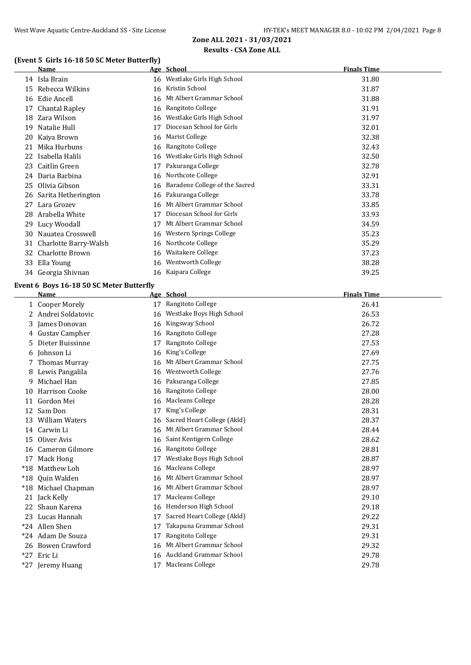## **(Event 5 Girls 16-18 50 SC Meter Butterfly)**

|    | Name                  |    | Age School                     | <b>Finals Time</b> |
|----|-----------------------|----|--------------------------------|--------------------|
|    | 14 Isla Brain         |    | 16 Westlake Girls High School  | 31.80              |
| 15 | Rebecca Wilkins       | 16 | Kristin School                 | 31.87              |
| 16 | Edie Ancell           | 16 | Mt Albert Grammar School       | 31.88              |
| 17 | Chantal Rapley        | 16 | Rangitoto College              | 31.91              |
| 18 | Zara Wilson           | 16 | Westlake Girls High School     | 31.97              |
| 19 | Natalie Hull          | 17 | Diocesan School for Girls      | 32.01              |
| 20 | Kaiya Brown           | 16 | Marist College                 | 32.38              |
| 21 | Mika Hurbuns          | 16 | Rangitoto College              | 32.43              |
| 22 | Isabella Halili       | 16 | Westlake Girls High School     | 32.50              |
| 23 | Caitlin Green         | 17 | Pakuranga College              | 32.78              |
| 24 | Daria Barbina         | 16 | Northcote College              | 32.91              |
| 25 | Olivia Gibson         | 16 | Baradene College of the Sacred | 33.31              |
| 26 | Sarita Hetherington   | 16 | Pakuranga College              | 33.78              |
| 27 | Lara Grozev           | 16 | Mt Albert Grammar School       | 33.85              |
| 28 | Arabella White        | 17 | Diocesan School for Girls      | 33.93              |
| 29 | Lucy Woodall          | 17 | Mt Albert Grammar School       | 34.59              |
| 30 | Nauatea Crosswell     | 16 | Western Springs College        | 35.23              |
| 31 | Charlotte Barry-Walsh | 16 | Northcote College              | 35.29              |
| 32 | Charlotte Brown       | 16 | Waitakere College              | 37.23              |
| 33 | Ella Young            | 16 | Wentworth College              | 38.28              |
|    | 34 Georgia Shivnan    |    | 16 Kaipara College             | 39.25              |

#### **Event 6 Boys 16-18 50 SC Meter Butterfly**

|       | Name                  |    | Age School                  | <b>Finals Time</b> |
|-------|-----------------------|----|-----------------------------|--------------------|
| 1     | <b>Cooper Morely</b>  | 17 | Rangitoto College           | 26.41              |
|       | Andrei Soldatovic     | 16 | Westlake Boys High School   | 26.53              |
| 3     | James Donovan         | 16 | Kingsway School             | 26.72              |
| 4     | Gustav Campher        | 16 | Rangitoto College           | 27.28              |
| 5     | Dieter Buissinne      | 17 | Rangitoto College           | 27.53              |
| 6     | Johnson Li            | 16 | King's College              | 27.69              |
|       | <b>Thomas Murray</b>  | 16 | Mt Albert Grammar School    | 27.75              |
| 8     | Lewis Pangalila       | 16 | Wentworth College           | 27.76              |
| 9     | Michael Han           | 16 | Pakuranga College           | 27.85              |
| 10    | <b>Harrison Cooke</b> | 16 | Rangitoto College           | 28.00              |
| 11    | Gordon Mei            | 16 | Macleans College            | 28.28              |
| 12    | Sam Don               | 17 | King's College              | 28.31              |
| 13    | <b>William Waters</b> | 16 | Sacred Heart College (Akld) | 28.37              |
| 14    | Carwin Li             | 16 | Mt Albert Grammar School    | 28.44              |
| 15    | Oliver Avis           | 16 | Saint Kentigern College     | 28.62              |
| 16    | Cameron Gilmore       | 16 | Rangitoto College           | 28.81              |
| 17    | Mack Hong             |    | Westlake Boys High School   | 28.87              |
| $*18$ | Matthew Loh           | 16 | Macleans College            | 28.97              |
| $*18$ | Quin Walden           | 16 | Mt Albert Grammar School    | 28.97              |
| $*18$ | Michael Chapman       | 16 | Mt Albert Grammar School    | 28.97              |
| 21    | Jack Kelly            | 17 | Macleans College            | 29.10              |
| 22    | Shaun Karena          | 16 | Henderson High School       | 29.18              |
| 23    | Lucas Hannah          | 17 | Sacred Heart College (Akld) | 29.22              |
|       | *24 Allen Shen        | 17 | Takapuna Grammar School     | 29.31              |
|       | *24 Adam De Souza     | 17 | Rangitoto College           | 29.31              |
| 26    | <b>Bowen Crawford</b> | 16 | Mt Albert Grammar School    | 29.32              |
|       | *27 Eric Li           |    | 16 Auckland Grammar School  | 29.78              |
|       | *27 Jeremy Huang      | 17 | Macleans College            | 29.78              |
|       |                       |    |                             |                    |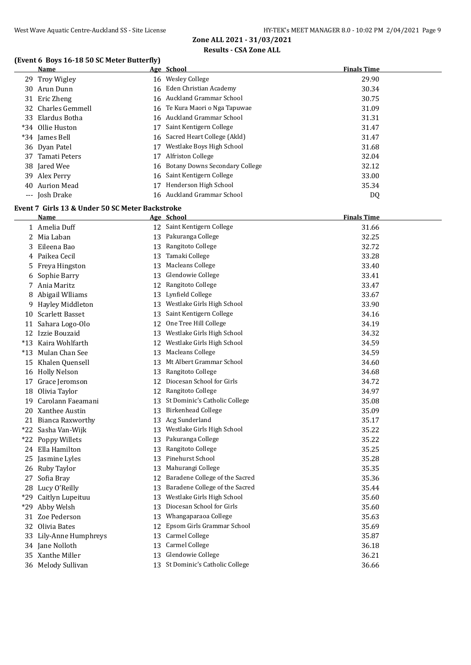## **(Event 6 Boys 16-18 50 SC Meter Butterfly)**

|     | (Event 6 Boys 16-18 50 SC Meter Butterfly)      |    |                                   |                    |
|-----|-------------------------------------------------|----|-----------------------------------|--------------------|
|     | <u>Name</u>                                     |    | Age School                        | <b>Finals Time</b> |
|     | 29 Troy Wigley                                  |    | 16 Wesley College                 | 29.90              |
|     | 30 Arun Dunn                                    |    | 16 Eden Christian Academy         | 30.34              |
|     | 31 Eric Zheng                                   |    | 16 Auckland Grammar School        | 30.75              |
|     | 32 Charles Gemmell                              |    | 16 Te Kura Maori o Nga Tapuwae    | 31.09              |
|     | 33 Elardus Botha                                |    | 16 Auckland Grammar School        | 31.31              |
|     | *34 Ollie Huston                                | 17 | Saint Kentigern College           | 31.47              |
|     | *34 James Bell                                  |    | 16 Sacred Heart College (Akld)    | 31.47              |
|     | 36 Dyan Patel                                   |    | 17 Westlake Boys High School      | 31.68              |
|     | 37 Tamati Peters<br>17                          |    | Alfriston College                 | 32.04              |
|     | 38 Jared Wee                                    |    | 16 Botany Downs Secondary College | 32.12              |
| 39  | Alex Perry                                      | 16 | Saint Kentigern College           | 33.00              |
| 40  | <b>Aurion Mead</b>                              |    | 17 Henderson High School          | 35.34              |
|     | --- Josh Drake                                  |    | 16 Auckland Grammar School        | DQ                 |
|     | Event 7 Girls 13 & Under 50 SC Meter Backstroke |    |                                   |                    |
|     | Name                                            |    | Age School                        | <b>Finals Time</b> |
|     | 1 Amelia Duff                                   |    | 12 Saint Kentigern College        | 31.66              |
|     | 2 Mia Laban                                     |    | 13 Pakuranga College              | 32.25              |
|     | Eileena Bao                                     |    | 13 Rangitoto College              | 32.72              |
| 3   |                                                 |    | 13 Tamaki College                 |                    |
| 4   | Paikea Cecil                                    |    |                                   | 33.28              |
| 5   | Freya Hingston<br>13                            |    | <b>Macleans College</b>           | 33.40              |
| 6   | Sophie Barry                                    |    | 13 Glendowie College              | 33.41              |
|     | Ania Maritz                                     |    | 12 Rangitoto College              | 33.47              |
| 8   | Abigail Wlliams                                 |    | 13 Lynfield College               | 33.67              |
| 9.  | Hayley Middleton                                |    | 13 Westlake Girls High School     | 33.90              |
|     | 10 Scarlett Basset                              |    | 13 Saint Kentigern College        | 34.16              |
|     | 11 Sahara Logo-Olo                              |    | 12 One Tree Hill College          | 34.19              |
|     | 12 Izzie Bouzaid                                |    | 13 Westlake Girls High School     | 34.32              |
|     | *13 Kaira Wohlfarth                             |    | 12 Westlake Girls High School     | 34.59              |
|     | *13 Mulan Chan See                              |    | 13 Macleans College               | 34.59              |
| 15  | Khalen Quensell                                 |    | 13 Mt Albert Grammar School       | 34.60              |
|     | 16 Holly Nelson                                 |    | 13 Rangitoto College              | 34.68              |
|     | 17 Grace Jeromson                               |    | 12 Diocesan School for Girls      | 34.72              |
|     | 18 Olivia Taylor                                |    | 12 Rangitoto College              | 34.97              |
| 19  | Carolann Faeamani                               |    | 13 St Dominic's Catholic College  | 35.08              |
|     | 20 Xanthee Austin                               |    | 13 Birkenhead College             | 35.09              |
|     | 21 Bianca Raxworthy                             | 13 | Acg Sunderland                    | 35.17              |
|     | *22 Sasha Van-Wijk<br>13                        |    | Westlake Girls High School        | 35.22              |
| *22 | Poppy Willets<br>13                             |    | Pakuranga College                 | 35.22              |
|     | 24 Ella Hamilton<br>13                          |    | Rangitoto College                 | 35.25              |
| 25  | Jasmine Lyles<br>13                             |    | Pinehurst School                  | 35.28              |
|     | 26 Ruby Taylor<br>13                            |    | Mahurangi College                 | 35.35              |
| 27  | Sofia Bray                                      | 12 | Baradene College of the Sacred    | 35.36              |
|     | 28 Lucy O'Reilly<br>13                          |    | Baradene College of the Sacred    | 35.44              |
| *29 | Caitlyn Lupeituu<br>13                          |    | Westlake Girls High School        | 35.60              |
| *29 | Abby Welsh<br>13                                |    | Diocesan School for Girls         | 35.60              |
| 31  | Zoe Pederson<br>13                              |    | Whangaparaoa College              | 35.63              |
|     | 32 Olivia Bates<br>12                           |    | Epsom Girls Grammar School        | 35.69              |
|     | 33 Lily-Anne Humphreys                          | 13 | Carmel College                    | 35.87              |
|     | 34 Jane Nolloth                                 |    | 13 Carmel College                 | 36.18              |

Xanthe Miller 13 Glendowie College 36.21

Melody Sullivan 13 St Dominic's Catholic College 36.66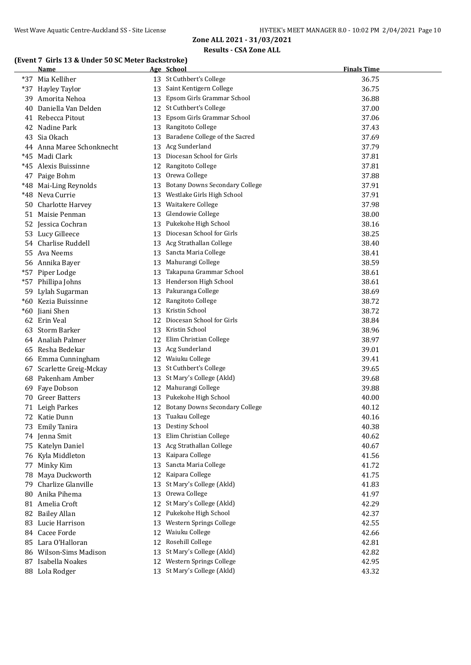## **(Event 7 Girls 13 & Under 50 SC Meter Backstroke)**

|     | Name                      |    | Age School                            | <b>Finals Time</b> |
|-----|---------------------------|----|---------------------------------------|--------------------|
| *37 | Mia Kelliher              |    | 13 St Cuthbert's College              | 36.75              |
| *37 | <b>Hayley Taylor</b>      |    | 13 Saint Kentigern College            | 36.75              |
| 39  | Amorita Nehoa             |    | 13 Epsom Girls Grammar School         | 36.88              |
| 40  | Daniella Van Delden       |    | 12 St Cuthbert's College              | 37.00              |
|     | 41 Rebecca Pitout         | 13 | Epsom Girls Grammar School            | 37.06              |
|     | 42 Nadine Park            |    | 13 Rangitoto College                  | 37.43              |
| 43  | Sia Okach                 |    | 13 Baradene College of the Sacred     | 37.69              |
|     | 44 Anna Maree Schonknecht |    | 13 Acg Sunderland                     | 37.79              |
|     | *45 Madi Clark            |    | 13 Diocesan School for Girls          | 37.81              |
|     | *45 Alexis Buissinne      |    | 12 Rangitoto College                  | 37.81              |
|     | 47 Paige Bohm             |    | 13 Orewa College                      | 37.88              |
|     | *48 Mai-Ling Reynolds     | 13 | <b>Botany Downs Secondary College</b> | 37.91              |
|     | *48 Neva Currie           |    | 13 Westlake Girls High School         | 37.91              |
|     | 50 Charlotte Harvey       |    | 13 Waitakere College                  | 37.98              |
|     | 51 Maisie Penman          |    | 13 Glendowie College                  | 38.00              |
|     | 52 Jessica Cochran        | 13 | Pukekohe High School                  | 38.16              |
|     | 53 Lucy Gilleece          | 13 | Diocesan School for Girls             | 38.25              |
|     | 54 Charlise Ruddell       |    | 13 Acg Strathallan College            | 38.40              |
| 55  | Ava Neems                 |    | 13 Sancta Maria College               | 38.41              |
|     | 56 Annika Bayer           | 13 | Mahurangi College                     | 38.59              |
|     | *57 Piper Lodge           |    | 13 Takapuna Grammar School            | 38.61              |
|     | *57 Phillipa Johns        |    | 13 Henderson High School              | 38.61              |
|     | 59 Lylah Sugarman         |    | 13 Pakuranga College                  | 38.69              |
|     | *60 Kezia Buissinne       |    | 12 Rangitoto College                  | 38.72              |
|     | *60 Jiani Shen            |    | 13 Kristin School                     | 38.72              |
|     | 62 Erin Veal              | 12 | Diocesan School for Girls             | 38.84              |
| 63  | Storm Barker              |    | 13 Kristin School                     | 38.96              |
|     | 64 Analiah Palmer         | 12 | Elim Christian College                | 38.97              |
| 65  | Resha Bedekar             |    | 13 Acg Sunderland                     | 39.01              |
|     | 66 Emma Cunningham        |    | 12 Waiuku College                     | 39.41              |
|     | 67 Scarlette Greig-Mckay  |    | 13 St Cuthbert's College              | 39.65              |
| 68  | Pakenham Amber            |    | 13 St Mary's College (Akld)           | 39.68              |
| 69  | Faye Dobson               | 12 | Mahurangi College                     | 39.88              |
|     | 70 Greer Batters          |    | 13 Pukekohe High School               | 40.00              |
|     | 71 Leigh Parkes           |    | 12 Botany Downs Secondary College     | 40.12              |
|     | 72 Katie Dunn             |    | 13 Tuakau College                     | 40.16              |
|     | 73 Emily Tanira           |    | 13 Destiny School                     | 40.38              |
|     | 74 Jenna Smit             | 13 | Elim Christian College                | 40.62              |
|     | 75 Katelyn Daniel         | 13 | Acg Strathallan College               | 40.67              |
|     | 76 Kyla Middleton         | 13 | Kaipara College                       | 41.56              |
| 77  | Minky Kim                 | 13 | Sancta Maria College                  | 41.72              |
| 78  | Maya Duckworth            | 12 | Kaipara College                       | 41.75              |
| 79  | Charlize Glanville        | 13 | St Mary's College (Akld)              | 41.83              |
| 80  | Anika Pihema              | 13 | Orewa College                         | 41.97              |
|     | 81 Amelia Croft           | 12 | St Mary's College (Akld)              | 42.29              |
|     | 82 Bailey Allan           | 12 | Pukekohe High School                  | 42.37              |
| 83  | Lucie Harrison            | 13 | Western Springs College               | 42.55              |
|     | 84 Cacee Forde            | 12 | Waiuku College                        | 42.66              |
|     | 85 Lara O'Halloran        | 12 | Rosehill College                      | 42.81              |
|     | 86 Wilson-Sims Madison    | 13 | St Mary's College (Akld)              | 42.82              |
|     | 87 Isabella Noakes        |    | 12 Western Springs College            | 42.95              |
|     | 88 Lola Rodger            |    | 13 St Mary's College (Akld)           | 43.32              |
|     |                           |    |                                       |                    |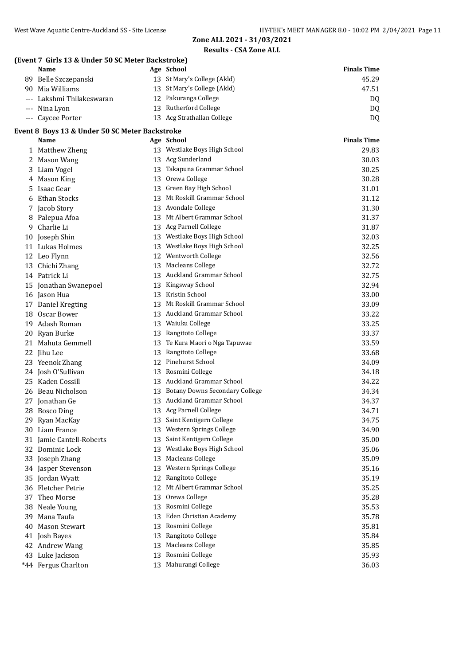## **(Event 7 Girls 13 & Under 50 SC Meter Backstroke)**

| Name                      | Age School                  | <b>Finals Time</b> |
|---------------------------|-----------------------------|--------------------|
| 89 Belle Szczepanski      | 13 St Mary's College (Akld) | 45.29              |
| 90 Mia Williams           | 13 St Mary's College (Akld) | 47.51              |
| --- Lakshmi Thilakeswaran | 12 Pakuranga College        | DQ                 |
| --- Nina Lyon             | 13 Rutherford College       | DQ                 |
| --- Caycee Porter         | 13 Acg Strathallan College  | D <sub>0</sub>     |

#### **Event 8 Boys 13 & Under 50 SC Meter Backstroke**

|    | <b>Name</b>           |    | Age School                            | <b>Finals Time</b> |
|----|-----------------------|----|---------------------------------------|--------------------|
|    | 1 Matthew Zheng       |    | 13 Westlake Boys High School          | 29.83              |
|    | 2 Mason Wang          |    | 13 Acg Sunderland                     | 30.03              |
| 3  | Liam Vogel            | 13 | Takapuna Grammar School               | 30.25              |
|    | 4 Mason King          | 13 | Orewa College                         | 30.28              |
| 5  | Isaac Gear            |    | 13 Green Bay High School              | 31.01              |
| 6  | <b>Ethan Stocks</b>   |    | 13 Mt Roskill Grammar School          | 31.12              |
| 7  | Jacob Story           |    | 13 Avondale College                   | 31.30              |
| 8  | Palepua Afoa          |    | 13 Mt Albert Grammar School           | 31.37              |
| 9  | Charlie Li            |    | 13 Acg Parnell College                | 31.87              |
| 10 | Joseph Shin           |    | 13 Westlake Boys High School          | 32.03              |
|    | 11 Lukas Holmes       |    | 13 Westlake Boys High School          | 32.25              |
|    | 12 Leo Flynn          |    | 12 Wentworth College                  | 32.56              |
|    | 13 Chichi Zhang       | 13 | <b>Macleans College</b>               | 32.72              |
|    | 14 Patrick Li         | 13 | Auckland Grammar School               | 32.75              |
|    | 15 Jonathan Swanepoel |    | 13 Kingsway School                    | 32.94              |
|    | 16 Jason Hua          |    | 13 Kristin School                     | 33.00              |
|    | 17 Daniel Kregting    |    | 13 Mt Roskill Grammar School          | 33.09              |
|    | 18 Oscar Bower        |    | 13 Auckland Grammar School            | 33.22              |
| 19 | Adash Roman           |    | 13 Waiuku College                     | 33.25              |
|    | 20 Ryan Burke         |    | 13 Rangitoto College                  | 33.37              |
|    | 21 Mahuta Gemmell     |    | 13 Te Kura Maori o Nga Tapuwae        | 33.59              |
|    | 22 Jihu Lee           | 13 | Rangitoto College                     | 33.68              |
|    | 23 Yeenok Zhang       |    | 12 Pinehurst School                   | 34.09              |
|    | 24 Josh O'Sullivan    | 13 | Rosmini College                       | 34.18              |
| 25 | Kaden Cossill         |    | 13 Auckland Grammar School            | 34.22              |
| 26 | Beau Nicholson        | 13 | <b>Botany Downs Secondary College</b> | 34.34              |
| 27 | Jonathan Ge           |    | 13 Auckland Grammar School            | 34.37              |
| 28 | <b>Bosco Ding</b>     | 13 | Acg Parnell College                   | 34.71              |
| 29 | Ryan MacKay           | 13 | Saint Kentigern College               | 34.75              |
| 30 | Liam France           | 13 | Western Springs College               | 34.90              |
| 31 | Jamie Cantell-Roberts |    | 13 Saint Kentigern College            | 35.00              |
|    | 32 Dominic Lock       |    | 13 Westlake Boys High School          | 35.06              |
| 33 | Joseph Zhang          |    | 13 Macleans College                   | 35.09              |
|    | 34 Jasper Stevenson   |    | 13 Western Springs College            | 35.16              |
|    | 35 Jordan Wyatt       |    | 12 Rangitoto College                  | 35.19              |
|    | 36 Fletcher Petrie    |    | 12 Mt Albert Grammar School           | 35.25              |
|    | 37 Theo Morse         |    | 13 Orewa College                      | 35.28              |
|    | 38 Neale Young        | 13 | Rosmini College                       | 35.53              |
| 39 | Mana Taufa            | 13 | Eden Christian Academy                | 35.78              |
| 40 | <b>Mason Stewart</b>  | 13 | Rosmini College                       | 35.81              |
|    | 41 Josh Bayes         | 13 | Rangitoto College                     | 35.84              |
|    | 42 Andrew Wang        | 13 | <b>Macleans College</b>               | 35.85              |
|    | 43 Luke Jackson       | 13 | Rosmini College                       | 35.93              |
|    | *44 Fergus Charlton   |    | 13 Mahurangi College                  | 36.03              |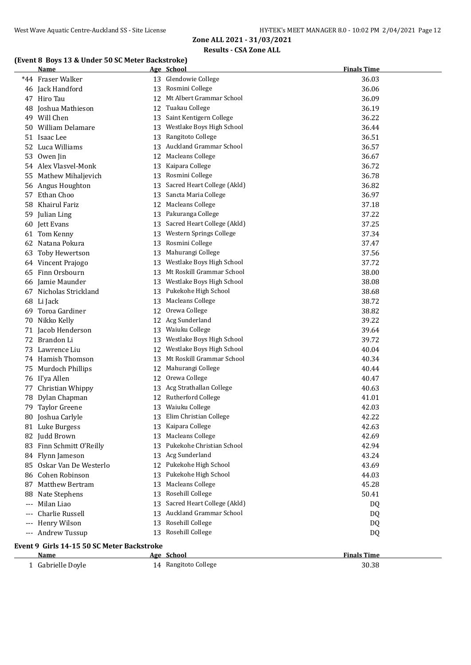## **(Event 8 Boys 13 & Under 50 SC Meter Backstroke)**

|     | <u>Name</u>                                |    | Age School                     | <b>Finals Time</b> |  |  |  |
|-----|--------------------------------------------|----|--------------------------------|--------------------|--|--|--|
|     | *44 Fraser Walker                          |    | 13 Glendowie College           | 36.03              |  |  |  |
|     | 46 Jack Handford                           |    | 13 Rosmini College             | 36.06              |  |  |  |
|     | 47 Hiro Tau                                |    | 12 Mt Albert Grammar School    | 36.09              |  |  |  |
|     | 48 Joshua Mathieson                        |    | 12 Tuakau College              | 36.19              |  |  |  |
|     | 49 Will Chen                               |    | 13 Saint Kentigern College     | 36.22              |  |  |  |
|     | 50 William Delamare                        |    | 13 Westlake Boys High School   | 36.44              |  |  |  |
|     | 51 Isaac Lee                               |    | 13 Rangitoto College           | 36.51              |  |  |  |
|     | 52 Luca Williams                           |    | 13 Auckland Grammar School     | 36.57              |  |  |  |
|     | 53 Owen Jin                                |    | 12 Macleans College            | 36.67              |  |  |  |
|     | 54 Alex Vlasvel-Monk                       |    | 13 Kaipara College             | 36.72              |  |  |  |
|     | 55 Mathew Mihaljevich                      |    | 13 Rosmini College             | 36.78              |  |  |  |
|     | 56 Angus Houghton                          |    | 13 Sacred Heart College (Akld) | 36.82              |  |  |  |
|     | 57 Ethan Choo                              |    | 13 Sancta Maria College        | 36.97              |  |  |  |
|     | 58 Khairul Fariz                           |    | 12 Macleans College            | 37.18              |  |  |  |
|     | 59 Julian Ling                             |    | 13 Pakuranga College           | 37.22              |  |  |  |
|     | 60 Jett Evans                              |    | 13 Sacred Heart College (Akld) | 37.25              |  |  |  |
|     | 61 Tom Kenny                               | 13 | Western Springs College        | 37.34              |  |  |  |
|     | 62 Natana Pokura                           |    | 13 Rosmini College             | 37.47              |  |  |  |
|     | 63 Toby Hewertson                          |    | 13 Mahurangi College           | 37.56              |  |  |  |
|     | 64 Vincent Prajogo                         |    | 13 Westlake Boys High School   | 37.72              |  |  |  |
|     | 65 Finn Orsbourn                           |    | 13 Mt Roskill Grammar School   | 38.00              |  |  |  |
|     | 66 Jamie Maunder                           |    | 13 Westlake Boys High School   | 38.08              |  |  |  |
|     | 67 Nicholas Strickland                     |    | 13 Pukekohe High School        | 38.68              |  |  |  |
|     | 68 Li Jack                                 | 13 | Macleans College               | 38.72              |  |  |  |
| 69. | Toroa Gardiner                             |    | 12 Orewa College               | 38.82              |  |  |  |
|     | 70 Nikko Kelly                             |    | 12 Acg Sunderland              | 39.22              |  |  |  |
|     | 71 Jacob Henderson                         |    | 13 Waiuku College              | 39.64              |  |  |  |
|     | 72 Brandon Li                              |    | 13 Westlake Boys High School   | 39.72              |  |  |  |
|     | 73 Lawrence Liu                            |    | 12 Westlake Boys High School   | 40.04              |  |  |  |
|     | 74 Hamish Thomson                          |    | 13 Mt Roskill Grammar School   | 40.34              |  |  |  |
|     | 75 Murdoch Phillips                        |    | 12 Mahurangi College           | 40.44              |  |  |  |
|     | 76 Il'ya Allen                             |    | 12 Orewa College               | 40.47              |  |  |  |
|     | 77 Christian Whippy                        |    | 13 Acg Strathallan College     | 40.63              |  |  |  |
|     | 78 Dylan Chapman                           |    | 12 Rutherford College          | 41.01              |  |  |  |
|     | 79 Taylor Greene                           |    | 13 Waiuku College              | 42.03              |  |  |  |
|     | 80 Joshua Carlyle                          |    | 13 Elim Christian College      | 42.22              |  |  |  |
|     | 81 Luke Burgess                            |    | 13 Kaipara College             | 42.63              |  |  |  |
|     | 82 Judd Brown                              |    | 13 Macleans College            | 42.69              |  |  |  |
|     | 83 Finn Schmitt O'Reilly                   |    | 13 Pukekohe Christian School   | 42.94              |  |  |  |
|     | 84 Flynn Jameson                           |    | 13 Acg Sunderland              | 43.24              |  |  |  |
|     | 85 Oskar Van De Westerlo                   |    | 12 Pukekohe High School        | 43.69              |  |  |  |
|     | 86 Cohen Robinson                          |    | 13 Pukekohe High School        | 44.03              |  |  |  |
|     | 87 Matthew Bertram                         |    | 13 Macleans College            | 45.28              |  |  |  |
| 88  | Nate Stephens                              |    | 13 Rosehill College            | 50.41              |  |  |  |
|     | Milan Liao                                 | 13 | Sacred Heart College (Akld)    | DQ                 |  |  |  |
|     | Charlie Russell                            |    | 13 Auckland Grammar School     | DQ                 |  |  |  |
|     | Henry Wilson                               |    | 13 Rosehill College            | DQ                 |  |  |  |
|     | --- Andrew Tussup                          |    | 13 Rosehill College            | DQ                 |  |  |  |
|     | Event 9 Girls 14-15 50 SC Meter Backstroke |    |                                |                    |  |  |  |
|     | Name                                       |    | Age School                     | <b>Finals Time</b> |  |  |  |
|     | 1 Gabrielle Doyle                          |    | 14 Rangitoto College           | 30.38              |  |  |  |
|     |                                            |    |                                |                    |  |  |  |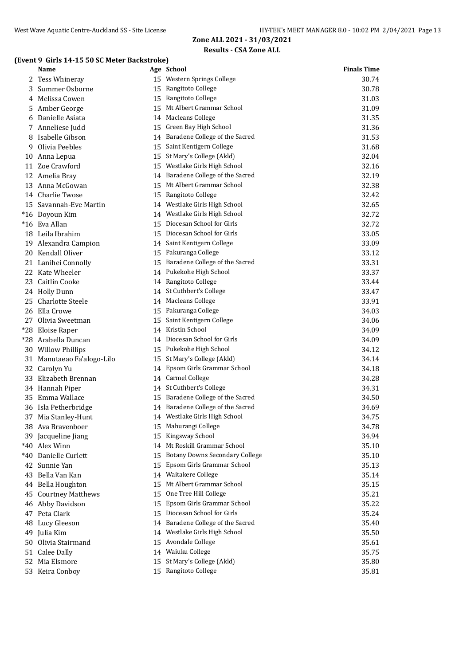#### **(Event 9 Girls 14-15 50 SC Meter Backstroke)**

|       | Name                       |    | Age School                        | <b>Finals Time</b> |
|-------|----------------------------|----|-----------------------------------|--------------------|
|       | 2 Tess Whineray            |    | 15 Western Springs College        | 30.74              |
|       | 3 Summer Osborne           |    | 15 Rangitoto College              | 30.78              |
|       | 4 Melissa Cowen            |    | 15 Rangitoto College              | 31.03              |
|       | 5 Amber George             | 15 | Mt Albert Grammar School          | 31.09              |
|       | 6 Danielle Asiata          |    | 14 Macleans College               | 31.35              |
|       | 7 Anneliese Judd           |    | 15 Green Bay High School          | 31.36              |
|       | 8 Isabelle Gibson          |    | 14 Baradene College of the Sacred | 31.53              |
| 9     | Olivia Peebles             |    | 15 Saint Kentigern College        | 31.68              |
|       | 10 Anna Lepua              |    | 15 St Mary's College (Akld)       | 32.04              |
|       | 11 Zoe Crawford            |    | 15 Westlake Girls High School     | 32.16              |
|       | 12 Amelia Bray             |    | 14 Baradene College of the Sacred | 32.19              |
|       | 13 Anna McGowan            |    | 15 Mt Albert Grammar School       | 32.38              |
|       | 14 Charlie Twose           |    | 15 Rangitoto College              | 32.42              |
|       | 15 Savannah-Eve Martin     |    | 14 Westlake Girls High School     | 32.65              |
|       | *16 Doyoun Kim             |    | 14 Westlake Girls High School     | 32.72              |
|       | *16 Eva Allan              |    | 15 Diocesan School for Girls      | 32.72              |
|       | 18 Leila Ibrahim           |    | 15 Diocesan School for Girls      | 33.05              |
|       | 19 Alexandra Campion       |    | 14 Saint Kentigern College        | 33.09              |
|       | 20 Kendall Oliver          |    | 15 Pakuranga College              | 33.12              |
|       | 21 Lanihei Connolly        |    | 15 Baradene College of the Sacred | 33.31              |
|       | 22 Kate Wheeler            |    | 14 Pukekohe High School           | 33.37              |
|       | 23 Caitlin Cooke           |    | 14 Rangitoto College              | 33.44              |
|       | 24 Holly Dunn              |    | 14 St Cuthbert's College          | 33.47              |
| 25.   | Charlotte Steele           |    | 14 Macleans College               | 33.91              |
| 26    | Ella Crowe                 |    | 15 Pakuranga College              | 34.03              |
|       | 27 Olivia Sweetman         | 15 | Saint Kentigern College           | 34.06              |
| $*28$ | Eloise Raper               |    | 14 Kristin School                 | 34.09              |
| $*28$ | Arabella Duncan            | 14 | Diocesan School for Girls         | 34.09              |
|       | 30 Willow Phillips         |    | 15 Pukekohe High School           | 34.12              |
|       | 31 Manutaeao Fa'alogo-Lilo |    | 15 St Mary's College (Akld)       | 34.14              |
|       | 32 Carolyn Yu              |    | 14 Epsom Girls Grammar School     | 34.18              |
|       | 33 Elizabeth Brennan       |    | 14 Carmel College                 | 34.28              |
|       | 34 Hannah Piper            |    | 14 St Cuthbert's College          | 34.31              |
|       | 35 Emma Wallace            |    | 15 Baradene College of the Sacred | 34.50              |
|       | 36 Isla Petherbridge       |    | 14 Baradene College of the Sacred | 34.69              |
|       | 37 Mia Stanley-Hunt        |    | 14 Westlake Girls High School     | 34.75              |
|       | 38 Ava Bravenboer          |    | 15 Mahurangi College              | 34.78              |
|       | 39 Jacqueline Jiang        |    | 15 Kingsway School                | 34.94              |
|       | *40 Alex Winn              |    | 14 Mt Roskill Grammar School      | 35.10              |
|       | *40 Danielle Curlett       |    | 15 Botany Downs Secondary College | 35.10              |
|       | 42 Sunnie Yan              | 15 | Epsom Girls Grammar School        | 35.13              |
| 43    | Bella Van Kan              |    | 14 Waitakere College              | 35.14              |
|       | 44 Bella Houghton          |    | 15 Mt Albert Grammar School       | 35.15              |
| 45    | <b>Courtney Matthews</b>   | 15 | One Tree Hill College             | 35.21              |
|       | 46 Abby Davidson           | 15 | Epsom Girls Grammar School        | 35.22              |
|       | 47 Peta Clark              |    | 15 Diocesan School for Girls      | 35.24              |
|       | 48 Lucy Gleeson            |    | 14 Baradene College of the Sacred | 35.40              |
|       | 49 Julia Kim               | 14 | Westlake Girls High School        | 35.50              |
|       | 50 Olivia Stairmand        |    | 15 Avondale College               | 35.61              |
|       | 51 Calee Dally             |    | 14 Waiuku College                 | 35.75              |
|       | 52 Mia Elsmore             |    | 15 St Mary's College (Akld)       | 35.80              |
|       | 53 Keira Conboy            |    | 15 Rangitoto College              | 35.81              |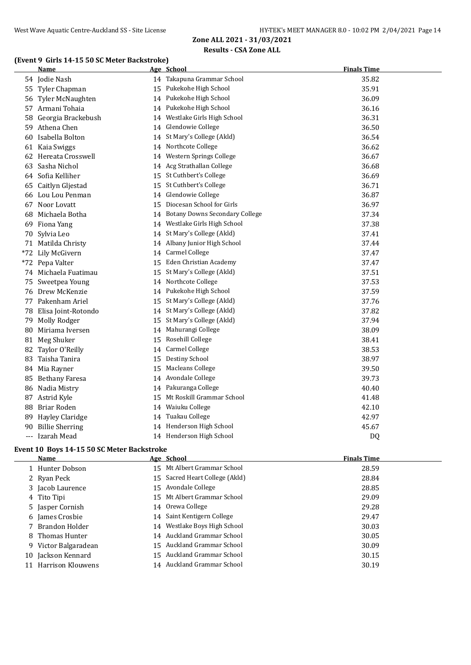## **(Event 9 Girls 14-15 50 SC Meter Backstroke)**

|    | Name                   |    | Age School                        | <b>Finals Time</b> |
|----|------------------------|----|-----------------------------------|--------------------|
|    | 54 Jodie Nash          |    | 14 Takapuna Grammar School        | 35.82              |
|    | 55 Tyler Chapman       | 15 | Pukekohe High School              | 35.91              |
| 56 | Tyler McNaughten       |    | 14 Pukekohe High School           | 36.09              |
|    | 57 Armani Tohaia       |    | 14 Pukekohe High School           | 36.16              |
| 58 | Georgia Brackebush     | 14 | Westlake Girls High School        | 36.31              |
| 59 | Athena Chen            | 14 | Glendowie College                 | 36.50              |
| 60 | Isabella Bolton        | 14 | St Mary's College (Akld)          | 36.54              |
| 61 | Kaia Swiggs            |    | 14 Northcote College              | 36.62              |
|    | 62 Hereata Crosswell   |    | 14 Western Springs College        | 36.67              |
|    | 63 Sasha Nichol        |    | 14 Acg Strathallan College        | 36.68              |
|    | 64 Sofia Kelliher      |    | 15 St Cuthbert's College          | 36.69              |
| 65 | Caitlyn Gljestad       |    | 15 St Cuthbert's College          | 36.71              |
|    | 66 Lou Lou Penman      |    | 14 Glendowie College              | 36.87              |
|    | 67 Noor Lovatt         |    | 15 Diocesan School for Girls      | 36.97              |
| 68 | Michaela Botha         |    | 14 Botany Downs Secondary College | 37.34              |
| 69 | Fiona Yang             |    | 14 Westlake Girls High School     | 37.38              |
| 70 | Sylvia Leo             |    | 14 St Mary's College (Akld)       | 37.41              |
|    | 71 Matilda Christy     |    | 14 Albany Junior High School      | 37.44              |
|    | *72 Lily McGivern      |    | 14 Carmel College                 | 37.47              |
|    | *72 Pepa Valter        | 15 | Eden Christian Academy            | 37.47              |
|    | 74 Michaela Fuatimau   | 15 | St Mary's College (Akld)          | 37.51              |
| 75 | Sweetpea Young         | 14 | Northcote College                 | 37.53              |
|    | 76 Drew McKenzie       | 14 | Pukekohe High School              | 37.59              |
|    | 77 Pakenham Ariel      | 15 | St Mary's College (Akld)          | 37.76              |
| 78 | Elisa Joint-Rotondo    | 14 | St Mary's College (Akld)          | 37.82              |
| 79 | Molly Rodger           |    | 15 St Mary's College (Akld)       | 37.94              |
| 80 | Miriama Iversen        |    | 14 Mahurangi College              | 38.09              |
| 81 | Meg Shuker             | 15 | Rosehill College                  | 38.41              |
| 82 | Taylor O'Reilly        |    | 14 Carmel College                 | 38.53              |
| 83 | Taisha Tanira          |    | 15 Destiny School                 | 38.97              |
|    | 84 Mia Rayner          | 15 | Macleans College                  | 39.50              |
|    | 85 Bethany Faresa      |    | 14 Avondale College               | 39.73              |
|    | 86 Nadia Mistry        |    | 14 Pakuranga College              | 40.40              |
| 87 | Astrid Kyle            | 15 | Mt Roskill Grammar School         | 41.48              |
| 88 | Briar Roden            | 14 | Waiuku College                    | 42.10              |
| 89 | <b>Hayley Claridge</b> |    | 14 Tuakau College                 | 42.97              |
| 90 | <b>Billie Sherring</b> |    | 14 Henderson High School          | 45.67              |
|    | --- Izarah Mead        |    | 14 Henderson High School          | D <sub>Q</sub>     |

#### **Event 10 Boys 14-15 50 SC Meter Backstroke**

| <b>Name</b>          | Age School                     | <b>Finals Time</b> |
|----------------------|--------------------------------|--------------------|
| 1 Hunter Dobson      | 15 Mt Albert Grammar School    | 28.59              |
| 2 Ryan Peck          | 15 Sacred Heart College (Akld) | 28.84              |
| 3 Jacob Laurence     | 15 Avondale College            | 28.85              |
| 4 Tito Tipi          | 15 Mt Albert Grammar School    | 29.09              |
| 5 Jasper Cornish     | 14 Orewa College               | 29.28              |
| 6 James Crosbie      | 14 Saint Kentigern College     | 29.47              |
| 7 Brandon Holder     | 14 Westlake Boys High School   | 30.03              |
| 8 Thomas Hunter      | 14 Auckland Grammar School     | 30.05              |
| 9 Victor Balgaradean | 15 Auckland Grammar School     | 30.09              |
| 10 Jackson Kennard   | 15 Auckland Grammar School     | 30.15              |
| Harrison Klouwens    | 14 Auckland Grammar School     | 30.19              |
|                      |                                |                    |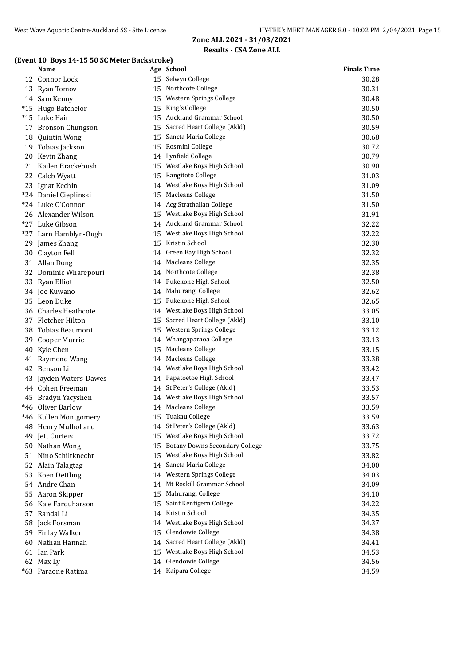#### **(Event 10 Boys 14-15 50 SC Meter Backstroke)**

|    | Name                   |    | Age School                            | <b>Finals Time</b> |
|----|------------------------|----|---------------------------------------|--------------------|
|    | 12 Connor Lock         |    | 15 Selwyn College                     | 30.28              |
|    | 13 Ryan Tomov          |    | 15 Northcote College                  | 30.31              |
|    | 14 Sam Kenny           |    | 15 Western Springs College            | 30.48              |
|    | *15 Hugo Batchelor     |    | 15 King's College                     | 30.50              |
|    | *15 Luke Hair          |    | 15 Auckland Grammar School            | 30.50              |
|    | 17 Bronson Chungson    |    | 15 Sacred Heart College (Akld)        | 30.59              |
|    | 18 Quintin Wong        |    | 15 Sancta Maria College               | 30.68              |
|    | 19 Tobias Jackson      |    | 15 Rosmini College                    | 30.72              |
|    | 20 Kevin Zhang         |    | 14 Lynfield College                   | 30.79              |
|    | 21 Kailen Brackebush   |    | 15 Westlake Boys High School          | 30.90              |
|    | 22 Caleb Wyatt         |    | 15 Rangitoto College                  | 31.03              |
|    | 23 Ignat Kechin        |    | 14 Westlake Boys High School          | 31.09              |
|    | *24 Daniel Cieplinski  |    | 15 Macleans College                   | 31.50              |
|    | *24 Luke O'Connor      |    | 14 Acg Strathallan College            | 31.50              |
|    | 26 Alexander Wilson    |    | 15 Westlake Boys High School          | 31.91              |
|    | *27 Luke Gibson        |    | 14 Auckland Grammar School            | 32.22              |
|    | *27 Larn Hamblyn-Ough  |    | 15 Westlake Boys High School          | 32.22              |
|    | 29 James Zhang         |    | 15 Kristin School                     | 32.30              |
|    | 30 Clayton Fell        |    | 14 Green Bay High School              | 32.32              |
|    | 31 Allan Dong          |    | 14 Macleans College                   | 32.35              |
|    | 32 Dominic Wharepouri  |    | 14 Northcote College                  | 32.38              |
|    | 33 Ryan Elliot         |    | 14 Pukekohe High School               | 32.50              |
|    | 34 Joe Kuwano          |    | 14 Mahurangi College                  | 32.62              |
|    | 35 Leon Duke           | 15 | Pukekohe High School                  | 32.65              |
|    | 36 Charles Heathcote   |    | 14 Westlake Boys High School          | 33.05              |
|    | 37 Fletcher Hilton     |    | 15 Sacred Heart College (Akld)        | 33.10              |
| 38 | Tobias Beaumont        |    | 15 Western Springs College            | 33.12              |
| 39 | Cooper Murrie          |    | 14 Whangaparaoa College               | 33.13              |
|    | 40 Kyle Chen           |    | 15 Macleans College                   | 33.15              |
|    | 41 Raymond Wang        |    | 14 Macleans College                   | 33.38              |
|    | 42 Benson Li           |    | 14 Westlake Boys High School          | 33.42              |
|    | 43 Jayden Waters-Dawes |    | 14 Papatoetoe High School             | 33.47              |
|    | 44 Cohen Freeman       |    | 14 St Peter's College (Akld)          | 33.53              |
|    | 45 Bradyn Yacyshen     |    | 14 Westlake Boys High School          | 33.57              |
|    | *46 Oliver Barlow      |    | 14 Macleans College                   | 33.59              |
|    | *46 Kullen Montgomery  |    | 15 Tuakau College                     | 33.59              |
|    | 48 Henry Mulholland    |    | 14 St Peter's College (Akld)          | 33.63              |
|    | 49 Jett Curteis        |    | 15 Westlake Boys High School          | 33.72              |
|    | 50 Nathan Wong         | 15 | <b>Botany Downs Secondary College</b> | 33.75              |
|    | 51 Nino Schiltknecht   | 15 | Westlake Boys High School             | 33.82              |
|    | 52 Alain Talagtag      | 14 | Sancta Maria College                  | 34.00              |
|    | 53 Koen Dettling       | 14 | Western Springs College               | 34.03              |
|    | 54 Andre Chan          | 14 | Mt Roskill Grammar School             | 34.09              |
|    | 55 Aaron Skipper       | 15 | Mahurangi College                     | 34.10              |
|    | 56 Kale Farquharson    | 15 | Saint Kentigern College               | 34.22              |
|    | 57 Randal Li           |    | 14 Kristin School                     | 34.35              |
| 58 | Jack Forsman           | 14 | Westlake Boys High School             | 34.37              |
| 59 | <b>Finlay Walker</b>   | 15 | Glendowie College                     | 34.38              |
| 60 | Nathan Hannah          | 14 | Sacred Heart College (Akld)           | 34.41              |
|    | 61 Ian Park            | 15 | Westlake Boys High School             | 34.53              |
|    | 62 Max Ly              | 14 | Glendowie College                     | 34.56              |
|    | *63 Paraone Ratima     |    | 14 Kaipara College                    | 34.59              |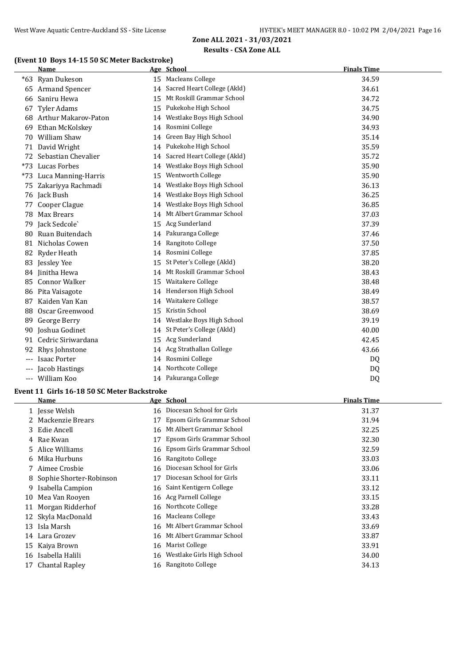## **(Event 10 Boys 14-15 50 SC Meter Backstroke)**

|       | <b>Name</b>             |    | Age School                     | <b>Finals Time</b> |  |
|-------|-------------------------|----|--------------------------------|--------------------|--|
|       | *63 Ryan Dukeson        |    | 15 Macleans College            | 34.59              |  |
|       | 65 Armand Spencer       |    | 14 Sacred Heart College (Akld) | 34.61              |  |
| 66    | Saniru Hewa             |    | 15 Mt Roskill Grammar School   | 34.72              |  |
| 67    | <b>Tyler Adams</b>      |    | 15 Pukekohe High School        | 34.75              |  |
|       | 68 Arthur Makarov-Paton | 14 | Westlake Boys High School      | 34.90              |  |
| 69    | Ethan McKolskey         |    | 14 Rosmini College             | 34.93              |  |
| 70    | William Shaw            |    | 14 Green Bay High School       | 35.14              |  |
|       | 71 David Wright         |    | 14 Pukekohe High School        | 35.59              |  |
| 72    | Sebastian Chevalier     |    | 14 Sacred Heart College (Akld) | 35.72              |  |
|       | *73 Lucas Forbes        |    | 14 Westlake Boys High School   | 35.90              |  |
|       | *73 Luca Manning-Harris | 15 | Wentworth College              | 35.90              |  |
|       | 75 Zakariyya Rachmadi   |    | 14 Westlake Boys High School   | 36.13              |  |
|       | 76 Jack Bush            | 14 | Westlake Boys High School      | 36.25              |  |
| 77    | Cooper Clague           | 14 | Westlake Boys High School      | 36.85              |  |
|       | 78 Max Brears           |    | 14 Mt Albert Grammar School    | 37.03              |  |
|       | 79 Jack Sedcole'        |    | 15 Acg Sunderland              | 37.39              |  |
| 80    | Ruan Buitendach         |    | 14 Pakuranga College           | 37.46              |  |
|       | 81 Nicholas Cowen       |    | 14 Rangitoto College           | 37.50              |  |
|       | 82 Ryder Heath          |    | 14 Rosmini College             | 37.85              |  |
|       | 83 Jessley Yee          | 15 | St Peter's College (Akld)      | 38.20              |  |
|       | 84 Jinitha Hewa         |    | 14 Mt Roskill Grammar School   | 38.43              |  |
|       | 85 Connor Walker        | 15 | Waitakere College              | 38.48              |  |
|       | 86 Pita Vaisagote       |    | 14 Henderson High School       | 38.49              |  |
|       | 87 Kaiden Van Kan       | 14 | Waitakere College              | 38.57              |  |
| 88    | Oscar Greenwood         | 15 | Kristin School                 | 38.69              |  |
| 89    | George Berry            | 14 | Westlake Boys High School      | 39.19              |  |
| 90    | Joshua Godinet          |    | 14 St Peter's College (Akld)   | 40.00              |  |
|       | 91 Cedric Siriwardana   |    | 15 Acg Sunderland              | 42.45              |  |
| 92    | Rhys Johnstone          |    | 14 Acg Strathallan College     | 43.66              |  |
| $---$ | <b>Isaac Porter</b>     |    | 14 Rosmini College             | DQ                 |  |
|       | Jacob Hastings          |    | 14 Northcote College           | DQ                 |  |
| $---$ | William Koo             |    | 14 Pakuranga College           | D <sub>Q</sub>     |  |

# **Event 11 Girls 16-18 50 SC Meter Backstroke**

|    | Name                      |    | Age School                    | <b>Finals Time</b> |
|----|---------------------------|----|-------------------------------|--------------------|
|    | 1 Jesse Welsh             |    | 16 Diocesan School for Girls  | 31.37              |
|    | 2 Mackenzie Brears        | 17 | Epsom Girls Grammar School    | 31.94              |
|    | 3 Edie Ancell             |    | 16 Mt Albert Grammar School   | 32.25              |
|    | 4 Rae Kwan                | 17 | Epsom Girls Grammar School    | 32.30              |
| 5. | Alice Williams            |    | 16 Epsom Girls Grammar School | 32.59              |
| 6  | Mika Hurbuns              |    | 16 Rangitoto College          | 33.03              |
|    | Aimee Crosbie             | 16 | Diocesan School for Girls     | 33.06              |
|    | 8 Sophie Shorter-Robinson | 17 | Diocesan School for Girls     | 33.11              |
| 9  | Isabella Campion          |    | 16 Saint Kentigern College    | 33.12              |
| 10 | Mea Van Rooven            |    | 16 Acg Parnell College        | 33.15              |
| 11 | Morgan Ridderhof          |    | 16 Northcote College          | 33.28              |
|    | 12 Skyla MacDonald        |    | 16 Macleans College           | 33.43              |
| 13 | Isla Marsh                |    | 16 Mt Albert Grammar School   | 33.69              |
|    | 14 Lara Grozev            |    | 16 Mt Albert Grammar School   | 33.87              |
|    | 15 Kaiya Brown            | 16 | Marist College                | 33.91              |
|    | 16 Isabella Halili        | 16 | Westlake Girls High School    | 34.00              |
|    | Chantal Rapley            | 16 | Rangitoto College             | 34.13              |
|    |                           |    |                               |                    |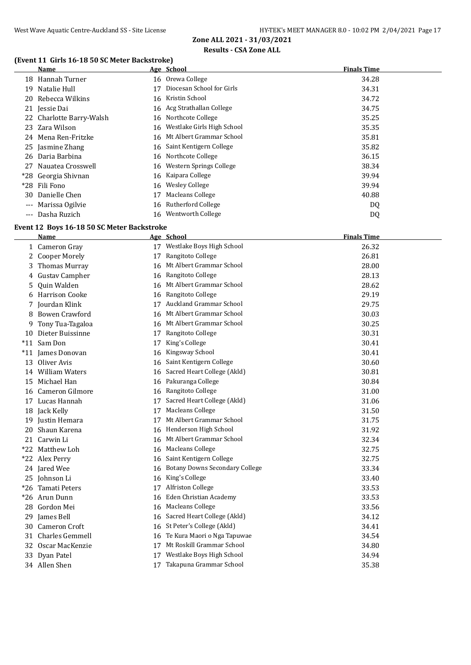## **(Event 11 Girls 16-18 50 SC Meter Backstroke)**

|          | Name                     |    | Age School                    | <b>Finals Time</b> |
|----------|--------------------------|----|-------------------------------|--------------------|
|          | 18 Hannah Turner         |    | 16 Orewa College              | 34.28              |
| 19       | Natalie Hull             | 17 | Diocesan School for Girls     | 34.31              |
| 20       | Rebecca Wilkins          | 16 | Kristin School                | 34.72              |
|          | 21 Jessie Dai            |    | 16 Acg Strathallan College    | 34.75              |
|          | 22 Charlotte Barry-Walsh |    | 16 Northcote College          | 35.25              |
|          | 23 Zara Wilson           |    | 16 Westlake Girls High School | 35.35              |
|          | 24 Mena Ren-Fritzke      |    | 16 Mt Albert Grammar School   | 35.81              |
|          | 25 Jasmine Zhang         |    | 16 Saint Kentigern College    | 35.82              |
|          | 26 Daria Barbina         |    | 16 Northcote College          | 36.15              |
|          | 27 Nauatea Crosswell     |    | 16 Western Springs College    | 38.34              |
|          | *28 Georgia Shivnan      |    | 16 Kaipara College            | 39.94              |
|          | *28 Fili Fono            | 16 | Wesley College                | 39.94              |
| 30       | Danielle Chen            | 17 | Macleans College              | 40.88              |
| $---$    | Marissa Ogilvie          |    | 16 Rutherford College         | DQ                 |
| $\cdots$ | Dasha Ruzich             |    | 16 Wentworth College          | DQ                 |

#### **Event 12 Boys 16-18 50 SC Meter Backstroke**

|    | Name                |    | Age School                            | <b>Finals Time</b> |
|----|---------------------|----|---------------------------------------|--------------------|
|    | 1 Cameron Gray      |    | 17 Westlake Boys High School          | 26.32              |
|    | 2 Cooper Morely     | 17 | Rangitoto College                     | 26.81              |
| 3  | Thomas Murray       |    | 16 Mt Albert Grammar School           | 28.00              |
|    | 4 Gustav Campher    |    | 16 Rangitoto College                  | 28.13              |
| 5. | Quin Walden         | 16 | Mt Albert Grammar School              | 28.62              |
|    | 6 Harrison Cooke    |    | 16 Rangitoto College                  | 29.19              |
|    | 7 Jourdan Klink     | 17 | <b>Auckland Grammar School</b>        | 29.75              |
|    | 8 Bowen Crawford    |    | 16 Mt Albert Grammar School           | 30.03              |
| 9  | Tony Tua-Tagaloa    |    | 16 Mt Albert Grammar School           | 30.25              |
|    | 10 Dieter Buissinne | 17 | Rangitoto College                     | 30.31              |
|    | *11 Sam Don         | 17 | King's College                        | 30.41              |
|    | *11 James Donovan   | 16 | Kingsway School                       | 30.41              |
|    | 13 Oliver Avis      | 16 | Saint Kentigern College               | 30.60              |
|    | 14 William Waters   | 16 | Sacred Heart College (Akld)           | 30.81              |
| 15 | Michael Han         | 16 | Pakuranga College                     | 30.84              |
| 16 | Cameron Gilmore     | 16 | Rangitoto College                     | 31.00              |
|    | 17 Lucas Hannah     | 17 | Sacred Heart College (Akld)           | 31.06              |
|    | 18 Jack Kelly       | 17 | Macleans College                      | 31.50              |
|    | 19 Justin Hemara    | 17 | Mt Albert Grammar School              | 31.75              |
|    | 20 Shaun Karena     |    | 16 Henderson High School              | 31.92              |
|    | 21 Carwin Li        |    | 16 Mt Albert Grammar School           | 32.34              |
|    | *22 Matthew Loh     |    | 16 Macleans College                   | 32.75              |
|    | *22 Alex Perry      |    | 16 Saint Kentigern College            | 32.75              |
|    | 24 Jared Wee        | 16 | <b>Botany Downs Secondary College</b> | 33.34              |
|    | 25 Johnson Li       | 16 | King's College                        | 33.40              |
|    | *26 Tamati Peters   | 17 | <b>Alfriston College</b>              | 33.53              |
|    | *26 Arun Dunn       | 16 | Eden Christian Academy                | 33.53              |
|    | 28 Gordon Mei       |    | 16 Macleans College                   | 33.56              |
|    | 29 James Bell       | 16 | Sacred Heart College (Akld)           | 34.12              |
|    | 30 Cameron Croft    | 16 | St Peter's College (Akld)             | 34.41              |
| 31 | Charles Gemmell     | 16 | Te Kura Maori o Nga Tapuwae           | 34.54              |
|    | 32 Oscar MacKenzie  | 17 | Mt Roskill Grammar School             | 34.80              |
|    | 33 Dyan Patel       | 17 | Westlake Boys High School             | 34.94              |
|    | 34 Allen Shen       | 17 | Takapuna Grammar School               | 35.38              |
|    |                     |    |                                       |                    |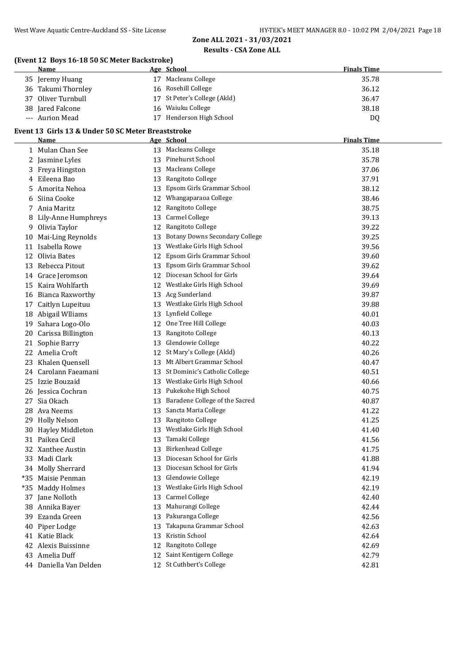## **(Event 12 Boys 16-18 50 SC Meter Backstroke)**

|       | (EVENT 12 DOYS 10-10 50 SC METER BACKSTOKE)<br><b>Name</b> |    | Age School                            | <b>Finals Time</b> |
|-------|------------------------------------------------------------|----|---------------------------------------|--------------------|
|       | 35 Jeremy Huang                                            |    | 17 Macleans College                   | 35.78              |
|       | 36 Takumi Thornley                                         |    | 16 Rosehill College                   | 36.12              |
|       | 37 Oliver Turnbull                                         |    | 17 St Peter's College (Akld)          | 36.47              |
|       | 38 Jared Falcone                                           |    | 16 Waiuku College                     | 38.18              |
|       | --- Aurion Mead                                            |    | 17 Henderson High School              | DQ                 |
|       | Event 13 Girls 13 & Under 50 SC Meter Breaststroke         |    |                                       |                    |
|       | Name                                                       |    | Age School                            | <b>Finals Time</b> |
|       | 1 Mulan Chan See                                           |    | 13 Macleans College                   | 35.18              |
|       | 2 Jasmine Lyles                                            |    | 13 Pinehurst School                   | 35.78              |
|       | 3 Freya Hingston                                           |    | 13 Macleans College                   | 37.06              |
| 4     | Eileena Bao                                                |    | 13 Rangitoto College                  | 37.91              |
| 5     | Amorita Nehoa                                              | 13 | Epsom Girls Grammar School            | 38.12              |
| 6     | Siina Cooke                                                | 12 | Whangaparaoa College                  | 38.46              |
|       | 7 Ania Maritz                                              | 12 | Rangitoto College                     | 38.75              |
| 8     | Lily-Anne Humphreys                                        | 13 | <b>Carmel College</b>                 | 39.13              |
| 9     | Olivia Taylor                                              | 12 | Rangitoto College                     | 39.22              |
| 10    | Mai-Ling Reynolds                                          | 13 | <b>Botany Downs Secondary College</b> | 39.25              |
| 11    | Isabella Rowe                                              | 13 | Westlake Girls High School            | 39.56              |
| 12    | Olivia Bates                                               | 12 | Epsom Girls Grammar School            | 39.60              |
|       | 13 Rebecca Pitout                                          | 13 | Epsom Girls Grammar School            | 39.62              |
|       | 14 Grace Jeromson                                          | 12 | Diocesan School for Girls             | 39.64              |
|       | 15 Kaira Wohlfarth                                         |    | 12 Westlake Girls High School         | 39.69              |
|       | 16 Bianca Raxworthy                                        |    | 13 Acg Sunderland                     | 39.87              |
| 17    | Caitlyn Lupeituu                                           |    | 13 Westlake Girls High School         | 39.88              |
|       | 18 Abigail Wlliams                                         |    | 13 Lynfield College                   | 40.01              |
| 19    | Sahara Logo-Olo                                            |    | 12 One Tree Hill College              | 40.03              |
| 20    | Carissa Billington                                         |    | 13 Rangitoto College                  | 40.13              |
| 21    | Sophie Barry                                               | 13 | Glendowie College                     | 40.22              |
|       | 22 Amelia Croft                                            |    | 12 St Mary's College (Akld)           | 40.26              |
| 23    | Khalen Quensell                                            |    | 13 Mt Albert Grammar School           | 40.47              |
|       | 24 Carolann Faeamani                                       |    | 13 St Dominic's Catholic College      | 40.51              |
|       | 25 Izzie Bouzaid                                           |    | 13 Westlake Girls High School         | 40.66              |
|       | 26 Jessica Cochran                                         |    | 13 Pukekohe High School               | 40.75              |
| 27    | Sia Okach                                                  |    | 13 Baradene College of the Sacred     | 40.87              |
|       | 28 Ava Neems                                               |    | 13 Sancta Maria College               | 41.22              |
|       | 29 Holly Nelson                                            |    | 13 Rangitoto College                  | 41.25              |
|       | 30 Hayley Middleton                                        | 13 | Westlake Girls High School            | 41.40              |
|       | 31 Paikea Cecil                                            | 13 | Tamaki College                        | 41.56              |
|       | 32 Xanthee Austin                                          | 13 | <b>Birkenhead College</b>             | 41.75              |
|       | 33 Madi Clark                                              | 13 | Diocesan School for Girls             | 41.88              |
|       | 34 Molly Sherrard                                          | 13 | Diocesan School for Girls             | 41.94              |
| *35   | Maisie Penman                                              | 13 | Glendowie College                     | 42.19              |
| $*35$ | <b>Maddy Holmes</b>                                        | 13 | Westlake Girls High School            | 42.19              |
| 37    | Jane Nolloth                                               | 13 | Carmel College                        | 42.40              |
| 38    | Annika Bayer                                               | 13 | Mahurangi College                     | 42.44              |
| 39    | Ezanda Green                                               | 13 | Pakuranga College                     | 42.56              |
| 40    | Piper Lodge                                                | 13 | Takapuna Grammar School               | 42.63              |
|       | 41 Katie Black                                             | 13 | Kristin School                        | 42.64              |
| 42    | Alexis Buissinne                                           | 12 | Rangitoto College                     | 42.69              |
| 43    | Amelia Duff                                                | 12 | Saint Kentigern College               | 42.79              |
|       | 44 Daniella Van Delden                                     |    | 12 St Cuthbert's College              | 42.81              |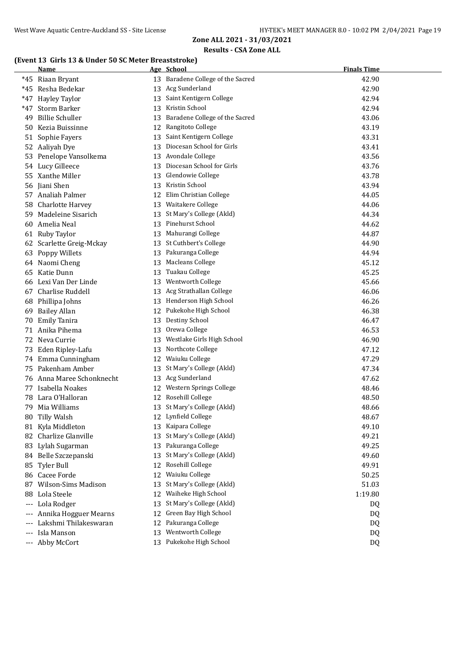## **(Event 13 Girls 13 & Under 50 SC Meter Breaststroke)**

| 13 Baradene College of the Sacred<br>42.90<br>*45 Riaan Bryant<br>13 Acg Sunderland<br>*45 Resha Bedekar<br>42.90<br>13 Saint Kentigern College<br>*47 Hayley Taylor<br>42.94<br>Kristin School<br>Storm Barker<br>42.94<br>$*47$<br>13<br>Baradene College of the Sacred<br><b>Billie Schuller</b><br>43.06<br>49<br>13<br>Rangitoto College<br>43.19<br>Kezia Buissinne<br>12<br>50<br>Saint Kentigern College<br>51 Sophie Fayers<br>43.31<br>13<br>Diocesan School for Girls<br>Aaliyah Dye<br>43.41<br>52<br>13<br>Avondale College<br>Penelope Vansolkema<br>43.56<br>53<br>13<br>Diocesan School for Girls<br>Lucy Gilleece<br>43.76<br>13<br>54<br>Glendowie College<br>55 Xanthe Miller<br>43.78<br>13<br>Kristin School<br>Jiani Shen<br>43.94<br>13<br>56<br>Elim Christian College<br>44.05<br>Analiah Palmer<br>12<br>57<br>Waitakere College<br>Charlotte Harvey<br>44.06<br>58<br>13<br>St Mary's College (Akld)<br>44.34<br>Madeleine Sisarich<br>13<br>59<br>Pinehurst School<br>Amelia Neal<br>44.62<br>13<br>60<br>Mahurangi College<br>44.87<br>61 Ruby Taylor<br>13<br>13 St Cuthbert's College<br>44.90<br>62 Scarlette Greig-Mckay<br>13 Pakuranga College<br>44.94<br>63<br>Poppy Willets<br><b>Macleans College</b><br>Naomi Cheng<br>45.12<br>13<br>64<br>Tuakau College<br>45.25<br>Katie Dunn<br>65<br>13<br>Wentworth College<br>Lexi Van Der Linde<br>45.66<br>13<br>66<br>Acg Strathallan College<br>46.06<br>Charlise Ruddell<br>13<br>67<br>Henderson High School<br>46.26<br>68<br>Phillipa Johns<br>13<br>12 Pukekohe High School<br>46.38<br>69<br><b>Bailey Allan</b><br>Destiny School<br>46.47<br><b>Emily Tanira</b><br>13<br>70<br>Orewa College<br>71 Anika Pihema<br>46.53<br>13<br>Westlake Girls High School<br>72 Neva Currie<br>46.90<br>13<br>Northcote College<br>47.12<br>73 Eden Ripley-Lafu<br>13<br>74 Emma Cunningham<br>Waiuku College<br>47.29<br>12<br>St Mary's College (Akld)<br>Pakenham Amber<br>47.34<br>75<br>13<br>Anna Maree Schonknecht<br>13 Acg Sunderland<br>47.62<br>76<br>12 Western Springs College<br>Isabella Noakes<br>48.46<br>77<br>Lara O'Halloran<br>12 Rosehill College<br>48.50<br>78<br>13 St Mary's College (Akld)<br>Mia Williams<br>48.66<br>79<br>12 Lynfield College<br>80<br>Tilly Walsh<br>48.67<br>Kaipara College<br>81 Kyla Middleton<br>49.10<br>13<br>St Mary's College (Akld)<br>82 Charlize Glanville<br>49.21<br>13<br>Pakuranga College<br>Lylah Sugarman<br>49.25<br>83<br>13<br>St Mary's College (Akld)<br>84 Belle Szczepanski<br>49.60<br>13<br>Rosehill College<br>49.91<br>85 Tyler Bull<br>12<br>Waiuku College<br>86 Cacee Forde<br>50.25<br>12<br>St Mary's College (Akld)<br>87 Wilson-Sims Madison<br>51.03<br>13<br>Waiheke High School<br>Lola Steele<br>1:19.80<br>12<br>88<br>St Mary's College (Akld)<br>Lola Rodger<br>DQ<br>13<br>$---$<br>Green Bay High School<br>Annika Hogguer Mearns<br>12<br>DQ<br>$---$<br>Pakuranga College<br>Lakshmi Thilakeswaran<br>DQ<br>12<br>$---$<br>Wentworth College<br>Isla Manson<br>13<br>DQ<br>$---$<br>13 Pukekohe High School<br>Abby McCort<br>DQ<br>$---$ | Name | Age School | <b>Finals Time</b> |
|--------------------------------------------------------------------------------------------------------------------------------------------------------------------------------------------------------------------------------------------------------------------------------------------------------------------------------------------------------------------------------------------------------------------------------------------------------------------------------------------------------------------------------------------------------------------------------------------------------------------------------------------------------------------------------------------------------------------------------------------------------------------------------------------------------------------------------------------------------------------------------------------------------------------------------------------------------------------------------------------------------------------------------------------------------------------------------------------------------------------------------------------------------------------------------------------------------------------------------------------------------------------------------------------------------------------------------------------------------------------------------------------------------------------------------------------------------------------------------------------------------------------------------------------------------------------------------------------------------------------------------------------------------------------------------------------------------------------------------------------------------------------------------------------------------------------------------------------------------------------------------------------------------------------------------------------------------------------------------------------------------------------------------------------------------------------------------------------------------------------------------------------------------------------------------------------------------------------------------------------------------------------------------------------------------------------------------------------------------------------------------------------------------------------------------------------------------------------------------------------------------------------------------------------------------------------------------------------------------------------------------------------------------------------------------------------------------------------------------------------------------------------------------------------------------------------------------------------------------------------------------------------------------------------------------------------------------------------------------------------------------------------------------------------------------------------------------------------------------------------------|------|------------|--------------------|
|                                                                                                                                                                                                                                                                                                                                                                                                                                                                                                                                                                                                                                                                                                                                                                                                                                                                                                                                                                                                                                                                                                                                                                                                                                                                                                                                                                                                                                                                                                                                                                                                                                                                                                                                                                                                                                                                                                                                                                                                                                                                                                                                                                                                                                                                                                                                                                                                                                                                                                                                                                                                                                                                                                                                                                                                                                                                                                                                                                                                                                                                                                                          |      |            |                    |
|                                                                                                                                                                                                                                                                                                                                                                                                                                                                                                                                                                                                                                                                                                                                                                                                                                                                                                                                                                                                                                                                                                                                                                                                                                                                                                                                                                                                                                                                                                                                                                                                                                                                                                                                                                                                                                                                                                                                                                                                                                                                                                                                                                                                                                                                                                                                                                                                                                                                                                                                                                                                                                                                                                                                                                                                                                                                                                                                                                                                                                                                                                                          |      |            |                    |
|                                                                                                                                                                                                                                                                                                                                                                                                                                                                                                                                                                                                                                                                                                                                                                                                                                                                                                                                                                                                                                                                                                                                                                                                                                                                                                                                                                                                                                                                                                                                                                                                                                                                                                                                                                                                                                                                                                                                                                                                                                                                                                                                                                                                                                                                                                                                                                                                                                                                                                                                                                                                                                                                                                                                                                                                                                                                                                                                                                                                                                                                                                                          |      |            |                    |
|                                                                                                                                                                                                                                                                                                                                                                                                                                                                                                                                                                                                                                                                                                                                                                                                                                                                                                                                                                                                                                                                                                                                                                                                                                                                                                                                                                                                                                                                                                                                                                                                                                                                                                                                                                                                                                                                                                                                                                                                                                                                                                                                                                                                                                                                                                                                                                                                                                                                                                                                                                                                                                                                                                                                                                                                                                                                                                                                                                                                                                                                                                                          |      |            |                    |
|                                                                                                                                                                                                                                                                                                                                                                                                                                                                                                                                                                                                                                                                                                                                                                                                                                                                                                                                                                                                                                                                                                                                                                                                                                                                                                                                                                                                                                                                                                                                                                                                                                                                                                                                                                                                                                                                                                                                                                                                                                                                                                                                                                                                                                                                                                                                                                                                                                                                                                                                                                                                                                                                                                                                                                                                                                                                                                                                                                                                                                                                                                                          |      |            |                    |
|                                                                                                                                                                                                                                                                                                                                                                                                                                                                                                                                                                                                                                                                                                                                                                                                                                                                                                                                                                                                                                                                                                                                                                                                                                                                                                                                                                                                                                                                                                                                                                                                                                                                                                                                                                                                                                                                                                                                                                                                                                                                                                                                                                                                                                                                                                                                                                                                                                                                                                                                                                                                                                                                                                                                                                                                                                                                                                                                                                                                                                                                                                                          |      |            |                    |
|                                                                                                                                                                                                                                                                                                                                                                                                                                                                                                                                                                                                                                                                                                                                                                                                                                                                                                                                                                                                                                                                                                                                                                                                                                                                                                                                                                                                                                                                                                                                                                                                                                                                                                                                                                                                                                                                                                                                                                                                                                                                                                                                                                                                                                                                                                                                                                                                                                                                                                                                                                                                                                                                                                                                                                                                                                                                                                                                                                                                                                                                                                                          |      |            |                    |
|                                                                                                                                                                                                                                                                                                                                                                                                                                                                                                                                                                                                                                                                                                                                                                                                                                                                                                                                                                                                                                                                                                                                                                                                                                                                                                                                                                                                                                                                                                                                                                                                                                                                                                                                                                                                                                                                                                                                                                                                                                                                                                                                                                                                                                                                                                                                                                                                                                                                                                                                                                                                                                                                                                                                                                                                                                                                                                                                                                                                                                                                                                                          |      |            |                    |
|                                                                                                                                                                                                                                                                                                                                                                                                                                                                                                                                                                                                                                                                                                                                                                                                                                                                                                                                                                                                                                                                                                                                                                                                                                                                                                                                                                                                                                                                                                                                                                                                                                                                                                                                                                                                                                                                                                                                                                                                                                                                                                                                                                                                                                                                                                                                                                                                                                                                                                                                                                                                                                                                                                                                                                                                                                                                                                                                                                                                                                                                                                                          |      |            |                    |
|                                                                                                                                                                                                                                                                                                                                                                                                                                                                                                                                                                                                                                                                                                                                                                                                                                                                                                                                                                                                                                                                                                                                                                                                                                                                                                                                                                                                                                                                                                                                                                                                                                                                                                                                                                                                                                                                                                                                                                                                                                                                                                                                                                                                                                                                                                                                                                                                                                                                                                                                                                                                                                                                                                                                                                                                                                                                                                                                                                                                                                                                                                                          |      |            |                    |
|                                                                                                                                                                                                                                                                                                                                                                                                                                                                                                                                                                                                                                                                                                                                                                                                                                                                                                                                                                                                                                                                                                                                                                                                                                                                                                                                                                                                                                                                                                                                                                                                                                                                                                                                                                                                                                                                                                                                                                                                                                                                                                                                                                                                                                                                                                                                                                                                                                                                                                                                                                                                                                                                                                                                                                                                                                                                                                                                                                                                                                                                                                                          |      |            |                    |
|                                                                                                                                                                                                                                                                                                                                                                                                                                                                                                                                                                                                                                                                                                                                                                                                                                                                                                                                                                                                                                                                                                                                                                                                                                                                                                                                                                                                                                                                                                                                                                                                                                                                                                                                                                                                                                                                                                                                                                                                                                                                                                                                                                                                                                                                                                                                                                                                                                                                                                                                                                                                                                                                                                                                                                                                                                                                                                                                                                                                                                                                                                                          |      |            |                    |
|                                                                                                                                                                                                                                                                                                                                                                                                                                                                                                                                                                                                                                                                                                                                                                                                                                                                                                                                                                                                                                                                                                                                                                                                                                                                                                                                                                                                                                                                                                                                                                                                                                                                                                                                                                                                                                                                                                                                                                                                                                                                                                                                                                                                                                                                                                                                                                                                                                                                                                                                                                                                                                                                                                                                                                                                                                                                                                                                                                                                                                                                                                                          |      |            |                    |
|                                                                                                                                                                                                                                                                                                                                                                                                                                                                                                                                                                                                                                                                                                                                                                                                                                                                                                                                                                                                                                                                                                                                                                                                                                                                                                                                                                                                                                                                                                                                                                                                                                                                                                                                                                                                                                                                                                                                                                                                                                                                                                                                                                                                                                                                                                                                                                                                                                                                                                                                                                                                                                                                                                                                                                                                                                                                                                                                                                                                                                                                                                                          |      |            |                    |
|                                                                                                                                                                                                                                                                                                                                                                                                                                                                                                                                                                                                                                                                                                                                                                                                                                                                                                                                                                                                                                                                                                                                                                                                                                                                                                                                                                                                                                                                                                                                                                                                                                                                                                                                                                                                                                                                                                                                                                                                                                                                                                                                                                                                                                                                                                                                                                                                                                                                                                                                                                                                                                                                                                                                                                                                                                                                                                                                                                                                                                                                                                                          |      |            |                    |
|                                                                                                                                                                                                                                                                                                                                                                                                                                                                                                                                                                                                                                                                                                                                                                                                                                                                                                                                                                                                                                                                                                                                                                                                                                                                                                                                                                                                                                                                                                                                                                                                                                                                                                                                                                                                                                                                                                                                                                                                                                                                                                                                                                                                                                                                                                                                                                                                                                                                                                                                                                                                                                                                                                                                                                                                                                                                                                                                                                                                                                                                                                                          |      |            |                    |
|                                                                                                                                                                                                                                                                                                                                                                                                                                                                                                                                                                                                                                                                                                                                                                                                                                                                                                                                                                                                                                                                                                                                                                                                                                                                                                                                                                                                                                                                                                                                                                                                                                                                                                                                                                                                                                                                                                                                                                                                                                                                                                                                                                                                                                                                                                                                                                                                                                                                                                                                                                                                                                                                                                                                                                                                                                                                                                                                                                                                                                                                                                                          |      |            |                    |
|                                                                                                                                                                                                                                                                                                                                                                                                                                                                                                                                                                                                                                                                                                                                                                                                                                                                                                                                                                                                                                                                                                                                                                                                                                                                                                                                                                                                                                                                                                                                                                                                                                                                                                                                                                                                                                                                                                                                                                                                                                                                                                                                                                                                                                                                                                                                                                                                                                                                                                                                                                                                                                                                                                                                                                                                                                                                                                                                                                                                                                                                                                                          |      |            |                    |
|                                                                                                                                                                                                                                                                                                                                                                                                                                                                                                                                                                                                                                                                                                                                                                                                                                                                                                                                                                                                                                                                                                                                                                                                                                                                                                                                                                                                                                                                                                                                                                                                                                                                                                                                                                                                                                                                                                                                                                                                                                                                                                                                                                                                                                                                                                                                                                                                                                                                                                                                                                                                                                                                                                                                                                                                                                                                                                                                                                                                                                                                                                                          |      |            |                    |
|                                                                                                                                                                                                                                                                                                                                                                                                                                                                                                                                                                                                                                                                                                                                                                                                                                                                                                                                                                                                                                                                                                                                                                                                                                                                                                                                                                                                                                                                                                                                                                                                                                                                                                                                                                                                                                                                                                                                                                                                                                                                                                                                                                                                                                                                                                                                                                                                                                                                                                                                                                                                                                                                                                                                                                                                                                                                                                                                                                                                                                                                                                                          |      |            |                    |
|                                                                                                                                                                                                                                                                                                                                                                                                                                                                                                                                                                                                                                                                                                                                                                                                                                                                                                                                                                                                                                                                                                                                                                                                                                                                                                                                                                                                                                                                                                                                                                                                                                                                                                                                                                                                                                                                                                                                                                                                                                                                                                                                                                                                                                                                                                                                                                                                                                                                                                                                                                                                                                                                                                                                                                                                                                                                                                                                                                                                                                                                                                                          |      |            |                    |
|                                                                                                                                                                                                                                                                                                                                                                                                                                                                                                                                                                                                                                                                                                                                                                                                                                                                                                                                                                                                                                                                                                                                                                                                                                                                                                                                                                                                                                                                                                                                                                                                                                                                                                                                                                                                                                                                                                                                                                                                                                                                                                                                                                                                                                                                                                                                                                                                                                                                                                                                                                                                                                                                                                                                                                                                                                                                                                                                                                                                                                                                                                                          |      |            |                    |
|                                                                                                                                                                                                                                                                                                                                                                                                                                                                                                                                                                                                                                                                                                                                                                                                                                                                                                                                                                                                                                                                                                                                                                                                                                                                                                                                                                                                                                                                                                                                                                                                                                                                                                                                                                                                                                                                                                                                                                                                                                                                                                                                                                                                                                                                                                                                                                                                                                                                                                                                                                                                                                                                                                                                                                                                                                                                                                                                                                                                                                                                                                                          |      |            |                    |
|                                                                                                                                                                                                                                                                                                                                                                                                                                                                                                                                                                                                                                                                                                                                                                                                                                                                                                                                                                                                                                                                                                                                                                                                                                                                                                                                                                                                                                                                                                                                                                                                                                                                                                                                                                                                                                                                                                                                                                                                                                                                                                                                                                                                                                                                                                                                                                                                                                                                                                                                                                                                                                                                                                                                                                                                                                                                                                                                                                                                                                                                                                                          |      |            |                    |
|                                                                                                                                                                                                                                                                                                                                                                                                                                                                                                                                                                                                                                                                                                                                                                                                                                                                                                                                                                                                                                                                                                                                                                                                                                                                                                                                                                                                                                                                                                                                                                                                                                                                                                                                                                                                                                                                                                                                                                                                                                                                                                                                                                                                                                                                                                                                                                                                                                                                                                                                                                                                                                                                                                                                                                                                                                                                                                                                                                                                                                                                                                                          |      |            |                    |
|                                                                                                                                                                                                                                                                                                                                                                                                                                                                                                                                                                                                                                                                                                                                                                                                                                                                                                                                                                                                                                                                                                                                                                                                                                                                                                                                                                                                                                                                                                                                                                                                                                                                                                                                                                                                                                                                                                                                                                                                                                                                                                                                                                                                                                                                                                                                                                                                                                                                                                                                                                                                                                                                                                                                                                                                                                                                                                                                                                                                                                                                                                                          |      |            |                    |
|                                                                                                                                                                                                                                                                                                                                                                                                                                                                                                                                                                                                                                                                                                                                                                                                                                                                                                                                                                                                                                                                                                                                                                                                                                                                                                                                                                                                                                                                                                                                                                                                                                                                                                                                                                                                                                                                                                                                                                                                                                                                                                                                                                                                                                                                                                                                                                                                                                                                                                                                                                                                                                                                                                                                                                                                                                                                                                                                                                                                                                                                                                                          |      |            |                    |
|                                                                                                                                                                                                                                                                                                                                                                                                                                                                                                                                                                                                                                                                                                                                                                                                                                                                                                                                                                                                                                                                                                                                                                                                                                                                                                                                                                                                                                                                                                                                                                                                                                                                                                                                                                                                                                                                                                                                                                                                                                                                                                                                                                                                                                                                                                                                                                                                                                                                                                                                                                                                                                                                                                                                                                                                                                                                                                                                                                                                                                                                                                                          |      |            |                    |
|                                                                                                                                                                                                                                                                                                                                                                                                                                                                                                                                                                                                                                                                                                                                                                                                                                                                                                                                                                                                                                                                                                                                                                                                                                                                                                                                                                                                                                                                                                                                                                                                                                                                                                                                                                                                                                                                                                                                                                                                                                                                                                                                                                                                                                                                                                                                                                                                                                                                                                                                                                                                                                                                                                                                                                                                                                                                                                                                                                                                                                                                                                                          |      |            |                    |
|                                                                                                                                                                                                                                                                                                                                                                                                                                                                                                                                                                                                                                                                                                                                                                                                                                                                                                                                                                                                                                                                                                                                                                                                                                                                                                                                                                                                                                                                                                                                                                                                                                                                                                                                                                                                                                                                                                                                                                                                                                                                                                                                                                                                                                                                                                                                                                                                                                                                                                                                                                                                                                                                                                                                                                                                                                                                                                                                                                                                                                                                                                                          |      |            |                    |
|                                                                                                                                                                                                                                                                                                                                                                                                                                                                                                                                                                                                                                                                                                                                                                                                                                                                                                                                                                                                                                                                                                                                                                                                                                                                                                                                                                                                                                                                                                                                                                                                                                                                                                                                                                                                                                                                                                                                                                                                                                                                                                                                                                                                                                                                                                                                                                                                                                                                                                                                                                                                                                                                                                                                                                                                                                                                                                                                                                                                                                                                                                                          |      |            |                    |
|                                                                                                                                                                                                                                                                                                                                                                                                                                                                                                                                                                                                                                                                                                                                                                                                                                                                                                                                                                                                                                                                                                                                                                                                                                                                                                                                                                                                                                                                                                                                                                                                                                                                                                                                                                                                                                                                                                                                                                                                                                                                                                                                                                                                                                                                                                                                                                                                                                                                                                                                                                                                                                                                                                                                                                                                                                                                                                                                                                                                                                                                                                                          |      |            |                    |
|                                                                                                                                                                                                                                                                                                                                                                                                                                                                                                                                                                                                                                                                                                                                                                                                                                                                                                                                                                                                                                                                                                                                                                                                                                                                                                                                                                                                                                                                                                                                                                                                                                                                                                                                                                                                                                                                                                                                                                                                                                                                                                                                                                                                                                                                                                                                                                                                                                                                                                                                                                                                                                                                                                                                                                                                                                                                                                                                                                                                                                                                                                                          |      |            |                    |
|                                                                                                                                                                                                                                                                                                                                                                                                                                                                                                                                                                                                                                                                                                                                                                                                                                                                                                                                                                                                                                                                                                                                                                                                                                                                                                                                                                                                                                                                                                                                                                                                                                                                                                                                                                                                                                                                                                                                                                                                                                                                                                                                                                                                                                                                                                                                                                                                                                                                                                                                                                                                                                                                                                                                                                                                                                                                                                                                                                                                                                                                                                                          |      |            |                    |
|                                                                                                                                                                                                                                                                                                                                                                                                                                                                                                                                                                                                                                                                                                                                                                                                                                                                                                                                                                                                                                                                                                                                                                                                                                                                                                                                                                                                                                                                                                                                                                                                                                                                                                                                                                                                                                                                                                                                                                                                                                                                                                                                                                                                                                                                                                                                                                                                                                                                                                                                                                                                                                                                                                                                                                                                                                                                                                                                                                                                                                                                                                                          |      |            |                    |
|                                                                                                                                                                                                                                                                                                                                                                                                                                                                                                                                                                                                                                                                                                                                                                                                                                                                                                                                                                                                                                                                                                                                                                                                                                                                                                                                                                                                                                                                                                                                                                                                                                                                                                                                                                                                                                                                                                                                                                                                                                                                                                                                                                                                                                                                                                                                                                                                                                                                                                                                                                                                                                                                                                                                                                                                                                                                                                                                                                                                                                                                                                                          |      |            |                    |
|                                                                                                                                                                                                                                                                                                                                                                                                                                                                                                                                                                                                                                                                                                                                                                                                                                                                                                                                                                                                                                                                                                                                                                                                                                                                                                                                                                                                                                                                                                                                                                                                                                                                                                                                                                                                                                                                                                                                                                                                                                                                                                                                                                                                                                                                                                                                                                                                                                                                                                                                                                                                                                                                                                                                                                                                                                                                                                                                                                                                                                                                                                                          |      |            |                    |
|                                                                                                                                                                                                                                                                                                                                                                                                                                                                                                                                                                                                                                                                                                                                                                                                                                                                                                                                                                                                                                                                                                                                                                                                                                                                                                                                                                                                                                                                                                                                                                                                                                                                                                                                                                                                                                                                                                                                                                                                                                                                                                                                                                                                                                                                                                                                                                                                                                                                                                                                                                                                                                                                                                                                                                                                                                                                                                                                                                                                                                                                                                                          |      |            |                    |
|                                                                                                                                                                                                                                                                                                                                                                                                                                                                                                                                                                                                                                                                                                                                                                                                                                                                                                                                                                                                                                                                                                                                                                                                                                                                                                                                                                                                                                                                                                                                                                                                                                                                                                                                                                                                                                                                                                                                                                                                                                                                                                                                                                                                                                                                                                                                                                                                                                                                                                                                                                                                                                                                                                                                                                                                                                                                                                                                                                                                                                                                                                                          |      |            |                    |
|                                                                                                                                                                                                                                                                                                                                                                                                                                                                                                                                                                                                                                                                                                                                                                                                                                                                                                                                                                                                                                                                                                                                                                                                                                                                                                                                                                                                                                                                                                                                                                                                                                                                                                                                                                                                                                                                                                                                                                                                                                                                                                                                                                                                                                                                                                                                                                                                                                                                                                                                                                                                                                                                                                                                                                                                                                                                                                                                                                                                                                                                                                                          |      |            |                    |
|                                                                                                                                                                                                                                                                                                                                                                                                                                                                                                                                                                                                                                                                                                                                                                                                                                                                                                                                                                                                                                                                                                                                                                                                                                                                                                                                                                                                                                                                                                                                                                                                                                                                                                                                                                                                                                                                                                                                                                                                                                                                                                                                                                                                                                                                                                                                                                                                                                                                                                                                                                                                                                                                                                                                                                                                                                                                                                                                                                                                                                                                                                                          |      |            |                    |
|                                                                                                                                                                                                                                                                                                                                                                                                                                                                                                                                                                                                                                                                                                                                                                                                                                                                                                                                                                                                                                                                                                                                                                                                                                                                                                                                                                                                                                                                                                                                                                                                                                                                                                                                                                                                                                                                                                                                                                                                                                                                                                                                                                                                                                                                                                                                                                                                                                                                                                                                                                                                                                                                                                                                                                                                                                                                                                                                                                                                                                                                                                                          |      |            |                    |
|                                                                                                                                                                                                                                                                                                                                                                                                                                                                                                                                                                                                                                                                                                                                                                                                                                                                                                                                                                                                                                                                                                                                                                                                                                                                                                                                                                                                                                                                                                                                                                                                                                                                                                                                                                                                                                                                                                                                                                                                                                                                                                                                                                                                                                                                                                                                                                                                                                                                                                                                                                                                                                                                                                                                                                                                                                                                                                                                                                                                                                                                                                                          |      |            |                    |
|                                                                                                                                                                                                                                                                                                                                                                                                                                                                                                                                                                                                                                                                                                                                                                                                                                                                                                                                                                                                                                                                                                                                                                                                                                                                                                                                                                                                                                                                                                                                                                                                                                                                                                                                                                                                                                                                                                                                                                                                                                                                                                                                                                                                                                                                                                                                                                                                                                                                                                                                                                                                                                                                                                                                                                                                                                                                                                                                                                                                                                                                                                                          |      |            |                    |
|                                                                                                                                                                                                                                                                                                                                                                                                                                                                                                                                                                                                                                                                                                                                                                                                                                                                                                                                                                                                                                                                                                                                                                                                                                                                                                                                                                                                                                                                                                                                                                                                                                                                                                                                                                                                                                                                                                                                                                                                                                                                                                                                                                                                                                                                                                                                                                                                                                                                                                                                                                                                                                                                                                                                                                                                                                                                                                                                                                                                                                                                                                                          |      |            |                    |
|                                                                                                                                                                                                                                                                                                                                                                                                                                                                                                                                                                                                                                                                                                                                                                                                                                                                                                                                                                                                                                                                                                                                                                                                                                                                                                                                                                                                                                                                                                                                                                                                                                                                                                                                                                                                                                                                                                                                                                                                                                                                                                                                                                                                                                                                                                                                                                                                                                                                                                                                                                                                                                                                                                                                                                                                                                                                                                                                                                                                                                                                                                                          |      |            |                    |
|                                                                                                                                                                                                                                                                                                                                                                                                                                                                                                                                                                                                                                                                                                                                                                                                                                                                                                                                                                                                                                                                                                                                                                                                                                                                                                                                                                                                                                                                                                                                                                                                                                                                                                                                                                                                                                                                                                                                                                                                                                                                                                                                                                                                                                                                                                                                                                                                                                                                                                                                                                                                                                                                                                                                                                                                                                                                                                                                                                                                                                                                                                                          |      |            |                    |
|                                                                                                                                                                                                                                                                                                                                                                                                                                                                                                                                                                                                                                                                                                                                                                                                                                                                                                                                                                                                                                                                                                                                                                                                                                                                                                                                                                                                                                                                                                                                                                                                                                                                                                                                                                                                                                                                                                                                                                                                                                                                                                                                                                                                                                                                                                                                                                                                                                                                                                                                                                                                                                                                                                                                                                                                                                                                                                                                                                                                                                                                                                                          |      |            |                    |
|                                                                                                                                                                                                                                                                                                                                                                                                                                                                                                                                                                                                                                                                                                                                                                                                                                                                                                                                                                                                                                                                                                                                                                                                                                                                                                                                                                                                                                                                                                                                                                                                                                                                                                                                                                                                                                                                                                                                                                                                                                                                                                                                                                                                                                                                                                                                                                                                                                                                                                                                                                                                                                                                                                                                                                                                                                                                                                                                                                                                                                                                                                                          |      |            |                    |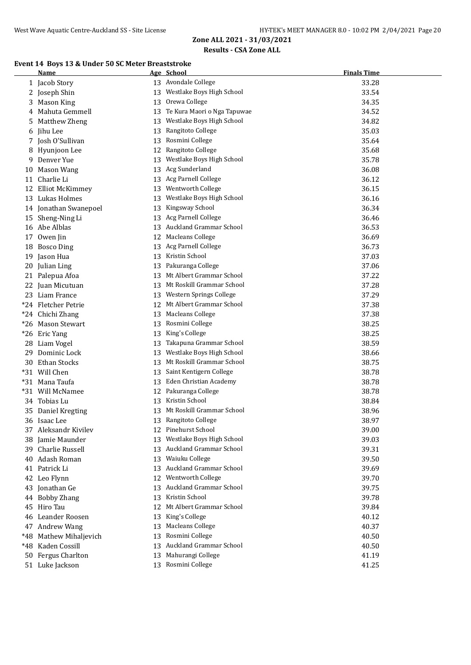#### **Event 14 Boys 13 & Under 50 SC Meter Breaststroke**

|     | Name                   |    | Age School                   | <b>Finals Time</b> |
|-----|------------------------|----|------------------------------|--------------------|
|     | 1 Jacob Story          |    | 13 Avondale College          | 33.28              |
|     | 2 Joseph Shin          |    | 13 Westlake Boys High School | 33.54              |
| 3   | <b>Mason King</b>      | 13 | Orewa College                | 34.35              |
| 4   | Mahuta Gemmell         | 13 | Te Kura Maori o Nga Tapuwae  | 34.52              |
| 5   | Matthew Zheng          |    | 13 Westlake Boys High School | 34.82              |
|     | 6 Jihu Lee             | 13 | Rangitoto College            | 35.03              |
|     | 7 Josh O'Sullivan      |    | 13 Rosmini College           | 35.64              |
|     | 8 Hyunjoon Lee         | 12 | Rangitoto College            | 35.68              |
|     | 9 Denver Yue           |    | 13 Westlake Boys High School | 35.78              |
|     | 10 Mason Wang          |    | 13 Acg Sunderland            | 36.08              |
| 11  | Charlie Li             |    | 13 Acg Parnell College       | 36.12              |
|     | 12 Elliot McKimmey     |    | 13 Wentworth College         | 36.15              |
|     | 13 Lukas Holmes        |    | 13 Westlake Boys High School | 36.16              |
|     | 14 Jonathan Swanepoel  | 13 | Kingsway School              | 36.34              |
|     | 15 Sheng-Ning Li       |    | 13 Acg Parnell College       | 36.46              |
|     | 16 Abe Alblas          |    | 13 Auckland Grammar School   | 36.53              |
|     | 17 Owen Jin            |    | 12 Macleans College          | 36.69              |
|     | 18 Bosco Ding          |    | 13 Acg Parnell College       | 36.73              |
|     | 19 Jason Hua           |    | 13 Kristin School            | 37.03              |
|     | 20 Julian Ling         |    | 13 Pakuranga College         | 37.06              |
|     | 21 Palepua Afoa        |    | 13 Mt Albert Grammar School  | 37.22              |
|     | 22 Juan Micutuan       |    | 13 Mt Roskill Grammar School | 37.28              |
|     | 23 Liam France         |    | 13 Western Springs College   | 37.29              |
|     | *24 Fletcher Petrie    |    | 12 Mt Albert Grammar School  | 37.38              |
|     | *24 Chichi Zhang       |    | 13 Macleans College          | 37.38              |
|     | *26 Mason Stewart      |    | 13 Rosmini College           | 38.25              |
|     | *26 Eric Yang          | 13 | King's College               | 38.25              |
|     | 28 Liam Vogel          | 13 | Takapuna Grammar School      | 38.59              |
| 29. | Dominic Lock           | 13 | Westlake Boys High School    | 38.66              |
|     | 30 Ethan Stocks        | 13 | Mt Roskill Grammar School    | 38.75              |
|     | *31 Will Chen          | 13 | Saint Kentigern College      | 38.78              |
|     | *31 Mana Taufa         | 13 | Eden Christian Academy       | 38.78              |
|     | *31 Will McNamee       |    | 12 Pakuranga College         | 38.78              |
|     | 34 Tobias Lu           |    | 13 Kristin School            | 38.84              |
|     | 35 Daniel Kregting     |    | 13 Mt Roskill Grammar School | 38.96              |
|     | 36 Isaac Lee           |    | 13 Rangitoto College         | 38.97              |
|     | 37 Aleksandr Kivilev   |    | 12 Pinehurst School          | 39.00              |
|     | 38 Jamie Maunder       |    | 13 Westlake Boys High School | 39.03              |
|     | 39 Charlie Russell     |    | 13 Auckland Grammar School   | 39.31              |
|     | 40 Adash Roman         |    | 13 Waiuku College            | 39.50              |
|     | 41 Patrick Li          |    | 13 Auckland Grammar School   | 39.69              |
|     | 42 Leo Flynn           |    | 12 Wentworth College         | 39.70              |
|     | 43 Jonathan Ge         |    | 13 Auckland Grammar School   | 39.75              |
|     | 44 Bobby Zhang         |    | 13 Kristin School            | 39.78              |
|     | 45 Hiro Tau            | 12 | Mt Albert Grammar School     | 39.84              |
|     | 46 Leander Roosen      | 13 | King's College               | 40.12              |
|     | 47 Andrew Wang         | 13 | <b>Macleans College</b>      | 40.37              |
|     | *48 Mathew Mihaljevich | 13 | Rosmini College              | 40.50              |
|     | *48 Kaden Cossill      |    | 13 Auckland Grammar School   | 40.50              |
|     | 50 Fergus Charlton     |    | 13 Mahurangi College         | 41.19              |
|     | 51 Luke Jackson        |    | 13 Rosmini College           | 41.25              |
|     |                        |    |                              |                    |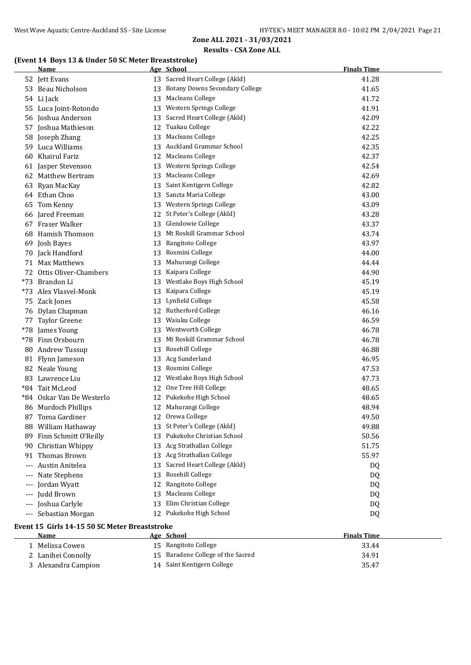## **(Event 14 Boys 13 & Under 50 SC Meter Breaststroke)**

|       | <b>Name</b>                                   |    | Age School                        | <b>Finals Time</b> |  |  |
|-------|-----------------------------------------------|----|-----------------------------------|--------------------|--|--|
|       | 52 Jett Evans                                 |    | 13 Sacred Heart College (Akld)    | 41.28              |  |  |
|       | 53 Beau Nicholson                             |    | 13 Botany Downs Secondary College | 41.65              |  |  |
|       | 54 Li Jack                                    |    | 13 Macleans College               | 41.72              |  |  |
|       | 55 Luca Joint-Rotondo                         | 13 | Western Springs College           | 41.91              |  |  |
|       | 56 Joshua Anderson                            | 13 | Sacred Heart College (Akld)       | 42.09              |  |  |
|       | 57 Joshua Mathieson                           | 12 | Tuakau College                    | 42.22              |  |  |
|       | 58 Joseph Zhang                               | 13 | <b>Macleans College</b>           | 42.25              |  |  |
|       | 59 Luca Williams                              | 13 | Auckland Grammar School           | 42.35              |  |  |
| 60    | Khairul Fariz                                 | 12 | <b>Macleans College</b>           | 42.37              |  |  |
|       | 61 Jasper Stevenson                           |    | 13 Western Springs College        | 42.54              |  |  |
|       | 62 Matthew Bertram                            | 13 | <b>Macleans College</b>           | 42.69              |  |  |
| 63    | Ryan MacKay                                   | 13 | Saint Kentigern College           | 42.82              |  |  |
|       | 64 Ethan Choo                                 | 13 | Sancta Maria College              | 43.00              |  |  |
| 65    | Tom Kenny                                     |    | 13 Western Springs College        | 43.09              |  |  |
|       | 66 Jared Freeman                              |    | 12 St Peter's College (Akld)      | 43.28              |  |  |
|       | 67 Fraser Walker                              |    | 13 Glendowie College              | 43.37              |  |  |
|       | 68 Hamish Thomson                             |    | 13 Mt Roskill Grammar School      | 43.74              |  |  |
|       | 69 Josh Bayes                                 |    | 13 Rangitoto College              | 43.97              |  |  |
|       | 70 Jack Handford                              |    | 13 Rosmini College                | 44.00              |  |  |
|       | 71 Max Matthews                               | 13 | Mahurangi College                 | 44.44              |  |  |
|       | 72 Ottis Oliver-Chambers                      | 13 | Kaipara College                   | 44.90              |  |  |
|       | *73 Brandon Li                                |    | 13 Westlake Boys High School      | 45.19              |  |  |
|       | *73 Alex Vlasvel-Monk                         | 13 | Kaipara College                   | 45.19              |  |  |
|       | 75 Zack Jones                                 | 13 | Lynfield College                  | 45.58              |  |  |
|       | 76 Dylan Chapman                              |    | 12 Rutherford College             | 46.16              |  |  |
|       |                                               |    | 13 Waiuku College                 | 46.59              |  |  |
|       | 77 Taylor Greene<br>*78 James Young           |    | 13 Wentworth College              | 46.78              |  |  |
|       | *78 Finn Orsbourn                             |    | Mt Roskill Grammar School         |                    |  |  |
|       |                                               | 13 | 13 Rosehill College               | 46.78              |  |  |
|       | 80 Andrew Tussup                              |    |                                   | 46.88              |  |  |
|       | 81 Flynn Jameson                              |    | 13 Acg Sunderland                 | 46.95              |  |  |
|       | 82 Neale Young                                |    | 13 Rosmini College                | 47.53              |  |  |
|       | 83 Lawrence Liu                               |    | 12 Westlake Boys High School      | 47.73              |  |  |
|       | *84 Tait McLeod                               |    | 12 One Tree Hill College          | 48.65              |  |  |
|       | *84 Oskar Van De Westerlo                     |    | 12 Pukekohe High School           | 48.65              |  |  |
|       | 86 Murdoch Phillips                           |    | 12 Mahurangi College              | 48.94              |  |  |
| 87    | Toroa Gardiner                                |    | 12 Orewa College                  | 49.50              |  |  |
|       | 88 William Hathaway                           |    | 13 St Peter's College (Akld)      | 49.88              |  |  |
| 89    | Finn Schmitt O'Reilly                         | 13 | Pukekohe Christian School         | 50.56              |  |  |
| 90    | Christian Whippy                              | 13 | Acg Strathallan College           | 51.75              |  |  |
| 91    | Thomas Brown                                  | 13 | Acg Strathallan College           | 55.97              |  |  |
|       | Austin Anitelea                               | 13 | Sacred Heart College (Akld)       | DQ                 |  |  |
|       | Nate Stephens                                 | 13 | Rosehill College                  | DQ                 |  |  |
|       | Jordan Wyatt                                  | 12 | Rangitoto College                 | DQ                 |  |  |
| $---$ | Judd Brown                                    | 13 | <b>Macleans College</b>           | DQ                 |  |  |
| $---$ | Joshua Carlyle                                | 13 | Elim Christian College            | DQ                 |  |  |
| $---$ | Sebastian Morgan                              |    | 12 Pukekohe High School           | DQ                 |  |  |
|       | Event 15 Girls 14-15 50 SC Meter Breaststroke |    |                                   |                    |  |  |
|       | Name                                          |    | Age School                        | <b>Finals Time</b> |  |  |
|       | 1 Melissa Cowen                               |    | 15 Rangitoto College              | 33.44              |  |  |
|       | 2 Lanihei Connolly                            |    | 15 Baradene College of the Sacred | 34.91              |  |  |
|       | 3 Alexandra Campion                           |    | 14 Saint Kentigern College        | 35.47              |  |  |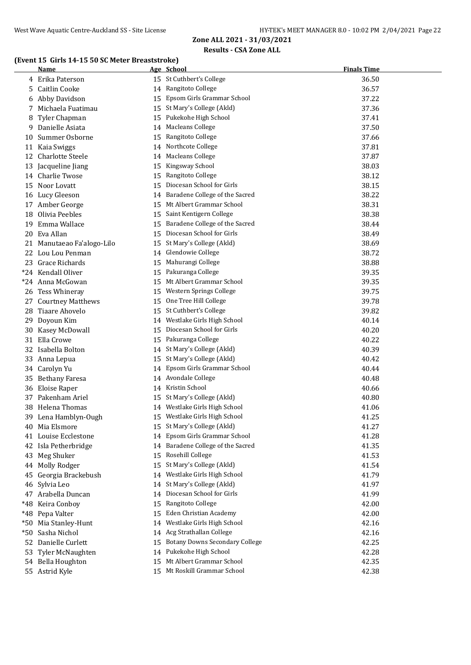#### **(Event 15 Girls 14-15 50 SC Meter Breaststroke)**

|       | Name                       |    | Age School                            | <b>Finals Time</b> |
|-------|----------------------------|----|---------------------------------------|--------------------|
|       | 4 Erika Paterson           |    | 15 St Cuthbert's College              | 36.50              |
| 5     | Caitlin Cooke              |    | 14 Rangitoto College                  | 36.57              |
| 6     | Abby Davidson              | 15 | Epsom Girls Grammar School            | 37.22              |
| 7     | Michaela Fuatimau          |    | 15 St Mary's College (Akld)           | 37.36              |
| 8     | Tyler Chapman              |    | 15 Pukekohe High School               | 37.41              |
| 9     | Danielle Asiata            |    | 14 Macleans College                   | 37.50              |
| 10    | Summer Osborne             |    | 15 Rangitoto College                  | 37.66              |
| 11    | Kaia Swiggs                |    | 14 Northcote College                  | 37.81              |
|       | 12 Charlotte Steele        |    | 14 Macleans College                   | 37.87              |
| 13    | Jacqueline Jiang           |    | 15 Kingsway School                    | 38.03              |
|       | 14 Charlie Twose           | 15 | Rangitoto College                     | 38.12              |
|       | 15 Noor Lovatt             | 15 | Diocesan School for Girls             | 38.15              |
|       | 16 Lucy Gleeson            |    | 14 Baradene College of the Sacred     | 38.22              |
|       | 17 Amber George            |    | 15 Mt Albert Grammar School           | 38.31              |
| 18    | Olivia Peebles             | 15 | Saint Kentigern College               | 38.38              |
| 19    | Emma Wallace               | 15 | Baradene College of the Sacred        | 38.44              |
|       | 20 Eva Allan               |    | 15 Diocesan School for Girls          | 38.49              |
|       | 21 Manutaeao Fa'alogo-Lilo | 15 | St Mary's College (Akld)              | 38.69              |
|       | 22 Lou Lou Penman          |    | 14 Glendowie College                  | 38.72              |
|       | 23 Grace Richards          | 15 | Mahurangi College                     | 38.88              |
|       | *24 Kendall Oliver         |    | 15 Pakuranga College                  | 39.35              |
|       | *24 Anna McGowan           |    | 15 Mt Albert Grammar School           | 39.35              |
|       | 26 Tess Whineray           | 15 | Western Springs College               | 39.75              |
|       | 27 Courtney Matthews       | 15 | One Tree Hill College                 | 39.78              |
| 28    | Tiaare Ahovelo             | 15 | St Cuthbert's College                 | 39.82              |
| 29    | Doyoun Kim                 | 14 | Westlake Girls High School            | 40.14              |
| 30    | Kasey McDowall             | 15 | Diocesan School for Girls             | 40.20              |
| 31    | Ella Crowe                 | 15 | Pakuranga College                     | 40.22              |
| 32    | Isabella Bolton            |    | 14 St Mary's College (Akld)           | 40.39              |
| 33    | Anna Lepua                 | 15 | St Mary's College (Akld)              | 40.42              |
|       | 34 Carolyn Yu              |    | 14 Epsom Girls Grammar School         | 40.44              |
| 35    | <b>Bethany Faresa</b>      |    | 14 Avondale College                   | 40.48              |
|       | 36 Eloise Raper            |    | 14 Kristin School                     | 40.66              |
| 37    | Pakenham Ariel             |    | 15 St Mary's College (Akld)           | 40.80              |
|       | 38 Helena Thomas           |    | 14 Westlake Girls High School         | 41.06              |
|       | 39 Lena Hamblyn-Ough       |    | 15 Westlake Girls High School         | 41.25              |
|       | 40 Mia Elsmore             |    | 15 St Mary's College (Akld)           | 41.27              |
| 41    | Louise Ecclestone          |    | 14 Epsom Girls Grammar School         | 41.28              |
| 42    | Isla Petherbridge          |    | 14 Baradene College of the Sacred     | 41.35              |
| 43    | Meg Shuker                 |    | 15 Rosehill College                   | 41.53              |
| 44    | Molly Rodger               | 15 | St Mary's College (Akld)              | 41.54              |
| 45    | Georgia Brackebush         | 14 | Westlake Girls High School            | 41.79              |
|       | 46 Sylvia Leo              | 14 | St Mary's College (Akld)              | 41.97              |
|       | 47 Arabella Duncan         | 14 | Diocesan School for Girls             | 41.99              |
| *48   | Keira Conboy               | 15 | Rangitoto College                     | 42.00              |
|       | *48 Pepa Valter            | 15 | Eden Christian Academy                | 42.00              |
|       | *50 Mia Stanley-Hunt       | 14 | Westlake Girls High School            | 42.16              |
| $*50$ | Sasha Nichol               |    | 14 Acg Strathallan College            | 42.16              |
|       | 52 Danielle Curlett        | 15 | <b>Botany Downs Secondary College</b> | 42.25              |
|       | 53 Tyler McNaughten        |    | 14 Pukekohe High School               | 42.28              |
|       | 54 Bella Houghton          |    | 15 Mt Albert Grammar School           | 42.35              |
|       | 55 Astrid Kyle             |    | 15 Mt Roskill Grammar School          | 42.38              |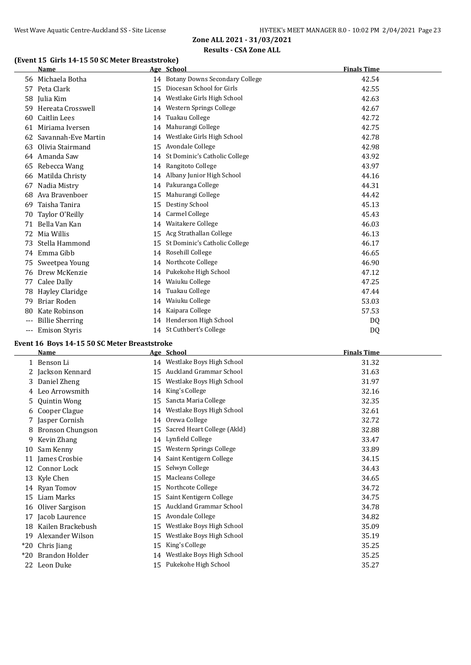## **(Event 15 Girls 14-15 50 SC Meter Breaststroke)**

|       | Name                   |    | Age School                        | <b>Finals Time</b> |
|-------|------------------------|----|-----------------------------------|--------------------|
|       | 56 Michaela Botha      |    | 14 Botany Downs Secondary College | 42.54              |
| 57    | Peta Clark             | 15 | Diocesan School for Girls         | 42.55              |
| 58    | Julia Kim              | 14 | Westlake Girls High School        | 42.63              |
| 59    | Hereata Crosswell      | 14 | Western Springs College           | 42.67              |
| 60    | Caitlin Lees           | 14 | Tuakau College                    | 42.72              |
| 61    | Miriama Iversen        | 14 | Mahurangi College                 | 42.75              |
| 62    | Savannah-Eve Martin    | 14 | Westlake Girls High School        | 42.78              |
| 63    | Olivia Stairmand       | 15 | Avondale College                  | 42.98              |
| 64    | Amanda Saw             | 14 | St Dominic's Catholic College     | 43.92              |
| 65    | Rebecca Wang           | 14 | Rangitoto College                 | 43.97              |
| 66    | Matilda Christy        | 14 | Albany Junior High School         | 44.16              |
| 67    | Nadia Mistry           | 14 | Pakuranga College                 | 44.31              |
| 68    | Ava Bravenboer         | 15 | Mahurangi College                 | 44.42              |
| 69    | Taisha Tanira          | 15 | Destiny School                    | 45.13              |
| 70    | Taylor O'Reilly        | 14 | <b>Carmel College</b>             | 45.43              |
| 71    | Bella Van Kan          | 14 | Waitakere College                 | 46.03              |
| 72    | Mia Willis             | 15 | Acg Strathallan College           | 46.13              |
| 73    | Stella Hammond         | 15 | St Dominic's Catholic College     | 46.17              |
| 74    | Emma Gibb              | 14 | Rosehill College                  | 46.65              |
| 75    | Sweetpea Young         | 14 | Northcote College                 | 46.90              |
| 76    | Drew McKenzie          | 14 | Pukekohe High School              | 47.12              |
| 77    | Calee Dally            | 14 | Waiuku College                    | 47.25              |
| 78    | Hayley Claridge        | 14 | Tuakau College                    | 47.44              |
| 79    | Briar Roden            | 14 | Waiuku College                    | 53.03              |
| 80    | Kate Robinson          | 14 | Kaipara College                   | 57.53              |
| $---$ | <b>Billie Sherring</b> |    | 14 Henderson High School          | DQ                 |
| $---$ | <b>Emison Styris</b>   |    | 14 St Cuthbert's College          | DQ                 |

#### **Event 16 Boys 14-15 50 SC Meter Breaststroke**

|       | <b>Name</b>             |    | Age School                     | <b>Finals Time</b> |
|-------|-------------------------|----|--------------------------------|--------------------|
|       | 1 Benson Li             |    | 14 Westlake Boys High School   | 31.32              |
|       | 2 Jackson Kennard       | 15 | Auckland Grammar School        | 31.63              |
|       | 3 Daniel Zheng          | 15 | Westlake Boys High School      | 31.97              |
| 4     | Leo Arrowsmith          | 14 | King's College                 | 32.16              |
|       | 5 Quintin Wong          | 15 | Sancta Maria College           | 32.35              |
| 6     | Cooper Clague           | 14 | Westlake Boys High School      | 32.61              |
| 7     | Jasper Cornish          |    | 14 Orewa College               | 32.72              |
| 8     | <b>Bronson Chungson</b> | 15 | Sacred Heart College (Akld)    | 32.88              |
| 9     | Kevin Zhang             | 14 | Lynfield College               | 33.47              |
| 10    | Sam Kenny               | 15 | Western Springs College        | 33.89              |
| 11    | James Crosbie           | 14 | Saint Kentigern College        | 34.15              |
| 12    | Connor Lock             | 15 | Selwyn College                 | 34.43              |
|       | 13 Kyle Chen            | 15 | Macleans College               | 34.65              |
|       | 14 Ryan Tomov           | 15 | Northcote College              | 34.72              |
| 15    | Liam Marks              | 15 | Saint Kentigern College        | 34.75              |
| 16    | Oliver Sargison         | 15 | <b>Auckland Grammar School</b> | 34.78              |
| 17    | Jacob Laurence          | 15 | Avondale College               | 34.82              |
| 18    | Kailen Brackebush       | 15 | Westlake Boys High School      | 35.09              |
| 19    | Alexander Wilson        | 15 | Westlake Boys High School      | 35.19              |
| $*20$ | Chris Jiang             | 15 | King's College                 | 35.25              |
| $*20$ | Brandon Holder          | 14 | Westlake Boys High School      | 35.25              |
| 22    | Leon Duke               | 15 | Pukekohe High School           | 35.27              |
|       |                         |    |                                |                    |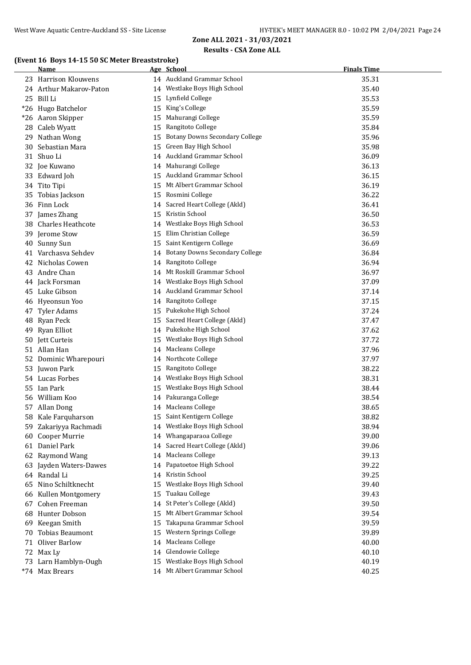#### **(Event 16 Boys 14-15 50 SC Meter Breaststroke)**

|    | <u>Name</u>             |    | Age School                        | <b>Finals Time</b> |
|----|-------------------------|----|-----------------------------------|--------------------|
|    | 23 Harrison Klouwens    |    | 14 Auckland Grammar School        | 35.31              |
|    | 24 Arthur Makarov-Paton |    | 14 Westlake Boys High School      | 35.40              |
|    | 25 Bill Li              |    | 15 Lynfield College               | 35.53              |
|    | *26 Hugo Batchelor      |    | 15 King's College                 | 35.59              |
|    | *26 Aaron Skipper       |    | 15 Mahurangi College              | 35.59              |
|    | 28 Caleb Wyatt          |    | 15 Rangitoto College              | 35.84              |
|    | 29 Nathan Wong          |    | 15 Botany Downs Secondary College | 35.96              |
|    | 30 Sebastian Mara       |    | 15 Green Bay High School          | 35.98              |
|    | 31 Shuo Li              |    | 14 Auckland Grammar School        | 36.09              |
|    | 32 Joe Kuwano           |    | 14 Mahurangi College              | 36.13              |
|    | 33 Edward Joh           |    | 15 Auckland Grammar School        | 36.15              |
|    | 34 Tito Tipi            |    | 15 Mt Albert Grammar School       | 36.19              |
|    | 35 Tobias Jackson       |    | 15 Rosmini College                | 36.22              |
|    | 36 Finn Lock            |    | 14 Sacred Heart College (Akld)    | 36.41              |
|    | 37 James Zhang          |    | 15 Kristin School                 | 36.50              |
|    | 38 Charles Heathcote    |    | 14 Westlake Boys High School      | 36.53              |
|    | 39 Jerome Stow          |    | 15 Elim Christian College         | 36.59              |
|    | 40 Sunny Sun            |    | 15 Saint Kentigern College        | 36.69              |
|    | 41 Varchasva Sehdev     |    | 14 Botany Downs Secondary College | 36.84              |
|    | 42 Nicholas Cowen       |    | 14 Rangitoto College              | 36.94              |
|    | 43 Andre Chan           |    | 14 Mt Roskill Grammar School      | 36.97              |
|    | 44 Jack Forsman         |    | 14 Westlake Boys High School      | 37.09              |
|    | 45 Luke Gibson          |    | 14 Auckland Grammar School        | 37.14              |
|    | 46 Hyeonsun Yoo         |    | 14 Rangitoto College              | 37.15              |
|    | 47 Tyler Adams          |    | 15 Pukekohe High School           | 37.24              |
|    | 48 Ryan Peck            |    | 15 Sacred Heart College (Akld)    | 37.47              |
| 49 | Ryan Elliot             |    | 14 Pukekohe High School           | 37.62              |
|    | 50 Jett Curteis         | 15 | Westlake Boys High School         | 37.72              |
|    | 51 Allan Han            |    | 14 Macleans College               | 37.96              |
|    | 52 Dominic Wharepouri   |    | 14 Northcote College              | 37.97              |
|    | 53 Juwon Park           |    | 15 Rangitoto College              | 38.22              |
|    | 54 Lucas Forbes         |    | 14 Westlake Boys High School      | 38.31              |
|    | 55 Ian Park             |    | 15 Westlake Boys High School      | 38.44              |
|    | 56 William Koo          |    | 14 Pakuranga College              | 38.54              |
|    | 57 Allan Dong           |    | 14 Macleans College               | 38.65              |
|    | 58 Kale Farquharson     |    | 15 Saint Kentigern College        | 38.82              |
|    | 59 Zakariyya Rachmadi   |    | 14 Westlake Boys High School      | 38.94              |
| 60 | Cooper Murrie           |    | 14 Whangaparaoa College           | 39.00              |
|    | 61 Daniel Park          |    | 14 Sacred Heart College (Akld)    | 39.06              |
|    | 62 Raymond Wang         |    | 14 Macleans College               | 39.13              |
|    | 63 Jayden Waters-Dawes  |    | 14 Papatoetoe High School         | 39.22              |
|    | 64 Randal Li            |    | 14 Kristin School                 | 39.25              |
|    | 65 Nino Schiltknecht    | 15 | Westlake Boys High School         | 39.40              |
|    | 66 Kullen Montgomery    | 15 | Tuakau College                    | 39.43              |
|    | 67 Cohen Freeman        | 14 | St Peter's College (Akld)         | 39.50              |
|    | 68 Hunter Dobson        | 15 | Mt Albert Grammar School          | 39.54              |
|    | 69 Keegan Smith         | 15 | Takapuna Grammar School           | 39.59              |
| 70 | <b>Tobias Beaumont</b>  | 15 | Western Springs College           | 39.89              |
| 71 | Oliver Barlow           | 14 | <b>Macleans College</b>           | 40.00              |
|    | 72 Max Ly               | 14 | Glendowie College                 | 40.10              |
|    | 73 Larn Hamblyn-Ough    | 15 | Westlake Boys High School         | 40.19              |
|    | *74 Max Brears          |    | 14 Mt Albert Grammar School       | 40.25              |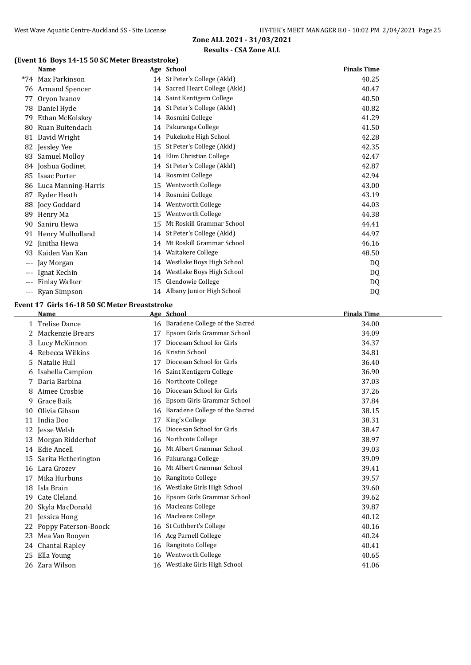## **(Event 16 Boys 14-15 50 SC Meter Breaststroke)**

|       | <b>Name</b>          |    | Age School                     | <b>Finals Time</b> |
|-------|----------------------|----|--------------------------------|--------------------|
|       | *74 Max Parkinson    |    | 14 St Peter's College (Akld)   | 40.25              |
|       | 76 Armand Spencer    |    | 14 Sacred Heart College (Akld) | 40.47              |
| 77    | Oryon Ivanov         |    | 14 Saint Kentigern College     | 40.50              |
| 78    | Daniel Hyde          |    | 14 St Peter's College (Akld)   | 40.82              |
| 79    | Ethan McKolskey      | 14 | Rosmini College                | 41.29              |
| 80    | Ruan Buitendach      |    | 14 Pakuranga College           | 41.50              |
| 81    | David Wright         |    | 14 Pukekohe High School        | 42.28              |
| 82    | Jessley Yee          | 15 | St Peter's College (Akld)      | 42.35              |
| 83    | <b>Samuel Molloy</b> | 14 | Elim Christian College         | 42.47              |
| 84    | Joshua Godinet       |    | 14 St Peter's College (Akld)   | 42.87              |
| 85    | <b>Isaac Porter</b>  | 14 | Rosmini College                | 42.94              |
| 86    | Luca Manning-Harris  | 15 | Wentworth College              | 43.00              |
| 87    | Ryder Heath          | 14 | Rosmini College                | 43.19              |
| 88    | Joey Goddard         | 14 | Wentworth College              | 44.03              |
| 89    | Henry Ma             | 15 | Wentworth College              | 44.38              |
| 90    | Saniru Hewa          | 15 | Mt Roskill Grammar School      | 44.41              |
| 91    | Henry Mulholland     |    | 14 St Peter's College (Akld)   | 44.97              |
| 92    | Jinitha Hewa         | 14 | Mt Roskill Grammar School      | 46.16              |
| 93    | Kaiden Van Kan       | 14 | Waitakere College              | 48.50              |
| ---   | Jay Morgan           | 14 | Westlake Boys High School      | DQ                 |
| $---$ | Ignat Kechin         | 14 | Westlake Boys High School      | DQ                 |
| $---$ | <b>Finlay Walker</b> | 15 | Glendowie College              | DQ                 |
| $---$ | Ryan Simpson         |    | 14 Albany Junior High School   | DQ                 |
|       |                      |    |                                |                    |

# **Event 17 Girls 16-18 50 SC Meter Breaststroke**<br>Name Age School

|    | Name                 |    | Age School                        | <b>Finals Time</b> |
|----|----------------------|----|-----------------------------------|--------------------|
|    | 1 Trelise Dance      |    | 16 Baradene College of the Sacred | 34.00              |
|    | Mackenzie Brears     | 17 | Epsom Girls Grammar School        | 34.09              |
| 3. | Lucy McKinnon        | 17 | Diocesan School for Girls         | 34.37              |
|    | Rebecca Wilkins      | 16 | Kristin School                    | 34.81              |
| 5. | Natalie Hull         | 17 | Diocesan School for Girls         | 36.40              |
| 6  | Isabella Campion     | 16 | Saint Kentigern College           | 36.90              |
|    | Daria Barbina        | 16 | Northcote College                 | 37.03              |
|    | Aimee Crosbie        | 16 | Diocesan School for Girls         | 37.26              |
| 9  | Grace Baik           | 16 | Epsom Girls Grammar School        | 37.84              |
| 10 | Olivia Gibson        | 16 | Baradene College of the Sacred    | 38.15              |
| 11 | India Doo            |    | King's College                    | 38.31              |
| 12 | Jesse Welsh          | 16 | Diocesan School for Girls         | 38.47              |
| 13 | Morgan Ridderhof     | 16 | Northcote College                 | 38.97              |
|    | 14 Edie Ancell       | 16 | Mt Albert Grammar School          | 39.03              |
| 15 | Sarita Hetherington  |    | 16 Pakuranga College              | 39.09              |
|    | 16 Lara Grozev       | 16 | Mt Albert Grammar School          | 39.41              |
| 17 | Mika Hurbuns         | 16 | Rangitoto College                 | 39.57              |
| 18 | Isla Brain           | 16 | Westlake Girls High School        | 39.60              |
| 19 | Cate Cleland         | 16 | Epsom Girls Grammar School        | 39.62              |
| 20 | Skyla MacDonald      | 16 | Macleans College                  | 39.87              |
| 21 | Jessica Hong         | 16 | Macleans College                  | 40.12              |
|    | Poppy Paterson-Boock | 16 | St Cuthbert's College             | 40.16              |
| 23 | Mea Van Rooyen       | 16 | Acg Parnell College               | 40.24              |
|    | 24 Chantal Rapley    | 16 | Rangitoto College                 | 40.41              |
| 25 | Ella Young           | 16 | <b>Wentworth College</b>          | 40.65              |
|    | 26 Zara Wilson       |    | 16 Westlake Girls High School     | 41.06              |
|    |                      |    |                                   |                    |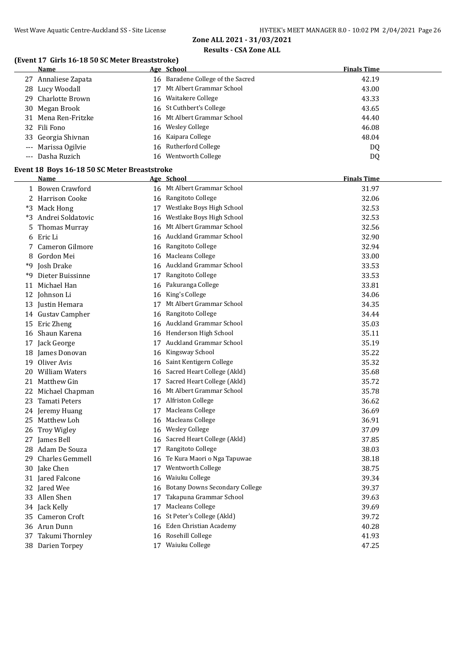## **(Event 17 Girls 16-18 50 SC Meter Breaststroke)**

| <b>Name</b>         | Age School                        | <b>Finals Time</b> |
|---------------------|-----------------------------------|--------------------|
| 27 Annaliese Zapata | 16 Baradene College of the Sacred | 42.19              |
| 28 Lucy Woodall     | Mt Albert Grammar School<br>17    | 43.00              |
| 29 Charlotte Brown  | 16 Waitakere College              | 43.33              |
| 30 Megan Brook      | 16 St Cuthbert's College          | 43.65              |
| 31 Mena Ren-Fritzke | 16 Mt Albert Grammar School       | 44.40              |
| 32 Fili Fono        | 16 Wesley College                 | 46.08              |
| 33 Georgia Shivnan  | 16 Kaipara College                | 48.04              |
| --- Marissa Ogilvie | 16 Rutherford College             | DQ                 |
| --- Dasha Ruzich    | 16 Wentworth College              | DQ                 |

#### **Event 18 Boys 16-18 50 SC Meter Breaststroke**

|    | <b>Name</b>                |    | Age School                            | <b>Finals Time</b> |
|----|----------------------------|----|---------------------------------------|--------------------|
|    | 1 Bowen Crawford           |    | 16 Mt Albert Grammar School           | 31.97              |
|    | 2 Harrison Cooke           | 16 | Rangitoto College                     | 32.06              |
|    | *3 Mack Hong               | 17 | Westlake Boys High School             | 32.53              |
| *3 | Andrei Soldatovic<br>16    |    | Westlake Boys High School             | 32.53              |
| 5. | <b>Thomas Murray</b><br>16 |    | Mt Albert Grammar School              | 32.56              |
| 6  | Eric Li                    |    | 16 Auckland Grammar School            | 32.90              |
| 7  | Cameron Gilmore            |    | 16 Rangitoto College                  | 32.94              |
| 8  | Gordon Mei                 |    | 16 Macleans College                   | 33.00              |
| *9 | Josh Drake                 |    | 16 Auckland Grammar School            | 33.53              |
| *9 | Dieter Buissinne           | 17 | Rangitoto College                     | 33.53              |
|    | 11 Michael Han<br>16       |    | Pakuranga College                     | 33.81              |
|    | 12 Johnson Li<br>16        |    | King's College                        | 34.06              |
|    | 13 Justin Hemara<br>17     |    | Mt Albert Grammar School              | 34.35              |
|    | 14 Gustav Campher<br>16    |    | Rangitoto College                     | 34.44              |
|    | 15 Eric Zheng              |    | 16 Auckland Grammar School            | 35.03              |
|    | 16 Shaun Karena            |    | 16 Henderson High School              | 35.11              |
|    | 17 Jack George             |    | 17 Auckland Grammar School            | 35.19              |
|    | 18 James Donovan           |    | 16 Kingsway School                    | 35.22              |
|    | 19 Oliver Avis             |    | 16 Saint Kentigern College            | 35.32              |
|    | 20 William Waters          | 16 | Sacred Heart College (Akld)           | 35.68              |
|    | 21 Matthew Gin<br>17       |    | Sacred Heart College (Akld)           | 35.72              |
|    | 22 Michael Chapman<br>16   |    | Mt Albert Grammar School              | 35.78              |
|    | 23 Tamati Peters<br>17     |    | Alfriston College                     | 36.62              |
|    | 24 Jeremy Huang<br>17      |    | Macleans College                      | 36.69              |
|    | 25 Matthew Loh             | 16 | Macleans College                      | 36.91              |
|    | 26 Troy Wigley<br>16       |    | <b>Wesley College</b>                 | 37.09              |
|    | 27 James Bell              | 16 | Sacred Heart College (Akld)           | 37.85              |
|    | 28 Adam De Souza           | 17 | Rangitoto College                     | 38.03              |
|    | 29 Charles Gemmell         | 16 | Te Kura Maori o Nga Tapuwae           | 38.18              |
|    | 30 Jake Chen               | 17 | Wentworth College                     | 38.75              |
|    | 31 Jared Falcone           | 16 | Waiuku College                        | 39.34              |
|    | 32 Jared Wee<br>16         |    | <b>Botany Downs Secondary College</b> | 39.37              |
|    | 33 Allen Shen<br>17        |    | Takapuna Grammar School               | 39.63              |
|    | 34 Jack Kelly<br>17        |    | Macleans College                      | 39.69              |
|    | 35 Cameron Croft<br>16     |    | St Peter's College (Akld)             | 39.72              |
|    | 36 Arun Dunn               |    | 16 Eden Christian Academy             | 40.28              |
|    | 37 Takumi Thornley         |    | 16 Rosehill College                   | 41.93              |
|    | 38 Darien Torpey           |    | 17 Waiuku College                     | 47.25              |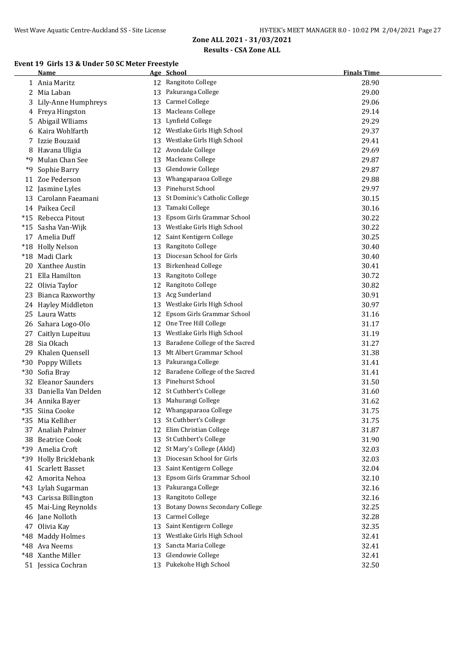#### **Event 19 Girls 13 & Under 50 SC Meter Freestyle**

|       | Name                   |    | Age School                            | <b>Finals Time</b> |
|-------|------------------------|----|---------------------------------------|--------------------|
|       | 1 Ania Maritz          |    | 12 Rangitoto College                  | 28.90              |
|       | 2 Mia Laban            |    | 13 Pakuranga College                  | 29.00              |
| 3.    | Lily-Anne Humphreys    | 13 | <b>Carmel College</b>                 | 29.06              |
|       | 4 Freya Hingston       | 13 | <b>Macleans College</b>               | 29.14              |
| 5.    | Abigail Wlliams        | 13 | Lynfield College                      | 29.29              |
|       | 6 Kaira Wohlfarth      |    | 12 Westlake Girls High School         | 29.37              |
|       | 7 Izzie Bouzaid        |    | 13 Westlake Girls High School         | 29.41              |
|       | 8 Havana Uligia        |    | 12 Avondale College                   | 29.69              |
| *9    | Mulan Chan See         |    | 13 Macleans College                   | 29.87              |
| *9    | Sophie Barry           | 13 | Glendowie College                     | 29.87              |
| 11    | Zoe Pederson           |    | 13 Whangaparaoa College               | 29.88              |
|       | 12 Jasmine Lyles       |    | 13 Pinehurst School                   | 29.97              |
| 13    | Carolann Faeamani      |    | 13 St Dominic's Catholic College      | 30.15              |
|       | 14 Paikea Cecil        |    | 13 Tamaki College                     | 30.16              |
|       | *15 Rebecca Pitout     | 13 | Epsom Girls Grammar School            | 30.22              |
|       | *15 Sasha Van-Wijk     |    | 13 Westlake Girls High School         | 30.22              |
|       | 17 Amelia Duff         | 12 | Saint Kentigern College               | 30.25              |
|       | *18 Holly Nelson       |    | 13 Rangitoto College                  | 30.40              |
|       | *18 Madi Clark         |    | 13 Diocesan School for Girls          | 30.40              |
|       | 20 Xanthee Austin      |    | 13 Birkenhead College                 | 30.41              |
|       | 21 Ella Hamilton       | 13 | Rangitoto College                     | 30.72              |
|       | 22 Olivia Taylor       | 12 | Rangitoto College                     | 30.82              |
|       | 23 Bianca Raxworthy    |    | 13 Acg Sunderland                     | 30.91              |
|       | 24 Hayley Middleton    | 13 | Westlake Girls High School            | 30.97              |
|       | 25 Laura Watts         | 12 | Epsom Girls Grammar School            | 31.16              |
|       | 26 Sahara Logo-Olo     | 12 | One Tree Hill College                 | 31.17              |
| 27    | Caitlyn Lupeituu       | 13 | Westlake Girls High School            | 31.19              |
| 28    | Sia Okach              | 13 | Baradene College of the Sacred        | 31.27              |
|       | 29 Khalen Quensell     | 13 | Mt Albert Grammar School              | 31.38              |
|       | *30 Poppy Willets      |    | 13 Pakuranga College                  | 31.41              |
| $*30$ | Sofia Bray             | 12 | Baradene College of the Sacred        | 31.41              |
|       | 32 Eleanor Saunders    |    | 13 Pinehurst School                   | 31.50              |
|       | 33 Daniella Van Delden |    | 12 St Cuthbert's College              | 31.60              |
|       | 34 Annika Bayer        |    | 13 Mahurangi College                  | 31.62              |
|       | *35 Siina Cooke        |    | 12 Whangaparaoa College               | 31.75              |
|       | *35 Mia Kelliher       |    | 13 St Cuthbert's College              | 31.75              |
|       | 37 Analiah Palmer      |    | 12 Elim Christian College             | 31.87              |
|       | 38 Beatrice Cook       |    | 13 St Cuthbert's College              | 31.90              |
|       | *39 Amelia Croft       |    | 12 St Mary's College (Akld)           | 32.03              |
|       | *39 Holly Bricklebank  | 13 | Diocesan School for Girls             | 32.03              |
| 41    | <b>Scarlett Basset</b> | 13 | Saint Kentigern College               | 32.04              |
|       | 42 Amorita Nehoa       | 13 | Epsom Girls Grammar School            | 32.10              |
|       | *43 Lylah Sugarman     | 13 | Pakuranga College                     | 32.16              |
|       | *43 Carissa Billington | 13 | Rangitoto College                     | 32.16              |
| 45    | Mai-Ling Reynolds      | 13 | <b>Botany Downs Secondary College</b> | 32.25              |
|       | 46 Jane Nolloth        | 13 | <b>Carmel College</b>                 | 32.28              |
|       | 47 Olivia Kay          | 13 | Saint Kentigern College               | 32.35              |
|       | *48 Maddy Holmes       | 13 | Westlake Girls High School            | 32.41              |
|       | *48 Ava Neems          | 13 | Sancta Maria College                  | 32.41              |
|       | *48 Xanthe Miller      | 13 | Glendowie College                     | 32.41              |
|       | 51 Jessica Cochran     |    | 13 Pukekohe High School               | 32.50              |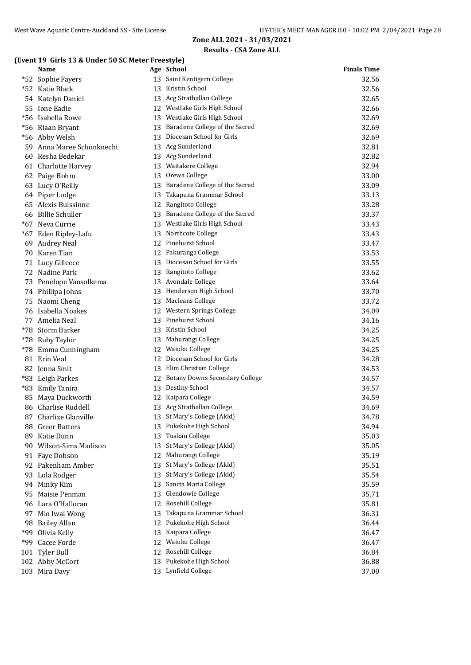## **(Event 19 Girls 13 & Under 50 SC Meter Freestyle)**

|     | Name                      |    | Age School                            | <b>Finals Time</b> |
|-----|---------------------------|----|---------------------------------------|--------------------|
|     | *52 Sophie Fayers         |    | 13 Saint Kentigern College            | 32.56              |
|     | *52 Katie Black           | 13 | Kristin School                        | 32.56              |
|     | 54 Katelyn Daniel         | 13 | Acg Strathallan College               | 32.65              |
| 55  | Ione Eadie                | 12 | Westlake Girls High School            | 32.66              |
|     | *56 Isabella Rowe         | 13 | Westlake Girls High School            | 32.69              |
|     | *56 Riaan Bryant          | 13 | Baradene College of the Sacred        | 32.69              |
|     | *56 Abby Welsh            | 13 | Diocesan School for Girls             | 32.69              |
|     | 59 Anna Maree Schonknecht |    | 13 Acg Sunderland                     | 32.81              |
| 60  | Resha Bedekar             |    | 13 Acg Sunderland                     | 32.82              |
|     | 61 Charlotte Harvey       |    | 13 Waitakere College                  | 32.94              |
|     | 62 Paige Bohm             |    | 13 Orewa College                      | 33.00              |
| 63  | Lucy O'Reilly             |    | 13 Baradene College of the Sacred     | 33.09              |
|     | 64 Piper Lodge            | 13 | Takapuna Grammar School               | 33.13              |
|     | 65 Alexis Buissinne       | 12 | Rangitoto College                     | 33.28              |
|     | 66 Billie Schuller        | 13 | Baradene College of the Sacred        | 33.37              |
|     | *67 Neva Currie           |    | 13 Westlake Girls High School         | 33.43              |
|     | *67 Eden Ripley-Lafu      |    | 13 Northcote College                  | 33.43              |
| 69  | <b>Audrey Neal</b>        |    | 12 Pinehurst School                   | 33.47              |
| 70  | Karen Tian                |    | 12 Pakuranga College                  | 33.53              |
|     | 71 Lucy Gilleece          | 13 | Diocesan School for Girls             | 33.55              |
|     | 72 Nadine Park            |    | 13 Rangitoto College                  | 33.62              |
|     | 73 Penelope Vansolkema    |    | 13 Avondale College                   | 33.64              |
|     | 74 Phillipa Johns         |    | 13 Henderson High School              | 33.70              |
|     | 75 Naomi Cheng            |    | 13 Macleans College                   | 33.72              |
|     | 76 Isabella Noakes        |    | 12 Western Springs College            | 34.09              |
|     | 77 Amelia Neal            |    | 13 Pinehurst School                   | 34.16              |
|     | *78 Storm Barker          |    | 13 Kristin School                     | 34.25              |
|     | *78 Ruby Taylor           | 13 | Mahurangi College                     | 34.25              |
|     | *78 Emma Cunningham       | 12 | Waiuku College                        | 34.25              |
| 81  | Erin Veal                 | 12 | Diocesan School for Girls             | 34.28              |
|     | 82 Jenna Smit             | 13 | Elim Christian College                | 34.53              |
|     | *83 Leigh Parkes          | 12 | <b>Botany Downs Secondary College</b> | 34.57              |
| *83 | <b>Emily Tanira</b>       | 13 | Destiny School                        | 34.57              |
| 85  | Maya Duckworth            |    | 12 Kaipara College                    | 34.59              |
|     | 86 Charlise Ruddell       |    | 13 Acg Strathallan College            | 34.69              |
|     | 87 Charlize Glanville     |    | 13 St Mary's College (Akld)           | 34.78              |
|     | 88 Greer Batters          |    | 13 Pukekohe High School               | 34.94              |
| 89  | Katie Dunn                | 13 | Tuakau College                        | 35.03              |
|     | 90 Wilson-Sims Madison    | 13 | St Mary's College (Akld)              | 35.05              |
|     | 91 Faye Dobson            | 12 | Mahurangi College                     | 35.19              |
|     | 92 Pakenham Amber         | 13 | St Mary's College (Akld)              | 35.51              |
| 93  | Lola Rodger               | 13 | St Mary's College (Akld)              | 35.54              |
|     | 94 Minky Kim              | 13 | Sancta Maria College                  | 35.59              |
| 95  | Maisie Penman             | 13 | Glendowie College                     | 35.71              |
|     | 96 Lara O'Halloran        | 12 | Rosehill College                      | 35.81              |
| 97  | Mio Iwai Wong             | 13 | Takapuna Grammar School               | 36.31              |
|     | 98 Bailey Allan           | 12 | Pukekohe High School                  | 36.44              |
|     | *99 Olivia Kelly          | 13 | Kaipara College                       | 36.47              |
| *99 | Cacee Forde               | 12 | Waiuku College                        | 36.47              |
|     | 101 Tyler Bull            | 12 | Rosehill College                      | 36.84              |
|     | 102 Abby McCort           | 13 | Pukekohe High School                  | 36.88              |
|     | 103 Mira Davy             |    | 13 Lynfield College                   | 37.00              |
|     |                           |    |                                       |                    |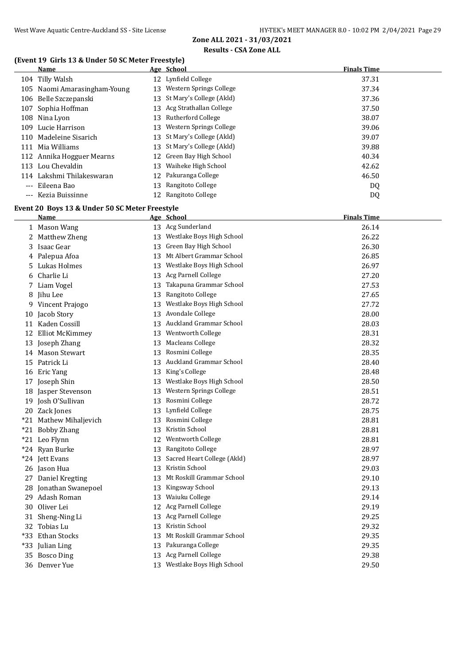#### **(Event 19 Girls 13 & Under 50 SC Meter Freestyle)**

|       | <b>Name</b>                                                   |    | Age School                                        | <b>Finals Time</b> |
|-------|---------------------------------------------------------------|----|---------------------------------------------------|--------------------|
|       | 104 Tilly Walsh                                               |    | 12 Lynfield College                               | 37.31              |
|       | 105 Naomi Amarasingham-Young                                  |    | 13 Western Springs College                        | 37.34              |
|       | 106 Belle Szczepanski                                         |    | 13 St Mary's College (Akld)                       | 37.36              |
|       | 107 Sophia Hoffman                                            |    | 13 Acg Strathallan College                        | 37.50              |
|       | 108 Nina Lyon                                                 |    | 13 Rutherford College                             | 38.07              |
|       | 109 Lucie Harrison                                            |    | 13 Western Springs College                        | 39.06              |
|       | 110 Madeleine Sisarich                                        |    | 13 St Mary's College (Akld)                       | 39.07              |
|       | 111 Mia Williams                                              |    | 13 St Mary's College (Akld)                       | 39.88              |
|       | 112 Annika Hogguer Mearns                                     |    | 12 Green Bay High School                          | 40.34              |
|       | 113 Lou Chevaldin                                             | 13 | Waiheke High School                               | 42.62              |
|       | 114 Lakshmi Thilakeswaran                                     |    | 12 Pakuranga College                              | 46.50              |
|       | --- Eileena Bao                                               | 13 | Rangitoto College                                 | DQ                 |
|       | --- Kezia Buissinne                                           |    | 12 Rangitoto College                              | DQ                 |
|       |                                                               |    |                                                   |                    |
|       | Event 20 Boys 13 & Under 50 SC Meter Freestyle<br><u>Name</u> |    | Age School                                        | <b>Finals Time</b> |
|       | 1 Mason Wang                                                  |    | 13 Acg Sunderland                                 | 26.14              |
|       |                                                               |    | 13 Westlake Boys High School                      |                    |
| 2     | Matthew Zheng                                                 |    |                                                   | 26.22              |
| 3     | Isaac Gear                                                    | 13 | Green Bay High School<br>Mt Albert Grammar School | 26.30              |
| 4     | Palepua Afoa                                                  | 13 |                                                   | 26.85              |
| 5     | Lukas Holmes                                                  | 13 | Westlake Boys High School                         | 26.97              |
| 6     | Charlie Li                                                    | 13 | Acg Parnell College<br>Takapuna Grammar School    | 27.20              |
|       | 7 Liam Vogel                                                  | 13 |                                                   | 27.53              |
| 8     | Jihu Lee                                                      | 13 | Rangitoto College<br>Westlake Boys High School    | 27.65              |
|       | 9 Vincent Prajogo                                             | 13 |                                                   | 27.72              |
|       | 10 Jacob Story                                                | 13 | Avondale College                                  | 28.00              |
|       | 11 Kaden Cossill                                              | 13 | Auckland Grammar School                           | 28.03              |
| 12    | <b>Elliot McKimmey</b>                                        | 13 | Wentworth College                                 | 28.31              |
|       | 13 Joseph Zhang                                               | 13 | <b>Macleans College</b>                           | 28.32              |
|       | 14 Mason Stewart                                              | 13 | Rosmini College<br>Auckland Grammar School        | 28.35              |
|       | 15 Patrick Li                                                 | 13 |                                                   | 28.40              |
|       | 16 Eric Yang                                                  | 13 | King's College                                    | 28.48              |
|       | 17 Joseph Shin                                                | 13 | Westlake Boys High School                         | 28.50              |
| 18    | Jasper Stevenson                                              | 13 | Western Springs College                           | 28.51              |
| 19    | Josh O'Sullivan                                               | 13 | Rosmini College<br>13 Lynfield College            | 28.72              |
|       | 20 Zack Jones                                                 |    |                                                   | 28.75              |
|       | *21 Mathew Mihaljevich                                        |    | 13 Rosmini College<br>Kristin School              | 28.81              |
|       | *21 Bobby Zhang                                               | 13 | Wentworth College                                 | 28.81              |
|       | *21 Leo Flynn                                                 | 12 | Rangitoto College                                 | 28.81              |
|       | *24 Ryan Burke                                                | 13 | Sacred Heart College (Akld)                       | 28.97              |
|       | *24 Jett Evans                                                | 13 | Kristin School                                    | 28.97              |
|       | 26 Jason Hua                                                  | 13 | Mt Roskill Grammar School                         | 29.03              |
|       | 27 Daniel Kregting                                            | 13 |                                                   | 29.10              |
|       | 28 Jonathan Swanepoel                                         | 13 | Kingsway School                                   | 29.13              |
|       | 29 Adash Roman                                                | 13 | Waiuku College                                    | 29.14              |
|       | 30 Oliver Lei                                                 | 12 | Acg Parnell College                               | 29.19              |
|       | 31 Sheng-Ning Li                                              | 13 | Acg Parnell College                               | 29.25              |
|       | 32 Tobias Lu                                                  | 13 | Kristin School                                    | 29.32              |
| $*33$ | Ethan Stocks                                                  | 13 | Mt Roskill Grammar School                         | 29.35              |
|       | *33 Julian Ling                                               | 13 | Pakuranga College                                 | 29.35              |
|       | 35 Bosco Ding                                                 | 13 | Acg Parnell College                               | 29.38              |
|       | 36 Denver Yue                                                 | 13 | Westlake Boys High School                         | 29.50              |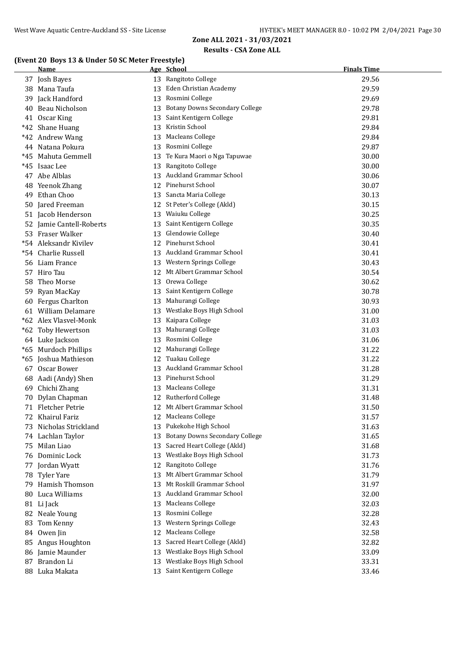## **(Event 20 Boys 13 & Under 50 SC Meter Freestyle)**

|     | <b>Name</b>              |    | Age School                            | <b>Finals Time</b> |
|-----|--------------------------|----|---------------------------------------|--------------------|
|     | 37 Josh Bayes            |    | 13 Rangitoto College                  | 29.56              |
|     | 38 Mana Taufa            |    | 13 Eden Christian Academy             | 29.59              |
| 39  | Jack Handford            |    | 13 Rosmini College                    | 29.69              |
| 40  | Beau Nicholson           | 13 | <b>Botany Downs Secondary College</b> | 29.78              |
|     | 41 Oscar King            | 13 | Saint Kentigern College               | 29.81              |
|     | *42 Shane Huang          | 13 | Kristin School                        | 29.84              |
|     | *42 Andrew Wang          | 13 | Macleans College                      | 29.84              |
|     | 44 Natana Pokura         | 13 | Rosmini College                       | 29.87              |
| *45 | Mahuta Gemmell           | 13 | Te Kura Maori o Nga Tapuwae           | 30.00              |
| *45 | Isaac Lee                | 13 | Rangitoto College                     | 30.00              |
|     | 47 Abe Alblas            | 13 | Auckland Grammar School               | 30.06              |
| 48  | Yeenok Zhang             | 12 | Pinehurst School                      | 30.07              |
| 49  | Ethan Choo               | 13 | Sancta Maria College                  | 30.13              |
|     | 50 Jared Freeman         |    | 12 St Peter's College (Akld)          | 30.15              |
|     | 51 Jacob Henderson       | 13 | Waiuku College                        | 30.25              |
|     | 52 Jamie Cantell-Roberts | 13 | Saint Kentigern College               | 30.35              |
|     | 53 Fraser Walker         |    | 13 Glendowie College                  | 30.40              |
|     | *54 Aleksandr Kivilev    |    | 12 Pinehurst School                   | 30.41              |
|     | *54 Charlie Russell      |    | 13 Auckland Grammar School            | 30.41              |
|     | 56 Liam France           |    | 13 Western Springs College            | 30.43              |
|     | 57 Hiro Tau              |    | 12 Mt Albert Grammar School           | 30.54              |
| 58  | Theo Morse               |    | 13 Orewa College                      | 30.62              |
|     | 59 Ryan MacKay           |    | 13 Saint Kentigern College            | 30.78              |
| 60  | Fergus Charlton          | 13 | Mahurangi College                     | 30.93              |
|     | 61 William Delamare      |    | 13 Westlake Boys High School          | 31.00              |
|     | *62 Alex Vlasvel-Monk    | 13 | Kaipara College                       | 31.03              |
|     | *62 Toby Hewertson       | 13 | Mahurangi College                     | 31.03              |
|     | 64 Luke Jackson          | 13 | Rosmini College                       | 31.06              |
|     | *65 Murdoch Phillips     | 12 | Mahurangi College                     | 31.22              |
|     | *65 Joshua Mathieson     |    | 12 Tuakau College                     | 31.22              |
|     | 67 Oscar Bower           |    | 13 Auckland Grammar School            | 31.28              |
|     | 68 Aadi (Andy) Shen      |    | 13 Pinehurst School                   | 31.29              |
|     | 69 Chichi Zhang          |    | 13 Macleans College                   | 31.31              |
|     | 70 Dylan Chapman         |    | 12 Rutherford College                 | 31.48              |
|     | 71 Fletcher Petrie       |    | 12 Mt Albert Grammar School           | 31.50              |
|     | 72 Khairul Fariz         |    | 12 Macleans College                   | 31.57              |
|     | 73 Nicholas Strickland   | 13 | Pukekohe High School                  | 31.63              |
|     | 74 Lachlan Taylor        | 13 | <b>Botany Downs Secondary College</b> | 31.65              |
| 75  | Milan Liao               | 13 | Sacred Heart College (Akld)           | 31.68              |
|     | 76 Dominic Lock          | 13 | Westlake Boys High School             | 31.73              |
| 77  | Jordan Wyatt             | 12 | Rangitoto College                     | 31.76              |
|     | 78 Tyler Yare            | 13 | Mt Albert Grammar School              | 31.79              |
|     | 79 Hamish Thomson        | 13 | Mt Roskill Grammar School             | 31.97              |
| 80  | Luca Williams            | 13 | Auckland Grammar School               | 32.00              |
|     | 81 Li Jack               | 13 | Macleans College                      | 32.03              |
|     | 82 Neale Young           | 13 | Rosmini College                       | 32.28              |
| 83  | Tom Kenny                | 13 | Western Springs College               | 32.43              |
|     | 84 Owen Jin              | 12 | Macleans College                      | 32.58              |
|     | 85 Angus Houghton        | 13 | Sacred Heart College (Akld)           | 32.82              |
|     | 86 Jamie Maunder         | 13 | Westlake Boys High School             | 33.09              |
|     | 87 Brandon Li            | 13 | Westlake Boys High School             | 33.31              |
|     | 88 Luka Makata           | 13 | Saint Kentigern College               | 33.46              |
|     |                          |    |                                       |                    |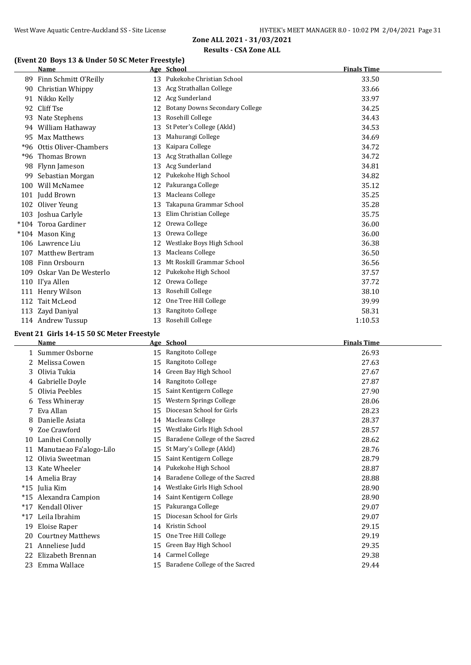## **(Event 20 Boys 13 & Under 50 SC Meter Freestyle)**

|       | <b>Name</b>                                |    | Age School                            | <b>Finals Time</b> |  |
|-------|--------------------------------------------|----|---------------------------------------|--------------------|--|
|       | 89 Finn Schmitt O'Reilly                   |    | 13 Pukekohe Christian School          | 33.50              |  |
|       | 90 Christian Whippy                        |    | 13 Acg Strathallan College            | 33.66              |  |
| 91    | Nikko Kelly                                |    | 12 Acg Sunderland                     | 33.97              |  |
|       | 92 Cliff Tse                               | 12 | <b>Botany Downs Secondary College</b> | 34.25              |  |
|       | 93 Nate Stephens                           | 13 | Rosehill College                      | 34.43              |  |
|       | 94 William Hathaway                        | 13 | St Peter's College (Akld)             | 34.53              |  |
| 95    | Max Matthews                               | 13 | Mahurangi College                     | 34.69              |  |
| $*96$ | Ottis Oliver-Chambers                      | 13 | Kaipara College                       | 34.72              |  |
| $*96$ | <b>Thomas Brown</b>                        | 13 | Acg Strathallan College               | 34.72              |  |
|       | 98 Flynn Jameson                           | 13 | Acg Sunderland                        | 34.81              |  |
|       | 99 Sebastian Morgan                        | 12 | Pukekohe High School                  | 34.82              |  |
|       | 100 Will McNamee                           | 12 | Pakuranga College                     | 35.12              |  |
|       | 101 Judd Brown                             | 13 | Macleans College                      | 35.25              |  |
|       | 102 Oliver Yeung                           | 13 | Takapuna Grammar School               | 35.28              |  |
|       | 103 Joshua Carlyle                         | 13 | Elim Christian College                | 35.75              |  |
|       | *104 Toroa Gardiner                        | 12 | Orewa College                         | 36.00              |  |
|       | *104 Mason King                            | 13 | Orewa College                         | 36.00              |  |
|       | 106 Lawrence Liu                           | 12 | Westlake Boys High School             | 36.38              |  |
| 107   | <b>Matthew Bertram</b>                     | 13 | Macleans College                      | 36.50              |  |
|       | 108 Finn Orsbourn                          | 13 | Mt Roskill Grammar School             | 36.56              |  |
|       | 109 Oskar Van De Westerlo                  | 12 | Pukekohe High School                  | 37.57              |  |
|       | 110 Il'ya Allen                            | 12 | Orewa College                         | 37.72              |  |
|       | 111 Henry Wilson                           | 13 | Rosehill College                      | 38.10              |  |
|       | 112 Tait McLeod                            | 12 | One Tree Hill College                 | 39.99              |  |
|       | 113 Zayd Daniyal                           | 13 | Rangitoto College                     | 58.31              |  |
|       | 114 Andrew Tussup                          | 13 | Rosehill College                      | 1:10.53            |  |
|       | Event 21 Girls 14-15 50 SC Meter Freestyle |    |                                       |                    |  |
|       | Name                                       |    | Age School                            | <b>Finals Time</b> |  |
|       | 1 Summer Osborne                           |    | 15 Rangitoto College                  | 26.93              |  |
| 2     | Melissa Cowen                              | 15 | Rangitoto College                     | 27.63              |  |
| 3     | Olivia Tukia                               |    | 14 Green Bay High School              | 27.67              |  |
| 4     | Gabrielle Doyle                            | 14 | Rangitoto College                     | 27.87              |  |
|       | 5 Olivia Peebles                           |    | 15 Saint Kentigern College            | 27.90              |  |
|       |                                            |    |                                       |                    |  |

|     | 5 Olivia Peebles         | 15 | Saint Kentigern College           | 27.90 |
|-----|--------------------------|----|-----------------------------------|-------|
|     | 6 Tess Whineray          | 15 | Western Springs College           | 28.06 |
|     | 7 Eva Allan              | 15 | Diocesan School for Girls         | 28.23 |
| 8   | Danielle Asiata          | 14 | Macleans College                  | 28.37 |
| 9   | Zoe Crawford             | 15 | Westlake Girls High School        | 28.57 |
|     | 10 Lanihei Connolly      | 15 | Baradene College of the Sacred    | 28.62 |
| 11  | Manutaeao Fa'alogo-Lilo  | 15 | St Mary's College (Akld)          | 28.76 |
| 12  | Olivia Sweetman          | 15 | Saint Kentigern College           | 28.79 |
|     | 13 Kate Wheeler          |    | 14 Pukekohe High School           | 28.87 |
|     | 14 Amelia Bray           | 14 | Baradene College of the Sacred    | 28.88 |
|     | *15 Iulia Kim            | 14 | Westlake Girls High School        | 28.90 |
|     | *15 Alexandra Campion    |    | 14 Saint Kentigern College        | 28.90 |
|     | *17 Kendall Oliver       | 15 | Pakuranga College                 | 29.07 |
| *17 | Leila Ibrahim            | 15 | Diocesan School for Girls         | 29.07 |
|     | 19 Eloise Raper          | 14 | Kristin School                    | 29.15 |
| 20  | <b>Courtney Matthews</b> | 15 | One Tree Hill College             | 29.19 |
|     | 21 Anneliese Judd        | 15 | Green Bay High School             | 29.35 |
| 22  | Elizabeth Brennan        | 14 | Carmel College                    | 29.38 |
|     | 23 Emma Wallace          |    | 15 Baradene College of the Sacred | 29.44 |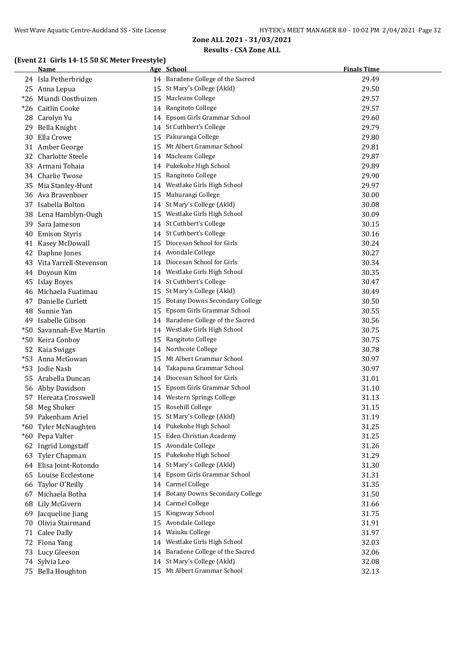## **(Event 21 Girls 14-15 50 SC Meter Freestyle)**

|       | <b>Name</b>               |    | Age School                            | <b>Finals Time</b> |
|-------|---------------------------|----|---------------------------------------|--------------------|
|       | 24 Isla Petherbridge      |    | 14 Baradene College of the Sacred     | 29.49              |
|       | 25 Anna Lepua             |    | 15 St Mary's College (Akld)           | 29.50              |
| $*26$ | Miandi Oosthuizen         | 15 | Macleans College                      | 29.57              |
| *26   | <b>Caitlin Cooke</b>      | 14 | Rangitoto College                     | 29.57              |
| 28    | Carolyn Yu                | 14 | Epsom Girls Grammar School            | 29.60              |
| 29    | Bella Knight              |    | 14 St Cuthbert's College              | 29.79              |
| 30    | Ella Crowe                | 15 | Pakuranga College                     | 29.80              |
|       | 31 Amber George           | 15 | Mt Albert Grammar School              | 29.81              |
|       | 32 Charlotte Steele       |    | 14 Macleans College                   | 29.87              |
|       | 33 Armani Tohaia          |    | 14 Pukekohe High School               | 29.89              |
|       | 34 Charlie Twose          | 15 | Rangitoto College                     | 29.90              |
| 35    | Mia Stanley-Hunt          |    | 14 Westlake Girls High School         | 29.97              |
| 36    | Ava Bravenboer            | 15 | Mahurangi College                     | 30.00              |
| 37    | Isabella Bolton           |    | 14 St Mary's College (Akld)           | 30.08              |
| 38    | Lena Hamblyn-Ough         |    | 15 Westlake Girls High School         | 30.09              |
| 39    | Sara Jameson              |    | 14 St Cuthbert's College              | 30.15              |
| 40    | <b>Emison Styris</b>      |    | 14 St Cuthbert's College              | 30.16              |
|       | 41 Kasey McDowall         | 15 | Diocesan School for Girls             | 30.24              |
|       | 42 Daphne Jones           |    | 14 Avondale College                   | 30.27              |
|       | 43 Vita Yarrell-Stevenson |    | 14 Diocesan School for Girls          | 30.34              |
| 44    | Doyoun Kim                |    | 14 Westlake Girls High School         | 30.35              |
| 45    | Islay Boyes               |    | 14 St Cuthbert's College              | 30.47              |
| 46    | Michaela Fuatimau         | 15 | St Mary's College (Akld)              | 30.49              |
| 47    | Danielle Curlett          | 15 | <b>Botany Downs Secondary College</b> | 30.50              |
| 48    | Sunnie Yan                | 15 | Epsom Girls Grammar School            | 30.55              |
| 49    | Isabelle Gibson           |    | 14 Baradene College of the Sacred     | 30.56              |
|       | *50 Savannah-Eve Martin   |    | 14 Westlake Girls High School         | 30.75              |
| *50   | Keira Conboy              | 15 | Rangitoto College                     | 30.75              |
| 52    | Kaia Swiggs               |    | 14 Northcote College                  | 30.78              |
|       | *53 Anna McGowan          | 15 | Mt Albert Grammar School              | 30.97              |
|       | *53 Jodie Nash            | 14 | Takapuna Grammar School               | 30.97              |
| 55    | Arabella Duncan           |    | 14 Diocesan School for Girls          | 31.01              |
|       | 56 Abby Davidson          | 15 | Epsom Girls Grammar School            | 31.10              |
|       | 57 Hereata Crosswell      |    | 14 Western Springs College            | 31.13              |
| 58    | Meg Shuker                |    | 15 Rosehill College                   | 31.15              |
|       | 59 Pakenham Ariel         |    | 15 St Mary's College (Akld)           | 31.19              |
|       | *60 Tyler McNaughten      |    | 14 Pukekohe High School               | 31.25              |
|       | *60 Pepa Valter           | 15 | Eden Christian Academy                | 31.25              |
|       | 62 Ingrid Longstaff       | 15 | Avondale College                      | 31.26              |
| 63    | Tyler Chapman             | 15 | Pukekohe High School                  | 31.29              |
|       | 64 Elisa Joint-Rotondo    | 14 | St Mary's College (Akld)              | 31.30              |
| 65    | Louise Ecclestone         | 14 | Epsom Girls Grammar School            | 31.31              |
| 66    | Taylor O'Reilly           |    | 14 Carmel College                     | 31.35              |
| 67    | Michaela Botha            | 14 | <b>Botany Downs Secondary College</b> | 31.50              |
| 68    | Lily McGivern             | 14 | Carmel College                        | 31.66              |
| 69    | Jacqueline Jiang          | 15 | Kingsway School                       | 31.75              |
| 70    | Olivia Stairmand          | 15 | Avondale College                      | 31.91              |
|       | 71 Calee Dally            | 14 | Waiuku College                        | 31.97              |
|       | 72 Fiona Yang             | 14 | Westlake Girls High School            | 32.03              |
|       | 73 Lucy Gleeson           | 14 | Baradene College of the Sacred        | 32.06              |
|       | 74 Sylvia Leo             | 14 | St Mary's College (Akld)              | 32.08              |
|       | 75 Bella Houghton         | 15 | Mt Albert Grammar School              | 32.13              |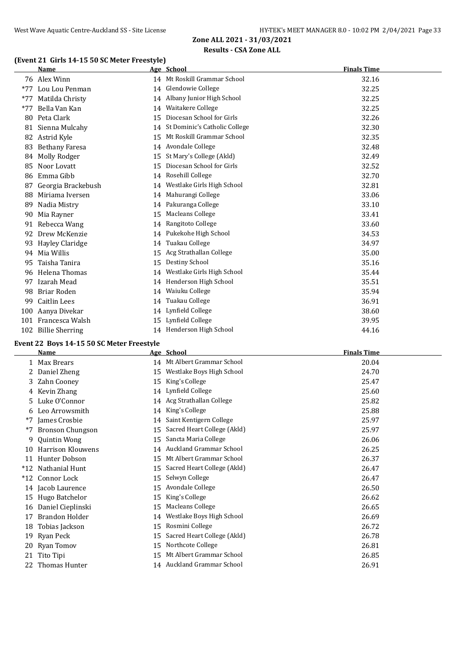## **(Event 21 Girls 14-15 50 SC Meter Freestyle)**

|       | <b>Name</b>            |    | Age School                    | <b>Finals Time</b> |
|-------|------------------------|----|-------------------------------|--------------------|
|       | 76 Alex Winn           |    | 14 Mt Roskill Grammar School  | 32.16              |
| $*77$ | Lou Lou Penman         | 14 | Glendowie College             | 32.25              |
| $*77$ | Matilda Christy        | 14 | Albany Junior High School     | 32.25              |
| $*77$ | Bella Van Kan          | 14 | Waitakere College             | 32.25              |
| 80    | Peta Clark             | 15 | Diocesan School for Girls     | 32.26              |
| 81    | Sienna Mulcahy         | 14 | St Dominic's Catholic College | 32.30              |
| 82    | Astrid Kyle            | 15 | Mt Roskill Grammar School     | 32.35              |
| 83    | <b>Bethany Faresa</b>  | 14 | Avondale College              | 32.48              |
| 84    | Molly Rodger           | 15 | St Mary's College (Akld)      | 32.49              |
| 85    | Noor Lovatt            | 15 | Diocesan School for Girls     | 32.52              |
| 86    | Emma Gibb              | 14 | Rosehill College              | 32.70              |
| 87    | Georgia Brackebush     | 14 | Westlake Girls High School    | 32.81              |
| 88    | Miriama Iversen        | 14 | Mahurangi College             | 33.06              |
| 89    | Nadia Mistry           | 14 | Pakuranga College             | 33.10              |
| 90    | Mia Rayner             | 15 | Macleans College              | 33.41              |
| 91    | Rebecca Wang           | 14 | Rangitoto College             | 33.60              |
| 92    | Drew McKenzie          | 14 | Pukekohe High School          | 34.53              |
| 93    | Hayley Claridge        | 14 | Tuakau College                | 34.97              |
| 94    | Mia Willis             | 15 | Acg Strathallan College       | 35.00              |
| 95    | Taisha Tanira          | 15 | Destiny School                | 35.16              |
| 96    | Helena Thomas          | 14 | Westlake Girls High School    | 35.44              |
| 97    | Izarah Mead            | 14 | Henderson High School         | 35.51              |
| 98    | Briar Roden            | 14 | Waiuku College                | 35.94              |
| 99    | Caitlin Lees           | 14 | Tuakau College                | 36.91              |
| 100   | Aanya Divekar          | 14 | Lynfield College              | 38.60              |
| 101   | Francesca Walsh        | 15 | Lynfield College              | 39.95              |
| 102   | <b>Billie Sherring</b> |    | 14 Henderson High School      | 44.16              |

## **Event 22 Boys 14-15 50 SC Meter Freestyle**

|       | <b>Name</b>              |    | Age School                  | <b>Finals Time</b> |
|-------|--------------------------|----|-----------------------------|--------------------|
|       | 1 Max Brears             |    | 14 Mt Albert Grammar School | 20.04              |
|       | Daniel Zheng             | 15 | Westlake Boys High School   | 24.70              |
| 3     | Zahn Cooney              | 15 | King's College              | 25.47              |
| 4     | Kevin Zhang              | 14 | Lynfield College            | 25.60              |
| 5.    | Luke O'Connor            | 14 | Acg Strathallan College     | 25.82              |
| 6     | Leo Arrowsmith           | 14 | King's College              | 25.88              |
| $*7$  | James Crosbie            | 14 | Saint Kentigern College     | 25.97              |
| $*7$  | <b>Bronson Chungson</b>  | 15 | Sacred Heart College (Akld) | 25.97              |
| 9     | <b>Quintin Wong</b>      | 15 | Sancta Maria College        | 26.06              |
| 10    | <b>Harrison Klouwens</b> | 14 | Auckland Grammar School     | 26.25              |
|       | 11 Hunter Dobson         | 15 | Mt Albert Grammar School    | 26.37              |
| $*12$ | Nathanial Hunt           | 15 | Sacred Heart College (Akld) | 26.47              |
| $*12$ | Connor Lock              | 15 | Selwyn College              | 26.47              |
| 14    | Jacob Laurence           | 15 | Avondale College            | 26.50              |
| 15    | Hugo Batchelor           | 15 | King's College              | 26.62              |
| 16    | Daniel Cieplinski        | 15 | Macleans College            | 26.65              |
| 17    | <b>Brandon Holder</b>    | 14 | Westlake Boys High School   | 26.69              |
| 18    | Tobias Jackson           | 15 | Rosmini College             | 26.72              |
| 19    | Ryan Peck                | 15 | Sacred Heart College (Akld) | 26.78              |
| 20    | Ryan Tomov               | 15 | Northcote College           | 26.81              |
| 21    | Tito Tipi                | 15 | Mt Albert Grammar School    | 26.85              |
| 22.   | Thomas Hunter            |    | 14 Auckland Grammar School  | 26.91              |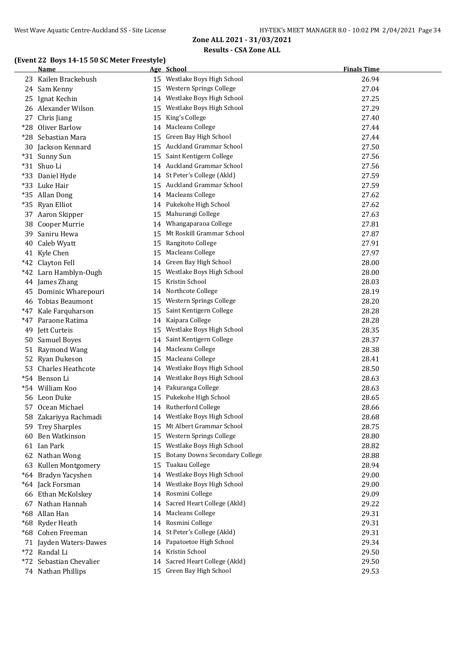#### **(Event 22 Boys 14-15 50 SC Meter Freestyle)**

|       | <b>Name</b>              |    | Age School                                                 | <b>Finals Time</b> |
|-------|--------------------------|----|------------------------------------------------------------|--------------------|
|       | 23 Kailen Brackebush     |    | 15 Westlake Boys High School                               | 26.94              |
|       | 24 Sam Kenny             |    | 15 Western Springs College                                 | 27.04              |
| 25.   | Ignat Kechin             |    | 14 Westlake Boys High School                               | 27.25              |
|       | 26 Alexander Wilson      |    | 15 Westlake Boys High School                               | 27.29              |
|       | 27 Chris Jiang           |    | 15 King's College                                          | 27.40              |
| $*28$ | Oliver Barlow            |    | 14 Macleans College                                        | 27.44              |
|       | *28 Sebastian Mara       |    | 15 Green Bay High School                                   | 27.44              |
|       | 30 Jackson Kennard       |    | 15 Auckland Grammar School                                 | 27.50              |
|       | *31 Sunny Sun            |    | 15 Saint Kentigern College                                 | 27.56              |
|       | *31 Shuo Li              |    | 14 Auckland Grammar School                                 | 27.56              |
|       | *33 Daniel Hyde          |    | 14 St Peter's College (Akld)                               | 27.59              |
|       | *33 Luke Hair            |    | 15 Auckland Grammar School                                 | 27.59              |
|       | *35 Allan Dong           |    | 14 Macleans College                                        | 27.62              |
|       | *35 Ryan Elliot          |    | 14 Pukekohe High School                                    | 27.62              |
|       | 37 Aaron Skipper         |    | 15 Mahurangi College                                       | 27.63              |
|       | 38 Cooper Murrie         |    | 14 Whangaparaoa College                                    | 27.81              |
|       | 39 Saniru Hewa           | 15 | Mt Roskill Grammar School                                  | 27.87              |
|       | 40 Caleb Wyatt           |    | 15 Rangitoto College                                       | 27.91              |
|       | 41 Kyle Chen             |    | 15 Macleans College                                        | 27.97              |
|       | *42 Clayton Fell         |    | 14 Green Bay High School                                   | 28.00              |
|       | *42 Larn Hamblyn-Ough    |    | 15 Westlake Boys High School                               | 28.00              |
|       | 44 James Zhang           |    | 15 Kristin School                                          | 28.03              |
|       | 45 Dominic Wharepouri    |    | 14 Northcote College                                       | 28.19              |
|       | 46 Tobias Beaumont       |    | 15 Western Springs College                                 | 28.20              |
|       | *47 Kale Farquharson     |    | 15 Saint Kentigern College                                 | 28.28              |
|       | *47 Paraone Ratima       |    | 14 Kaipara College                                         | 28.28              |
| 49    | Jett Curteis             |    | 15 Westlake Boys High School                               | 28.35              |
| 50    | <b>Samuel Boyes</b>      | 14 | Saint Kentigern College                                    | 28.37              |
|       | 51 Raymond Wang          |    | 14 Macleans College                                        | 28.38              |
| 52    | Ryan Dukeson             | 15 | <b>Macleans College</b>                                    | 28.41              |
| 53    | <b>Charles Heathcote</b> | 14 | Westlake Boys High School                                  | 28.50              |
|       | *54 Benson Li            |    | 14 Westlake Boys High School                               | 28.63              |
|       | *54 William Koo          |    | 14 Pakuranga College                                       | 28.63              |
|       | 56 Leon Duke             |    | 15 Pukekohe High School                                    | 28.65              |
|       | 57 Ocean Michael         |    | 14 Rutherford College                                      | 28.66              |
|       | 58 Zakariyya Rachmadi    |    | 14 Westlake Boys High School                               | 28.68              |
|       | 59 Trey Sharples         |    | 15 Mt Albert Grammar School                                | 28.75              |
|       | 60 Ben Watkinson         |    | 15 Western Springs College                                 | 28.80              |
|       | 61 Ian Park              |    | 15 Westlake Boys High School                               | 28.82              |
|       | 62 Nathan Wong           |    | 15 Botany Downs Secondary College                          | 28.88              |
|       | 63 Kullen Montgomery     | 15 | Tuakau College                                             | 28.94              |
|       | *64 Bradyn Yacyshen      | 14 | Westlake Boys High School                                  | 29.00              |
|       | *64 Jack Forsman         |    | 14 Westlake Boys High School                               | 29.00              |
|       | 66 Ethan McKolskey       |    | 14 Rosmini College                                         | 29.09              |
|       | 67 Nathan Hannah         |    | 14 Sacred Heart College (Akld)                             | 29.22              |
|       | *68 Allan Han            |    | 14 Macleans College                                        | 29.31              |
|       | *68 Ryder Heath          |    | 14 Rosmini College                                         | 29.31              |
|       | *68 Cohen Freeman        |    | 14 St Peter's College (Akld)                               | 29.31              |
|       | 71 Jayden Waters-Dawes   |    | 14 Papatoetoe High School                                  | 29.34              |
|       | *72 Randal Li            |    | 14 Kristin School                                          | 29.50              |
|       | *72 Sebastian Chevalier  |    | 14 Sacred Heart College (Akld)<br>15 Green Bay High School | 29.50              |
|       | 74 Nathan Phillips       |    |                                                            | 29.53              |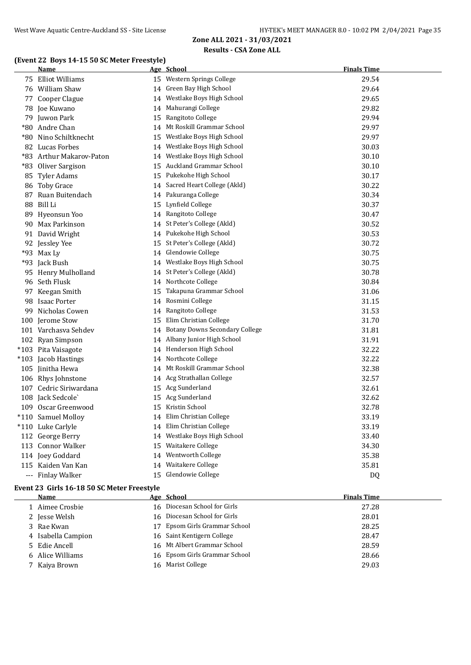#### West Wave Aquatic Centre-Auckland SS - Site License HY-TEK's MEET MANAGER 8.0 - 10:02 PM 2/04/2021 Page 35

## **Zone ALL 2021 - 31/03/2021 Results - CSA Zone ALL**

## **(Event 22 Boys 14-15 50 SC Meter Freestyle)**

| <b>Name</b>              |    | Age School                        | <b>Finals Time</b> |
|--------------------------|----|-----------------------------------|--------------------|
| 75 Elliot Williams       |    | 15 Western Springs College        | 29.54              |
| 76 William Shaw          |    | 14 Green Bay High School          | 29.64              |
| 77 Cooper Clague         |    | 14 Westlake Boys High School      | 29.65              |
| 78 Joe Kuwano            |    | 14 Mahurangi College              | 29.82              |
| 79 Juwon Park            | 15 | Rangitoto College                 | 29.94              |
| *80 Andre Chan           |    | 14 Mt Roskill Grammar School      | 29.97              |
| *80 Nino Schiltknecht    | 15 | Westlake Boys High School         | 29.97              |
| 82 Lucas Forbes          |    | 14 Westlake Boys High School      | 30.03              |
| *83 Arthur Makarov-Paton |    | 14 Westlake Boys High School      | 30.10              |
| *83 Oliver Sargison      |    | 15 Auckland Grammar School        | 30.10              |
| 85 Tyler Adams           | 15 | Pukekohe High School              | 30.17              |
| 86 Toby Grace            |    | 14 Sacred Heart College (Akld)    | 30.22              |
| 87 Ruan Buitendach       |    | 14 Pakuranga College              | 30.34              |
| 88 Bill Li               |    | 15 Lynfield College               | 30.37              |
| 89 Hyeonsun Yoo          |    | 14 Rangitoto College              | 30.47              |
| 90 Max Parkinson         |    | 14 St Peter's College (Akld)      | 30.52              |
| 91 David Wright          |    | 14 Pukekohe High School           | 30.53              |
| 92 Jessley Yee           |    | 15 St Peter's College (Akld)      | 30.72              |
| *93 Max Ly               |    | 14 Glendowie College              | 30.75              |
| *93 Jack Bush            |    | 14 Westlake Boys High School      | 30.75              |
| 95 Henry Mulholland      |    | 14 St Peter's College (Akld)      | 30.78              |
| 96 Seth Flusk            |    | 14 Northcote College              | 30.84              |
| 97 Keegan Smith          | 15 | Takapuna Grammar School           | 31.06              |
| 98 Isaac Porter          |    | 14 Rosmini College                | 31.15              |
| 99 Nicholas Cowen        |    | 14 Rangitoto College              | 31.53              |
| 100 Jerome Stow          | 15 | Elim Christian College            | 31.70              |
| 101 Varchasva Sehdev     |    | 14 Botany Downs Secondary College | 31.81              |
| 102 Ryan Simpson         |    | 14 Albany Junior High School      | 31.91              |
| *103 Pita Vaisagote      |    | 14 Henderson High School          | 32.22              |
| *103 Jacob Hastings      |    | 14 Northcote College              | 32.22              |
| 105 Jinitha Hewa         |    | 14 Mt Roskill Grammar School      | 32.38              |
| 106 Rhys Johnstone       |    | 14 Acg Strathallan College        | 32.57              |
| 107 Cedric Siriwardana   |    | 15 Acg Sunderland                 | 32.61              |
| 108 Jack Sedcole`        |    | 15 Acg Sunderland                 | 32.62              |
| 109 Oscar Greenwood      | 15 | Kristin School                    | 32.78              |
| *110 Samuel Molloy       |    | 14 Elim Christian College         | 33.19              |
| *110 Luke Carlyle        |    | 14 Elim Christian College         | 33.19              |
| 112 George Berry         |    | 14 Westlake Boys High School      | 33.40              |
| 113 Connor Walker        | 15 | Waitakere College                 | 34.30              |
| 114 Joey Goddard         |    | 14 Wentworth College              | 35.38              |
| 115 Kaiden Van Kan       |    | 14 Waitakere College              | 35.81              |
| --- Finlay Walker        |    | 15 Glendowie College              | D <sub>0</sub>     |

## **Event 23 Girls 16-18 50 SC Meter Freestyle**

| Name               | Age School                    | <b>Finals Time</b> |
|--------------------|-------------------------------|--------------------|
| 1 Aimee Crosbie    | 16 Diocesan School for Girls  | 27.28              |
| 2 Jesse Welsh      | 16 Diocesan School for Girls  | 28.01              |
| 3 Rae Kwan         | 17 Epsom Girls Grammar School | 28.25              |
| 4 Isabella Campion | 16 Saint Kentigern College    | 28.47              |
| 5 Edie Ancell      | 16 Mt Albert Grammar School   | 28.59              |
| 6 Alice Williams   | 16 Epsom Girls Grammar School | 28.66              |
| 7 Kaiya Brown      | 16 Marist College             | 29.03              |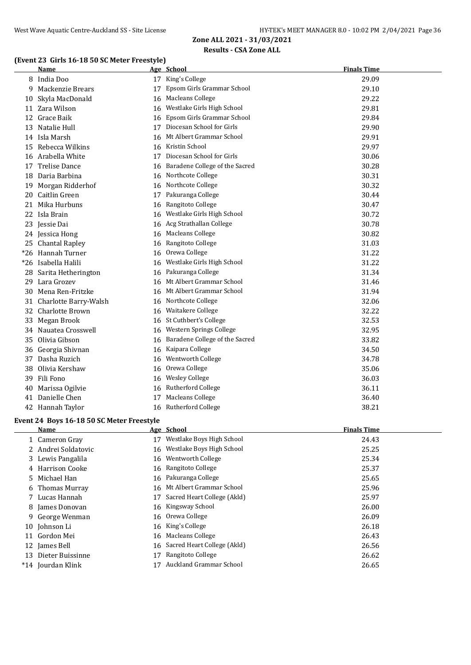## **(Event 23 Girls 16-18 50 SC Meter Freestyle)**

|    | <b>Name</b>            |    | Age School                        | <b>Finals Time</b> |
|----|------------------------|----|-----------------------------------|--------------------|
|    | 8 India Doo            |    | 17 King's College                 | 29.09              |
| 9  | Mackenzie Brears       | 17 | Epsom Girls Grammar School        | 29.10              |
| 10 | Skyla MacDonald        | 16 | Macleans College                  | 29.22              |
|    | 11 Zara Wilson         |    | 16 Westlake Girls High School     | 29.81              |
|    | 12 Grace Baik          |    | 16 Epsom Girls Grammar School     | 29.84              |
| 13 | Natalie Hull           |    | 17 Diocesan School for Girls      | 29.90              |
|    | 14 Isla Marsh          |    | 16 Mt Albert Grammar School       | 29.91              |
|    | 15 Rebecca Wilkins     |    | 16 Kristin School                 | 29.97              |
|    | 16 Arabella White      |    | 17 Diocesan School for Girls      | 30.06              |
| 17 | <b>Trelise Dance</b>   |    | 16 Baradene College of the Sacred | 30.28              |
|    | 18 Daria Barbina       |    | 16 Northcote College              | 30.31              |
| 19 | Morgan Ridderhof       |    | 16 Northcote College              | 30.32              |
| 20 | Caitlin Green          | 17 | Pakuranga College                 | 30.44              |
| 21 | Mika Hurbuns           |    | 16 Rangitoto College              | 30.47              |
|    | 22 Isla Brain          | 16 | Westlake Girls High School        | 30.72              |
|    | 23 Jessie Dai          |    | 16 Acg Strathallan College        | 30.78              |
|    | 24 Jessica Hong        |    | 16 Macleans College               | 30.82              |
|    | 25 Chantal Rapley      |    | 16 Rangitoto College              | 31.03              |
|    | *26 Hannah Turner      | 16 | Orewa College                     | 31.22              |
|    | *26 Isabella Halili    | 16 | Westlake Girls High School        | 31.22              |
|    | 28 Sarita Hetherington |    | 16 Pakuranga College              | 31.34              |
|    | 29 Lara Grozev         |    | 16 Mt Albert Grammar School       | 31.46              |
| 30 | Mena Ren-Fritzke       |    | 16 Mt Albert Grammar School       | 31.94              |
| 31 | Charlotte Barry-Walsh  |    | 16 Northcote College              | 32.06              |
|    | 32 Charlotte Brown     | 16 | Waitakere College                 | 32.22              |
|    | 33 Megan Brook         |    | 16 St Cuthbert's College          | 32.53              |
|    | 34 Nauatea Crosswell   |    | 16 Western Springs College        | 32.95              |
|    | 35 Olivia Gibson       |    | 16 Baradene College of the Sacred | 33.82              |
| 36 | Georgia Shivnan        |    | 16 Kaipara College                | 34.50              |
|    | 37 Dasha Ruzich        |    | 16 Wentworth College              | 34.78              |
| 38 | Olivia Kershaw         |    | 16 Orewa College                  | 35.06              |
|    | 39 Fili Fono           |    | 16 Wesley College                 | 36.03              |
|    | 40 Marissa Ogilvie     |    | 16 Rutherford College             | 36.11              |
|    | 41 Danielle Chen       |    | 17 Macleans College               | 36.40              |
|    | 42 Hannah Taylor       |    | 16 Rutherford College             | 38.21              |

#### **Event 24 Boys 16-18 50 SC Meter Freestyle**

| Name |                                                                                                                                                                                                                                                                              |                             | <b>Finals Time</b>                                                                                                                                                                                                                                                        |
|------|------------------------------------------------------------------------------------------------------------------------------------------------------------------------------------------------------------------------------------------------------------------------------|-----------------------------|---------------------------------------------------------------------------------------------------------------------------------------------------------------------------------------------------------------------------------------------------------------------------|
|      | 17                                                                                                                                                                                                                                                                           | Westlake Boys High School   | 24.43                                                                                                                                                                                                                                                                     |
|      |                                                                                                                                                                                                                                                                              |                             | 25.25                                                                                                                                                                                                                                                                     |
|      |                                                                                                                                                                                                                                                                              |                             | 25.34                                                                                                                                                                                                                                                                     |
|      |                                                                                                                                                                                                                                                                              |                             | 25.37                                                                                                                                                                                                                                                                     |
|      |                                                                                                                                                                                                                                                                              |                             | 25.65                                                                                                                                                                                                                                                                     |
|      |                                                                                                                                                                                                                                                                              |                             | 25.96                                                                                                                                                                                                                                                                     |
|      | 17                                                                                                                                                                                                                                                                           | Sacred Heart College (Akld) | 25.97                                                                                                                                                                                                                                                                     |
|      |                                                                                                                                                                                                                                                                              |                             | 26.00                                                                                                                                                                                                                                                                     |
|      |                                                                                                                                                                                                                                                                              |                             | 26.09                                                                                                                                                                                                                                                                     |
|      |                                                                                                                                                                                                                                                                              |                             | 26.18                                                                                                                                                                                                                                                                     |
|      |                                                                                                                                                                                                                                                                              |                             | 26.43                                                                                                                                                                                                                                                                     |
|      |                                                                                                                                                                                                                                                                              |                             | 26.56                                                                                                                                                                                                                                                                     |
|      | 17                                                                                                                                                                                                                                                                           | Rangitoto College           | 26.62                                                                                                                                                                                                                                                                     |
|      |                                                                                                                                                                                                                                                                              | Auckland Grammar School     | 26.65                                                                                                                                                                                                                                                                     |
|      | 1 Cameron Gray<br>2 Andrei Soldatovic<br>3 Lewis Pangalila<br>4 Harrison Cooke<br>5 Michael Han<br>6 Thomas Murray<br>7 Lucas Hannah<br>8 James Donovan<br>9 George Wenman<br>10 Johnson Li<br>11 Gordon Mei<br>12 James Bell<br>Dieter Buissinne<br>13<br>*14 Jourdan Klink |                             | Age School<br>16 Westlake Boys High School<br>16 Wentworth College<br>16 Rangitoto College<br>16 Pakuranga College<br>16 Mt Albert Grammar School<br>16 Kingsway School<br>16 Orewa College<br>16 King's College<br>16 Macleans College<br>16 Sacred Heart College (Akld) |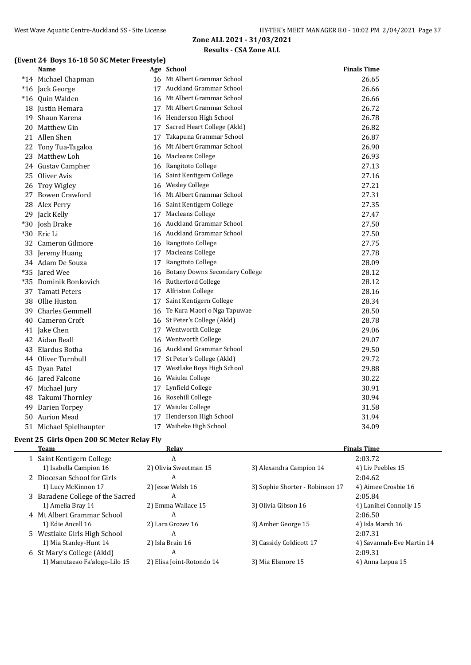## **(Event 24 Boys 16-18 50 SC Meter Freestyle)**

|       | <b>Name</b>             |    | Age School                            | <b>Finals Time</b> |
|-------|-------------------------|----|---------------------------------------|--------------------|
|       | *14 Michael Chapman     |    | 16 Mt Albert Grammar School           | 26.65              |
|       | *16 Jack George         |    | 17 Auckland Grammar School            | 26.66              |
|       | *16 Quin Walden         |    | 16 Mt Albert Grammar School           | 26.66              |
|       | 18 Justin Hemara        |    | 17 Mt Albert Grammar School           | 26.72              |
|       | 19 Shaun Karena         |    | 16 Henderson High School              | 26.78              |
| 20    | Matthew Gin             |    | 17 Sacred Heart College (Akld)        | 26.82              |
|       | 21 Allen Shen           | 17 | Takapuna Grammar School               | 26.87              |
| 22    | Tony Tua-Tagaloa        | 16 | Mt Albert Grammar School              | 26.90              |
| 23    | Matthew Loh             | 16 | Macleans College                      | 26.93              |
|       | 24 Gustav Campher       |    | 16 Rangitoto College                  | 27.13              |
|       | 25 Oliver Avis          | 16 | Saint Kentigern College               | 27.16              |
|       | 26 Troy Wigley          | 16 | <b>Wesley College</b>                 | 27.21              |
| 27    | <b>Bowen Crawford</b>   | 16 | Mt Albert Grammar School              | 27.31              |
|       | 28 Alex Perry           | 16 | Saint Kentigern College               | 27.35              |
|       | 29 Jack Kelly           | 17 | <b>Macleans College</b>               | 27.47              |
|       | *30 Josh Drake          | 16 | Auckland Grammar School               | 27.50              |
|       | *30 Eric Li             |    | 16 Auckland Grammar School            | 27.50              |
|       | 32 Cameron Gilmore      |    | 16 Rangitoto College                  | 27.75              |
| 33    | Jeremy Huang            | 17 | Macleans College                      | 27.78              |
|       | 34 Adam De Souza        | 17 | Rangitoto College                     | 28.09              |
| $*35$ | Jared Wee               | 16 | <b>Botany Downs Secondary College</b> | 28.12              |
| *35   | Dominik Bonkovich       | 16 | Rutherford College                    | 28.12              |
|       | 37 Tamati Peters        |    | 17 Alfriston College                  | 28.16              |
| 38    | Ollie Huston            | 17 | Saint Kentigern College               | 28.34              |
| 39    | Charles Gemmell         | 16 | Te Kura Maori o Nga Tapuwae           | 28.50              |
| 40    | <b>Cameron Croft</b>    | 16 | St Peter's College (Akld)             | 28.78              |
|       | 41 Jake Chen            | 17 | Wentworth College                     | 29.06              |
|       | 42 Aidan Beall          | 16 | <b>Wentworth College</b>              | 29.07              |
| 43    | Elardus Botha           | 16 | Auckland Grammar School               | 29.50              |
|       | 44 Oliver Turnbull      |    | 17 St Peter's College (Akld)          | 29.72              |
|       | 45 Dyan Patel           | 17 | Westlake Boys High School             | 29.88              |
|       | 46 Jared Falcone        | 16 | Waiuku College                        | 30.22              |
|       | 47 Michael Jury         |    | 17 Lynfield College                   | 30.91              |
| 48    | Takumi Thornley         | 16 | Rosehill College                      | 30.94              |
| 49    | Darien Torpey           |    | 17 Waiuku College                     | 31.58              |
| 50    | <b>Aurion Mead</b>      |    | 17 Henderson High School              | 31.94              |
|       | 51 Michael Spielhaupter |    | 17 Waiheke High School                | 34.09              |

#### **Event 25 Girls Open 200 SC Meter Relay Fly**

 $\frac{1}{1}$ 

| Team                             | Relay                     |                                 | <b>Finals Time</b>        |
|----------------------------------|---------------------------|---------------------------------|---------------------------|
| 1 Saint Kentigern College        | A                         |                                 | 2:03.72                   |
| 1) Isabella Campion 16           | 2) Olivia Sweetman 15     | 3) Alexandra Campion 14         | 4) Liv Peebles 15         |
| 2 Diocesan School for Girls      | A                         |                                 | 2:04.62                   |
| 1) Lucy McKinnon 17              | 2) Jesse Welsh 16         | 3) Sophie Shorter - Robinson 17 | 4) Aimee Crosbie 16       |
| 3 Baradene College of the Sacred | A                         |                                 | 2:05.84                   |
| 1) Amelia Bray 14                | 2) Emma Wallace 15        | 3) Olivia Gibson 16             | 4) Lanihei Connolly 15    |
| 4 Mt Albert Grammar School       | A                         |                                 | 2:06.50                   |
| 1) Edie Ancell 16                | 2) Lara Grozev 16         | 3) Amber George 15              | 4) Isla Marsh 16          |
| 5 Westlake Girls High School     | A                         |                                 | 2:07.31                   |
| 1) Mia Stanley-Hunt 14           | 2) Isla Brain 16          | 3) Cassidy Coldicott 17         | 4) Savannah-Eve Martin 14 |
| 6 St Mary's College (Akld)       | A                         |                                 | 2:09.31                   |
| 1) Manutaeao Fa'alogo-Lilo 15    | 2) Elisa Joint-Rotondo 14 | 3) Mia Elsmore 15               | 4) Anna Lepua 15          |
|                                  |                           |                                 |                           |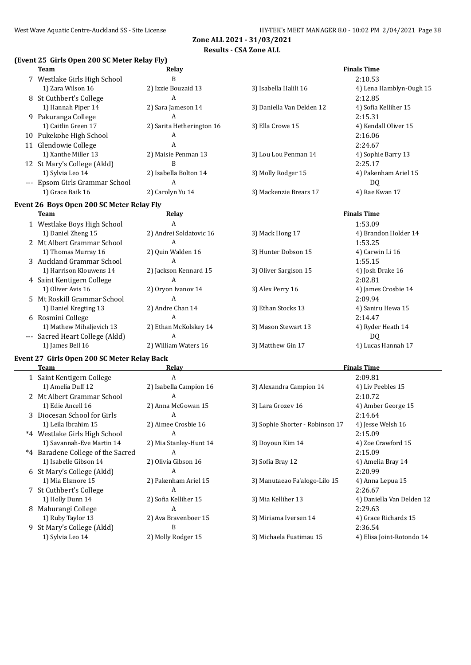#### **Results - CSA Zone ALL**

#### **(Event 25 Girls Open 200 SC Meter Relay Fly)**

| Team                                        | <b>Relay</b>              |                                 | <b>Finals Time</b>        |
|---------------------------------------------|---------------------------|---------------------------------|---------------------------|
| 7 Westlake Girls High School                | B                         |                                 | 2:10.53                   |
| 1) Zara Wilson 16                           | 2) Izzie Bouzaid 13       | 3) Isabella Halili 16           | 4) Lena Hamblyn-Ough 15   |
| 8 St Cuthbert's College                     | A                         |                                 | 2:12.85                   |
| 1) Hannah Piper 14                          | 2) Sara Jameson 14        | 3) Daniella Van Delden 12       | 4) Sofia Kelliher 15      |
| 9 Pakuranga College                         | A                         |                                 | 2:15.31                   |
| 1) Caitlin Green 17                         | 2) Sarita Hetherington 16 | 3) Ella Crowe 15                | 4) Kendall Oliver 15      |
| 10 Pukekohe High School                     | A                         |                                 | 2:16.06                   |
|                                             | A                         |                                 |                           |
| 11 Glendowie College                        |                           |                                 | 2:24.67                   |
| 1) Xanthe Miller 13                         | 2) Maisie Penman 13       | 3) Lou Lou Penman 14            | 4) Sophie Barry 13        |
| 12 St Mary's College (Akld)                 | B                         |                                 | 2:25.17                   |
| 1) Sylvia Leo 14                            | 2) Isabella Bolton 14     | 3) Molly Rodger 15              | 4) Pakenham Ariel 15      |
| --- Epsom Girls Grammar School              | A                         |                                 | <b>DQ</b>                 |
| 1) Grace Baik 16                            | 2) Carolyn Yu 14          | 3) Mackenzie Brears 17          | 4) Rae Kwan 17            |
| Event 26 Boys Open 200 SC Meter Relay Fly   |                           |                                 |                           |
| Team                                        | <b>Relay</b>              |                                 | <b>Finals Time</b>        |
| 1 Westlake Boys High School                 | $\overline{A}$            |                                 | 1:53.09                   |
| 1) Daniel Zheng 15                          | 2) Andrei Soldatovic 16   | 3) Mack Hong 17                 | 4) Brandon Holder 14      |
| 2 Mt Albert Grammar School                  | $\overline{A}$            |                                 | 1:53.25                   |
| 1) Thomas Murray 16                         | 2) Quin Walden 16         | 3) Hunter Dobson 15             | 4) Carwin Li 16           |
| 3 Auckland Grammar School                   | $\overline{A}$            |                                 | 1:55.15                   |
| 1) Harrison Klouwens 14                     | 2) Jackson Kennard 15     | 3) Oliver Sargison 15           | 4) Josh Drake 16          |
| 4 Saint Kentigern College                   | A                         |                                 | 2:02.81                   |
| 1) Oliver Avis 16                           | 2) Oryon Ivanov 14        | 3) Alex Perry 16                | 4) James Crosbie 14       |
| 5 Mt Roskill Grammar School                 | $\overline{A}$            |                                 | 2:09.94                   |
| 1) Daniel Kregting 13                       | 2) Andre Chan 14          | 3) Ethan Stocks 13              | 4) Saniru Hewa 15         |
| 6 Rosmini College                           | A                         |                                 | 2:14.47                   |
| 1) Mathew Mihaljevich 13                    | 2) Ethan McKolskey 14     | 3) Mason Stewart 13             | 4) Ryder Heath 14         |
| --- Sacred Heart College (Akld)             | $\overline{A}$            |                                 | DQ                        |
| 1) James Bell 16                            | 2) William Waters 16      | 3) Matthew Gin 17               | 4) Lucas Hannah 17        |
| Event 27 Girls Open 200 SC Meter Relay Back |                           |                                 |                           |
| <b>Team</b>                                 | <b>Relay</b>              |                                 | <b>Finals Time</b>        |
| 1 Saint Kentigern College                   | A                         |                                 | 2:09.81                   |
| 1) Amelia Duff 12                           | 2) Isabella Campion 16    | 3) Alexandra Campion 14         | 4) Liv Peebles 15         |
| 2 Mt Albert Grammar School                  | A                         |                                 | 2:10.72                   |
|                                             |                           |                                 |                           |
| 1) Edie Ancell 16                           | 2) Anna McGowan 15        | 3) Lara Grozev 16               | 4) Amber George 15        |
| 3 Diocesan School for Girls                 | А                         |                                 | 2:14.64                   |
| 1) Leila Ibrahim 15                         | 2) Aimee Crosbie 16       | 3) Sophie Shorter - Robinson 17 | 4) Jesse Welsh 16         |
| *4 Westlake Girls High School               | A                         |                                 | 2:15.09                   |
| 1) Savannah-Eve Martin 14                   | 2) Mia Stanley-Hunt 14    | 3) Doyoun Kim 14                | 4) Zoe Crawford 15        |
| *4 Baradene College of the Sacred           | A                         |                                 | 2:15.09                   |
| 1) Isabelle Gibson 14                       | 2) Olivia Gibson 16       | 3) Sofia Bray 12                | 4) Amelia Bray 14         |
| 6 St Mary's College (Akld)                  | A                         |                                 | 2:20.99                   |
| 1) Mia Elsmore 15                           | 2) Pakenham Ariel 15      | 3) Manutaeao Fa'alogo-Lilo 15   | 4) Anna Lepua 15          |
| 7 St Cuthbert's College                     | A                         |                                 | 2:26.67                   |
| 1) Holly Dunn 14                            | 2) Sofia Kelliher 15      | 3) Mia Kelliher 13              | 4) Daniella Van Delden 12 |
| 8 Mahurangi College                         | A                         |                                 | 2:29.63                   |
| 1) Ruby Taylor 13                           | 2) Ava Bravenboer 15      | 3) Miriama Iversen 14           | 4) Grace Richards 15      |
| 9 St Mary's College (Akld)                  | B                         |                                 | 2:36.54                   |
| 1) Sylvia Leo 14                            | 2) Molly Rodger 15        | 3) Michaela Fuatimau 15         | 4) Elisa Joint-Rotondo 14 |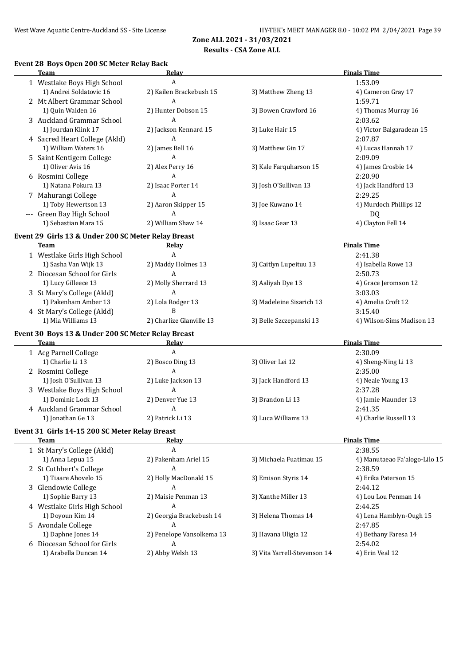#### **Results - CSA Zone ALL**

#### **Event 28 Boys Open 200 SC Meter Relay Back**

| <b>Team</b>                                         | Relay                     |                              | <b>Finals Time</b>            |
|-----------------------------------------------------|---------------------------|------------------------------|-------------------------------|
| 1 Westlake Boys High School                         | A                         |                              | 1:53.09                       |
| 1) Andrei Soldatovic 16                             | 2) Kailen Brackebush 15   | 3) Matthew Zheng 13          | 4) Cameron Gray 17            |
| 2 Mt Albert Grammar School                          | A                         |                              | 1:59.71                       |
| 1) Quin Walden 16                                   | 2) Hunter Dobson 15       | 3) Bowen Crawford 16         | 4) Thomas Murray 16           |
| 3 Auckland Grammar School                           | A                         |                              | 2:03.62                       |
| 1) Jourdan Klink 17                                 | 2) Jackson Kennard 15     | 3) Luke Hair 15              | 4) Victor Balgaradean 15      |
| 4 Sacred Heart College (Akld)                       | Α                         |                              | 2:07.87                       |
| 1) William Waters 16                                | 2) James Bell 16          | 3) Matthew Gin 17            | 4) Lucas Hannah 17            |
| 5 Saint Kentigern College                           | Α                         |                              | 2:09.09                       |
| 1) Oliver Avis 16                                   | 2) Alex Perry 16          | 3) Kale Farquharson 15       | 4) James Crosbie 14           |
| 6 Rosmini College                                   | A                         |                              | 2:20.90                       |
| 1) Natana Pokura 13                                 | 2) Isaac Porter 14        | 3) Josh O'Sullivan 13        | 4) Jack Handford 13           |
| 7 Mahurangi College                                 | A                         |                              | 2:29.25                       |
| 1) Toby Hewertson 13                                | 2) Aaron Skipper 15       | 3) Joe Kuwano 14             | 4) Murdoch Phillips 12        |
| --- Green Bay High School                           | A                         |                              | DQ                            |
| 1) Sebastian Mara 15                                | 2) William Shaw 14        | 3) Isaac Gear 13             | 4) Clayton Fell 14            |
| Event 29 Girls 13 & Under 200 SC Meter Relay Breast |                           |                              |                               |
| <b>Team</b>                                         | Relay                     |                              | <b>Finals Time</b>            |
| 1 Westlake Girls High School                        | A                         |                              | 2:41.38                       |
| 1) Sasha Van Wijk 13                                | 2) Maddy Holmes 13        | 3) Caitlyn Lupeituu 13       | 4) Isabella Rowe 13           |
| 2 Diocesan School for Girls                         | A                         |                              | 2:50.73                       |
| 1) Lucy Gilleece 13                                 | 2) Molly Sherrard 13      | 3) Aaliyah Dye 13            | 4) Grace Jeromson 12          |
| 3 St Mary's College (Akld)                          | A                         |                              | 3:03.03                       |
| 1) Pakenham Amber 13                                | 2) Lola Rodger 13         | 3) Madeleine Sisarich 13     | 4) Amelia Croft 12            |
| 4 St Mary's College (Akld)                          | B                         |                              | 3:15.40                       |
| 1) Mia Williams 13                                  | 2) Charlize Glanville 13  | 3) Belle Szczepanski 13      | 4) Wilson-Sims Madison 13     |
|                                                     |                           |                              |                               |
| Event 30 Boys 13 & Under 200 SC Meter Relay Breast  |                           |                              |                               |
| <b>Team</b>                                         | <b>Relay</b>              |                              | <b>Finals Time</b>            |
| 1 Acg Parnell College                               | A                         |                              | 2:30.09                       |
| 1) Charlie Li 13                                    | 2) Bosco Ding 13          | 3) Oliver Lei 12             | 4) Sheng-Ning Li 13           |
| 2 Rosmini College                                   | A                         |                              | 2:35.00                       |
| 1) Josh O'Sullivan 13                               | 2) Luke Jackson 13        | 3) Jack Handford 13          | 4) Neale Young 13             |
| 3 Westlake Boys High School                         | A                         |                              | 2:37.28                       |
| 1) Dominic Lock 13                                  | 2) Denver Yue 13          | 3) Brandon Li 13             | 4) Jamie Maunder 13           |
| 4 Auckland Grammar School                           | A                         |                              | 2:41.35                       |
| 1) Jonathan Ge 13                                   | 2) Patrick Li 13          | 3) Luca Williams 13          | 4) Charlie Russell 13         |
| Event 31 Girls 14-15 200 SC Meter Relay Breast      |                           |                              |                               |
| <b>Team</b>                                         | <b>Relay</b>              |                              | <b>Finals Time</b>            |
| 1 St Mary's College (Akld)                          | A                         |                              | 2:38.55                       |
| 1) Anna Lepua 15                                    | 2) Pakenham Ariel 15      | 3) Michaela Fuatimau 15      | 4) Manutaeao Fa'alogo-Lilo 15 |
| 2 St Cuthbert's College                             | A                         |                              | 2:38.59                       |
| 1) Tiaare Ahovelo 15                                | 2) Holly MacDonald 15     | 3) Emison Styris 14          | 4) Erika Paterson 15          |
| 3 Glendowie College                                 | A                         |                              | 2:44.12                       |
| 1) Sophie Barry 13                                  | 2) Maisie Penman 13       | 3) Xanthe Miller 13          | 4) Lou Lou Penman 14          |
| 4 Westlake Girls High School                        | A                         |                              | 2:44.25                       |
| 1) Doyoun Kim 14                                    | 2) Georgia Brackebush 14  | 3) Helena Thomas 14          | 4) Lena Hamblyn-Ough 15       |
| 5 Avondale College                                  | A                         |                              | 2:47.85                       |
| 1) Daphne Jones 14                                  | 2) Penelope Vansolkema 13 | 3) Havana Uligia 12          | 4) Bethany Faresa 14          |
| 6 Diocesan School for Girls                         | A                         |                              | 2:54.02                       |
| 1) Arabella Duncan 14                               | 2) Abby Welsh 13          | 3) Vita Yarrell-Stevenson 14 | 4) Erin Veal 12               |
|                                                     |                           |                              |                               |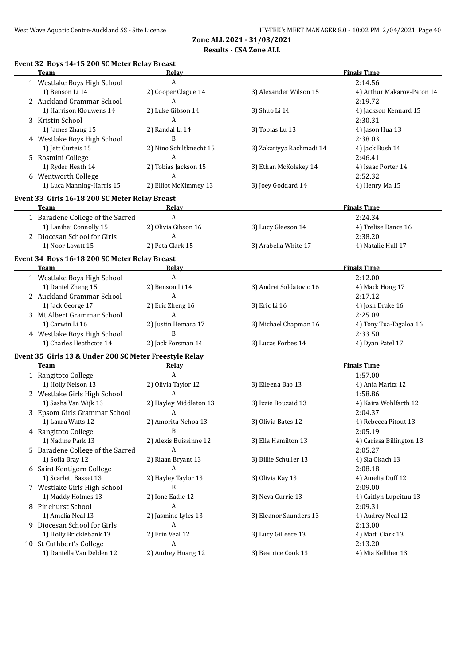#### **Results - CSA Zone ALL**

| <b>Team</b><br>Relay<br>$\mathbf{A}$<br>1 Westlake Boys High School<br>1) Benson Li 14<br>2) Cooper Clague 14<br>3) Alexander Wilson 15<br>2 Auckland Grammar School<br>A<br>2) Luke Gibson 14<br>1) Harrison Klouwens 14<br>3) Shuo Li 14<br>3 Kristin School<br>A<br>1) James Zhang 15<br>2) Randal Li 14<br>3) Tobias Lu 13<br>B<br>4 Westlake Boys High School<br>1) Jett Curteis 15<br>2) Nino Schiltknecht 15<br>3) Zakariyya Rachmadi 14<br>A<br>5 Rosmini College<br>1) Ryder Heath 14<br>2) Tobias Jackson 15<br>3) Ethan McKolskey 14<br>A<br>6 Wentworth College<br>1) Luca Manning-Harris 15<br>2) Elliot McKimmey 13<br>3) Joey Goddard 14<br>Event 33 Girls 16-18 200 SC Meter Relay Breast<br>Team<br>Relav<br>1 Baradene College of the Sacred<br>A<br>1) Lanihei Connolly 15<br>2) Olivia Gibson 16<br>3) Lucy Gleeson 14<br>2 Diocesan School for Girls<br>A<br>2) Peta Clark 15<br>1) Noor Lovatt 15<br>3) Arabella White 17<br>Event 34 Boys 16-18 200 SC Meter Relay Breast<br>Team<br>Relay<br>$\boldsymbol{A}$<br>1 Westlake Boys High School<br>1) Daniel Zheng 15<br>2) Benson Li 14<br>3) Andrei Soldatovic 16<br>$\mathbf{A}$<br>2 Auckland Grammar School<br>1) Jack George 17<br>2) Eric Zheng 16<br>3) Eric Li 16<br>A<br>3 Mt Albert Grammar School | <b>Finals Time</b><br>2:14.56<br>4) Arthur Makarov-Paton 14<br>2:19.72<br>4) Jackson Kennard 15<br>2:30.31<br>4) Jason Hua 13<br>2:38.03<br>4) Jack Bush 14<br>2:46.41<br>4) Isaac Porter 14<br>2:52.32<br>4) Henry Ma 15<br><b>Finals Time</b><br>2:24.34<br>4) Trelise Dance 16<br>2:38.20<br>4) Natalie Hull 17<br><b>Finals Time</b><br>2:12.00<br>4) Mack Hong 17<br>2:17.12 |
|------------------------------------------------------------------------------------------------------------------------------------------------------------------------------------------------------------------------------------------------------------------------------------------------------------------------------------------------------------------------------------------------------------------------------------------------------------------------------------------------------------------------------------------------------------------------------------------------------------------------------------------------------------------------------------------------------------------------------------------------------------------------------------------------------------------------------------------------------------------------------------------------------------------------------------------------------------------------------------------------------------------------------------------------------------------------------------------------------------------------------------------------------------------------------------------------------------------------------------------------------------------------------------|-----------------------------------------------------------------------------------------------------------------------------------------------------------------------------------------------------------------------------------------------------------------------------------------------------------------------------------------------------------------------------------|
|                                                                                                                                                                                                                                                                                                                                                                                                                                                                                                                                                                                                                                                                                                                                                                                                                                                                                                                                                                                                                                                                                                                                                                                                                                                                                    |                                                                                                                                                                                                                                                                                                                                                                                   |
|                                                                                                                                                                                                                                                                                                                                                                                                                                                                                                                                                                                                                                                                                                                                                                                                                                                                                                                                                                                                                                                                                                                                                                                                                                                                                    |                                                                                                                                                                                                                                                                                                                                                                                   |
|                                                                                                                                                                                                                                                                                                                                                                                                                                                                                                                                                                                                                                                                                                                                                                                                                                                                                                                                                                                                                                                                                                                                                                                                                                                                                    |                                                                                                                                                                                                                                                                                                                                                                                   |
|                                                                                                                                                                                                                                                                                                                                                                                                                                                                                                                                                                                                                                                                                                                                                                                                                                                                                                                                                                                                                                                                                                                                                                                                                                                                                    |                                                                                                                                                                                                                                                                                                                                                                                   |
|                                                                                                                                                                                                                                                                                                                                                                                                                                                                                                                                                                                                                                                                                                                                                                                                                                                                                                                                                                                                                                                                                                                                                                                                                                                                                    |                                                                                                                                                                                                                                                                                                                                                                                   |
|                                                                                                                                                                                                                                                                                                                                                                                                                                                                                                                                                                                                                                                                                                                                                                                                                                                                                                                                                                                                                                                                                                                                                                                                                                                                                    |                                                                                                                                                                                                                                                                                                                                                                                   |
|                                                                                                                                                                                                                                                                                                                                                                                                                                                                                                                                                                                                                                                                                                                                                                                                                                                                                                                                                                                                                                                                                                                                                                                                                                                                                    |                                                                                                                                                                                                                                                                                                                                                                                   |
|                                                                                                                                                                                                                                                                                                                                                                                                                                                                                                                                                                                                                                                                                                                                                                                                                                                                                                                                                                                                                                                                                                                                                                                                                                                                                    |                                                                                                                                                                                                                                                                                                                                                                                   |
|                                                                                                                                                                                                                                                                                                                                                                                                                                                                                                                                                                                                                                                                                                                                                                                                                                                                                                                                                                                                                                                                                                                                                                                                                                                                                    |                                                                                                                                                                                                                                                                                                                                                                                   |
|                                                                                                                                                                                                                                                                                                                                                                                                                                                                                                                                                                                                                                                                                                                                                                                                                                                                                                                                                                                                                                                                                                                                                                                                                                                                                    |                                                                                                                                                                                                                                                                                                                                                                                   |
|                                                                                                                                                                                                                                                                                                                                                                                                                                                                                                                                                                                                                                                                                                                                                                                                                                                                                                                                                                                                                                                                                                                                                                                                                                                                                    |                                                                                                                                                                                                                                                                                                                                                                                   |
|                                                                                                                                                                                                                                                                                                                                                                                                                                                                                                                                                                                                                                                                                                                                                                                                                                                                                                                                                                                                                                                                                                                                                                                                                                                                                    |                                                                                                                                                                                                                                                                                                                                                                                   |
|                                                                                                                                                                                                                                                                                                                                                                                                                                                                                                                                                                                                                                                                                                                                                                                                                                                                                                                                                                                                                                                                                                                                                                                                                                                                                    |                                                                                                                                                                                                                                                                                                                                                                                   |
|                                                                                                                                                                                                                                                                                                                                                                                                                                                                                                                                                                                                                                                                                                                                                                                                                                                                                                                                                                                                                                                                                                                                                                                                                                                                                    |                                                                                                                                                                                                                                                                                                                                                                                   |
|                                                                                                                                                                                                                                                                                                                                                                                                                                                                                                                                                                                                                                                                                                                                                                                                                                                                                                                                                                                                                                                                                                                                                                                                                                                                                    |                                                                                                                                                                                                                                                                                                                                                                                   |
|                                                                                                                                                                                                                                                                                                                                                                                                                                                                                                                                                                                                                                                                                                                                                                                                                                                                                                                                                                                                                                                                                                                                                                                                                                                                                    |                                                                                                                                                                                                                                                                                                                                                                                   |
|                                                                                                                                                                                                                                                                                                                                                                                                                                                                                                                                                                                                                                                                                                                                                                                                                                                                                                                                                                                                                                                                                                                                                                                                                                                                                    |                                                                                                                                                                                                                                                                                                                                                                                   |
|                                                                                                                                                                                                                                                                                                                                                                                                                                                                                                                                                                                                                                                                                                                                                                                                                                                                                                                                                                                                                                                                                                                                                                                                                                                                                    |                                                                                                                                                                                                                                                                                                                                                                                   |
|                                                                                                                                                                                                                                                                                                                                                                                                                                                                                                                                                                                                                                                                                                                                                                                                                                                                                                                                                                                                                                                                                                                                                                                                                                                                                    |                                                                                                                                                                                                                                                                                                                                                                                   |
|                                                                                                                                                                                                                                                                                                                                                                                                                                                                                                                                                                                                                                                                                                                                                                                                                                                                                                                                                                                                                                                                                                                                                                                                                                                                                    |                                                                                                                                                                                                                                                                                                                                                                                   |
|                                                                                                                                                                                                                                                                                                                                                                                                                                                                                                                                                                                                                                                                                                                                                                                                                                                                                                                                                                                                                                                                                                                                                                                                                                                                                    |                                                                                                                                                                                                                                                                                                                                                                                   |
|                                                                                                                                                                                                                                                                                                                                                                                                                                                                                                                                                                                                                                                                                                                                                                                                                                                                                                                                                                                                                                                                                                                                                                                                                                                                                    |                                                                                                                                                                                                                                                                                                                                                                                   |
|                                                                                                                                                                                                                                                                                                                                                                                                                                                                                                                                                                                                                                                                                                                                                                                                                                                                                                                                                                                                                                                                                                                                                                                                                                                                                    |                                                                                                                                                                                                                                                                                                                                                                                   |
|                                                                                                                                                                                                                                                                                                                                                                                                                                                                                                                                                                                                                                                                                                                                                                                                                                                                                                                                                                                                                                                                                                                                                                                                                                                                                    |                                                                                                                                                                                                                                                                                                                                                                                   |
|                                                                                                                                                                                                                                                                                                                                                                                                                                                                                                                                                                                                                                                                                                                                                                                                                                                                                                                                                                                                                                                                                                                                                                                                                                                                                    | 4) Josh Drake 16                                                                                                                                                                                                                                                                                                                                                                  |
|                                                                                                                                                                                                                                                                                                                                                                                                                                                                                                                                                                                                                                                                                                                                                                                                                                                                                                                                                                                                                                                                                                                                                                                                                                                                                    | 2:25.09                                                                                                                                                                                                                                                                                                                                                                           |
| 1) Carwin Li 16<br>2) Justin Hemara 17<br>3) Michael Chapman 16                                                                                                                                                                                                                                                                                                                                                                                                                                                                                                                                                                                                                                                                                                                                                                                                                                                                                                                                                                                                                                                                                                                                                                                                                    | 4) Tony Tua-Tagaloa 16                                                                                                                                                                                                                                                                                                                                                            |
| B<br>4 Westlake Boys High School                                                                                                                                                                                                                                                                                                                                                                                                                                                                                                                                                                                                                                                                                                                                                                                                                                                                                                                                                                                                                                                                                                                                                                                                                                                   | 2:33.50                                                                                                                                                                                                                                                                                                                                                                           |
| 1) Charles Heathcote 14<br>3) Lucas Forbes 14<br>2) Jack Forsman 14                                                                                                                                                                                                                                                                                                                                                                                                                                                                                                                                                                                                                                                                                                                                                                                                                                                                                                                                                                                                                                                                                                                                                                                                                | 4) Dyan Patel 17                                                                                                                                                                                                                                                                                                                                                                  |
| Event 35 Girls 13 & Under 200 SC Meter Freestyle Relay                                                                                                                                                                                                                                                                                                                                                                                                                                                                                                                                                                                                                                                                                                                                                                                                                                                                                                                                                                                                                                                                                                                                                                                                                             |                                                                                                                                                                                                                                                                                                                                                                                   |
| <b>Team</b><br><b>Relay</b>                                                                                                                                                                                                                                                                                                                                                                                                                                                                                                                                                                                                                                                                                                                                                                                                                                                                                                                                                                                                                                                                                                                                                                                                                                                        | <b>Finals Time</b>                                                                                                                                                                                                                                                                                                                                                                |
| $\boldsymbol{A}$<br>1 Rangitoto College                                                                                                                                                                                                                                                                                                                                                                                                                                                                                                                                                                                                                                                                                                                                                                                                                                                                                                                                                                                                                                                                                                                                                                                                                                            | 1:57.00                                                                                                                                                                                                                                                                                                                                                                           |
| 1) Holly Nelson 13<br>2) Olivia Taylor 12<br>3) Eileena Bao 13                                                                                                                                                                                                                                                                                                                                                                                                                                                                                                                                                                                                                                                                                                                                                                                                                                                                                                                                                                                                                                                                                                                                                                                                                     | 4) Ania Maritz 12                                                                                                                                                                                                                                                                                                                                                                 |
| A<br>2 Westlake Girls High School                                                                                                                                                                                                                                                                                                                                                                                                                                                                                                                                                                                                                                                                                                                                                                                                                                                                                                                                                                                                                                                                                                                                                                                                                                                  | 1:58.86                                                                                                                                                                                                                                                                                                                                                                           |
| 1) Sasha Van Wijk 13<br>2) Hayley Middleton 13<br>3) Izzie Bouzaid 13                                                                                                                                                                                                                                                                                                                                                                                                                                                                                                                                                                                                                                                                                                                                                                                                                                                                                                                                                                                                                                                                                                                                                                                                              | 4) Kaira Wohlfarth 12                                                                                                                                                                                                                                                                                                                                                             |
| 3 Epsom Girls Grammar School<br>A                                                                                                                                                                                                                                                                                                                                                                                                                                                                                                                                                                                                                                                                                                                                                                                                                                                                                                                                                                                                                                                                                                                                                                                                                                                  | 2:04.37                                                                                                                                                                                                                                                                                                                                                                           |
| 1) Laura Watts 12<br>3) Olivia Bates 12<br>2) Amorita Nehoa 13                                                                                                                                                                                                                                                                                                                                                                                                                                                                                                                                                                                                                                                                                                                                                                                                                                                                                                                                                                                                                                                                                                                                                                                                                     | 4) Rebecca Pitout 13                                                                                                                                                                                                                                                                                                                                                              |
| 4 Rangitoto College<br>B                                                                                                                                                                                                                                                                                                                                                                                                                                                                                                                                                                                                                                                                                                                                                                                                                                                                                                                                                                                                                                                                                                                                                                                                                                                           | 2:05.19                                                                                                                                                                                                                                                                                                                                                                           |
| 1) Nadine Park 13<br>2) Alexis Buissinne 12<br>3) Ella Hamilton 13                                                                                                                                                                                                                                                                                                                                                                                                                                                                                                                                                                                                                                                                                                                                                                                                                                                                                                                                                                                                                                                                                                                                                                                                                 | 4) Carissa Billington 13                                                                                                                                                                                                                                                                                                                                                          |
| 5 Baradene College of the Sacred<br>A                                                                                                                                                                                                                                                                                                                                                                                                                                                                                                                                                                                                                                                                                                                                                                                                                                                                                                                                                                                                                                                                                                                                                                                                                                              | 2:05.27                                                                                                                                                                                                                                                                                                                                                                           |
| 1) Sofia Bray 12<br>2) Riaan Bryant 13<br>3) Billie Schuller 13                                                                                                                                                                                                                                                                                                                                                                                                                                                                                                                                                                                                                                                                                                                                                                                                                                                                                                                                                                                                                                                                                                                                                                                                                    | 4) Sia Okach 13                                                                                                                                                                                                                                                                                                                                                                   |
| A<br>6 Saint Kentigern College                                                                                                                                                                                                                                                                                                                                                                                                                                                                                                                                                                                                                                                                                                                                                                                                                                                                                                                                                                                                                                                                                                                                                                                                                                                     | 2:08.18                                                                                                                                                                                                                                                                                                                                                                           |
| 1) Scarlett Basset 13<br>2) Hayley Taylor 13<br>3) Olivia Kay 13                                                                                                                                                                                                                                                                                                                                                                                                                                                                                                                                                                                                                                                                                                                                                                                                                                                                                                                                                                                                                                                                                                                                                                                                                   | 4) Amelia Duff 12                                                                                                                                                                                                                                                                                                                                                                 |
| B<br>7 Westlake Girls High School                                                                                                                                                                                                                                                                                                                                                                                                                                                                                                                                                                                                                                                                                                                                                                                                                                                                                                                                                                                                                                                                                                                                                                                                                                                  | 2:09.00                                                                                                                                                                                                                                                                                                                                                                           |
| 1) Maddy Holmes 13<br>2) Ione Eadie 12<br>3) Neva Currie 13                                                                                                                                                                                                                                                                                                                                                                                                                                                                                                                                                                                                                                                                                                                                                                                                                                                                                                                                                                                                                                                                                                                                                                                                                        | 4) Caitlyn Lupeituu 13                                                                                                                                                                                                                                                                                                                                                            |
| 8 Pinehurst School<br>A                                                                                                                                                                                                                                                                                                                                                                                                                                                                                                                                                                                                                                                                                                                                                                                                                                                                                                                                                                                                                                                                                                                                                                                                                                                            | 2:09.31                                                                                                                                                                                                                                                                                                                                                                           |
| 1) Amelia Neal 13<br>2) Jasmine Lyles 13<br>3) Eleanor Saunders 13                                                                                                                                                                                                                                                                                                                                                                                                                                                                                                                                                                                                                                                                                                                                                                                                                                                                                                                                                                                                                                                                                                                                                                                                                 | 4) Audrey Neal 12                                                                                                                                                                                                                                                                                                                                                                 |
| 9 Diocesan School for Girls<br>A                                                                                                                                                                                                                                                                                                                                                                                                                                                                                                                                                                                                                                                                                                                                                                                                                                                                                                                                                                                                                                                                                                                                                                                                                                                   | 2:13.00                                                                                                                                                                                                                                                                                                                                                                           |
| 1) Holly Bricklebank 13<br>2) Erin Veal 12<br>3) Lucy Gilleece 13                                                                                                                                                                                                                                                                                                                                                                                                                                                                                                                                                                                                                                                                                                                                                                                                                                                                                                                                                                                                                                                                                                                                                                                                                  | 4) Madi Clark 13                                                                                                                                                                                                                                                                                                                                                                  |
| 10 St Cuthbert's College<br>A                                                                                                                                                                                                                                                                                                                                                                                                                                                                                                                                                                                                                                                                                                                                                                                                                                                                                                                                                                                                                                                                                                                                                                                                                                                      | 2:13.20                                                                                                                                                                                                                                                                                                                                                                           |
| 1) Daniella Van Delden 12<br>2) Audrey Huang 12<br>3) Beatrice Cook 13                                                                                                                                                                                                                                                                                                                                                                                                                                                                                                                                                                                                                                                                                                                                                                                                                                                                                                                                                                                                                                                                                                                                                                                                             | 4) Mia Kelliher 13                                                                                                                                                                                                                                                                                                                                                                |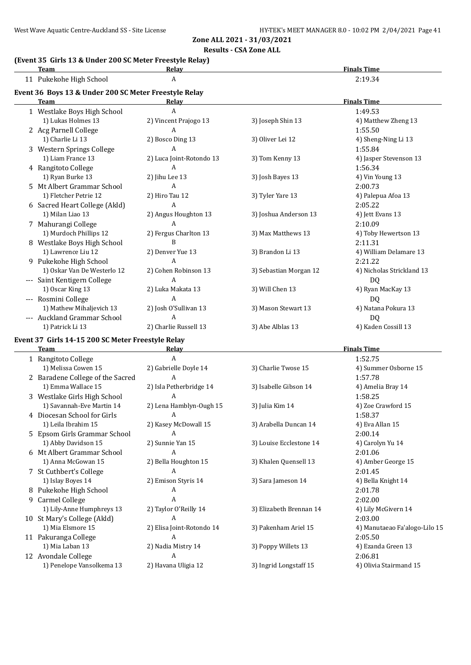#### **(Event 35 Girls 13 & Under 200 SC Meter Freestyle Relay)**

| (Event 33 Julis 13 & Onder 200 3C Meter Preestyle Relay)<br>Team | Relay                    |                        | <b>Finals Time</b>        |
|------------------------------------------------------------------|--------------------------|------------------------|---------------------------|
| 11 Pukekohe High School                                          | A                        |                        | 2:19.34                   |
| Event 36 Boys 13 & Under 200 SC Meter Freestyle Relay            |                          |                        |                           |
| <b>Team</b>                                                      | Relay                    |                        | <b>Finals Time</b>        |
| 1 Westlake Boys High School                                      | A                        |                        | 1:49.53                   |
| 1) Lukas Holmes 13                                               | 2) Vincent Prajogo 13    | 3) Joseph Shin 13      | 4) Matthew Zheng 13       |
| 2 Acg Parnell College                                            | $\overline{A}$           |                        | 1:55.50                   |
| 1) Charlie Li 13                                                 | 2) Bosco Ding 13         | 3) Oliver Lei 12       | 4) Sheng-Ning Li 13       |
| 3 Western Springs College                                        | A                        |                        | 1:55.84                   |
| 1) Liam France 13                                                | 2) Luca Joint-Rotondo 13 | 3) Tom Kenny 13        | 4) Jasper Stevenson 13    |
| 4 Rangitoto College                                              | A                        |                        | 1:56.34                   |
| 1) Ryan Burke 13                                                 | 2) Jihu Lee 13           | 3) Josh Bayes 13       | 4) Vin Young 13           |
| 5 Mt Albert Grammar School                                       | A                        |                        | 2:00.73                   |
| 1) Fletcher Petrie 12                                            | 2) Hiro Tau 12           | 3) Tyler Yare 13       | 4) Palepua Afoa 13        |
| 6 Sacred Heart College (Akld)                                    | A                        |                        | 2:05.22                   |
| 1) Milan Liao 13                                                 | 2) Angus Houghton 13     | 3) Joshua Anderson 13  | 4) Jett Evans 13          |
| 7 Mahurangi College                                              | A                        |                        | 2:10.09                   |
| 1) Murdoch Phillips 12                                           | 2) Fergus Charlton 13    | 3) Max Matthews 13     | 4) Toby Hewertson 13      |
| 8 Westlake Boys High School                                      | B                        |                        | 2:11.31                   |
| 1) Lawrence Liu 12                                               | 2) Denver Yue 13         | 3) Brandon Li 13       | 4) William Delamare 13    |
| 9 Pukekohe High School                                           | A                        |                        | 2:21.22                   |
| 1) Oskar Van De Westerlo 12                                      | 2) Cohen Robinson 13     | 3) Sebastian Morgan 12 | 4) Nicholas Strickland 13 |
| Saint Kentigern College                                          | A                        |                        | D <sub>0</sub>            |
| 1) Oscar King 13                                                 | 2) Luka Makata 13        | 3) Will Chen 13        | 4) Ryan MacKay 13         |
| --- Rosmini College                                              | A                        |                        | D <sub>0</sub>            |
| 1) Mathew Mihaljevich 13                                         | 2) Josh O'Sullivan 13    | 3) Mason Stewart 13    | 4) Natana Pokura 13       |
| --- Auckland Grammar School                                      | A                        |                        | DQ                        |
| 1) Patrick Li 13                                                 | 2) Charlie Russell 13    | 3) Abe Alblas 13       | 4) Kaden Cossill 13       |
| Event 37 Girls 14-15 200 SC Meter Freestyle Relay                |                          |                        |                           |
| <b>Team</b>                                                      | Relay                    |                        | <b>Finals Time</b>        |

|    | гсаш                             | nciav                     |                         | гшатэ типе                    |
|----|----------------------------------|---------------------------|-------------------------|-------------------------------|
|    | 1 Rangitoto College              | A                         |                         | 1:52.75                       |
|    | 1) Melissa Cowen 15              | 2) Gabrielle Doyle 14     | 3) Charlie Twose 15     | 4) Summer Osborne 15          |
|    | 2 Baradene College of the Sacred | A                         |                         | 1:57.78                       |
|    | 1) Emma Wallace 15               | 2) Isla Petherbridge 14   | 3) Isabelle Gibson 14   | 4) Amelia Bray 14             |
|    | 3 Westlake Girls High School     | A                         |                         | 1:58.25                       |
|    | 1) Savannah-Eve Martin 14        | 2) Lena Hamblyn-Ough 15   | 3) Julia Kim 14         | 4) Zoe Crawford 15            |
|    | 4 Diocesan School for Girls      | A                         |                         | 1:58.37                       |
|    | 1) Leila Ibrahim 15              | 2) Kasey McDowall 15      | 3) Arabella Duncan 14   | 4) Eva Allan 15               |
| 5. | Epsom Girls Grammar School       | A                         |                         | 2:00.14                       |
|    | 1) Abby Davidson 15              | 2) Sunnie Yan 15          | 3) Louise Ecclestone 14 | 4) Carolyn Yu 14              |
| 6  | Mt Albert Grammar School         | A                         |                         | 2:01.06                       |
|    | 1) Anna McGowan 15               | 2) Bella Houghton 15      | 3) Khalen Quensell 13   | 4) Amber George 15            |
| 7  | St Cuthbert's College            | A                         |                         | 2:01.45                       |
|    | 1) Islay Boyes 14                | 2) Emison Styris 14       | 3) Sara Jameson 14      | 4) Bella Knight 14            |
| 8  | Pukekohe High School             | A                         |                         | 2:01.78                       |
| 9  | Carmel College                   | A                         |                         | 2:02.00                       |
|    | 1) Lily-Anne Humphreys 13        | 2) Taylor O'Reilly 14     | 3) Elizabeth Brennan 14 | 4) Lily McGivern 14           |
|    | 10 St Mary's College (Akld)      | A                         |                         | 2:03.00                       |
|    | 1) Mia Elsmore 15                | 2) Elisa Joint-Rotondo 14 | 3) Pakenham Ariel 15    | 4) Manutaeao Fa'alogo-Lilo 15 |
|    | 11 Pakuranga College             | A                         |                         | 2:05.50                       |
|    | 1) Mia Laban 13                  | 2) Nadia Mistry 14        | 3) Poppy Willets 13     | 4) Ezanda Green 13            |
|    | 12 Avondale College              | A                         |                         | 2:06.81                       |
|    | 1) Penelope Vansolkema 13        | 2) Havana Uligia 12       | 3) Ingrid Longstaff 15  | 4) Olivia Stairmand 15        |
|    |                                  |                           |                         |                               |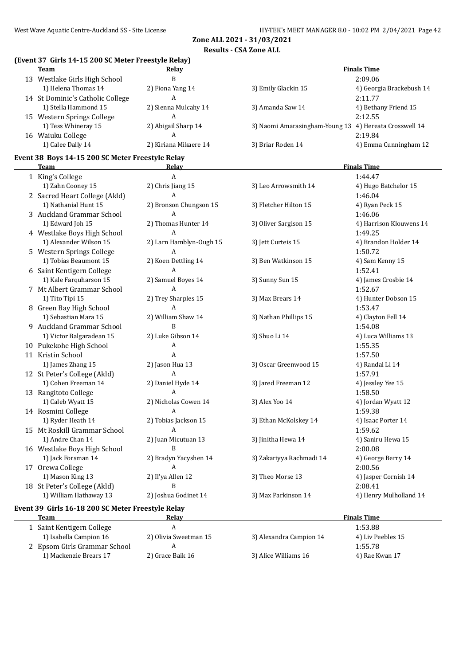#### **Results - CSA Zone ALL**

## **(Event 37 Girls 14-15 200 SC Meter Freestyle Relay)**

| <b>Team</b>                      | Relay                 |                                                        | <b>Finals Time</b>       |
|----------------------------------|-----------------------|--------------------------------------------------------|--------------------------|
| 13 Westlake Girls High School    | B                     |                                                        | 2:09.06                  |
| 1) Helena Thomas 14              | 2) Fiona Yang 14      | 3) Emily Glackin 15                                    | 4) Georgia Brackebush 14 |
| 14 St Dominic's Catholic College | A                     |                                                        | 2:11.77                  |
| 1) Stella Hammond 15             | 2) Sienna Mulcahy 14  | 3) Amanda Saw 14                                       | 4) Bethany Friend 15     |
| 15 Western Springs College       | A                     |                                                        | 2:12.55                  |
| 1) Tess Whineray 15              | 2) Abigail Sharp 14   | 3) Naomi Amarasingham-Young 13 4) Hereata Crosswell 14 |                          |
| 16 Waiuku College                | A                     |                                                        | 2:19.84                  |
| 1) Calee Dally 14                | 2) Kiriana Mikaere 14 | 3) Briar Roden 14                                      | 4) Emma Cunningham 12    |
|                                  |                       |                                                        |                          |

#### **Event 38 Boys 14-15 200 SC Meter Freestyle Relay**

| <b>Team</b>                                       | <b>Relay</b>              |                          | <b>Finals Time</b>      |
|---------------------------------------------------|---------------------------|--------------------------|-------------------------|
| 1 King's College                                  | $\boldsymbol{\mathsf{A}}$ |                          | 1:44.47                 |
| 1) Zahn Cooney 15                                 | 2) Chris Jiang 15         | 3) Leo Arrowsmith 14     | 4) Hugo Batchelor 15    |
| 2 Sacred Heart College (Akld)                     | $\mathbf{A}$              |                          | 1:46.04                 |
| 1) Nathanial Hunt 15                              | 2) Bronson Chungson 15    | 3) Fletcher Hilton 15    | 4) Ryan Peck 15         |
| 3 Auckland Grammar School                         | $\mathbf{A}$              |                          | 1:46.06                 |
| 1) Edward Joh 15                                  | 2) Thomas Hunter 14       | 3) Oliver Sargison 15    | 4) Harrison Klouwens 14 |
| 4 Westlake Boys High School                       | A                         |                          | 1:49.25                 |
| 1) Alexander Wilson 15                            | 2) Larn Hamblyn-Ough 15   | 3) Jett Curteis 15       | 4) Brandon Holder 14    |
| 5 Western Springs College                         | $\mathbf{A}$              |                          | 1:50.72                 |
| 1) Tobias Beaumont 15                             | 2) Koen Dettling 14       | 3) Ben Watkinson 15      | 4) Sam Kenny 15         |
| 6 Saint Kentigern College                         | $\mathsf{A}$              |                          | 1:52.41                 |
| 1) Kale Farquharson 15                            | 2) Samuel Boyes 14        | 3) Sunny Sun 15          | 4) James Crosbie 14     |
| 7 Mt Albert Grammar School                        | $\overline{A}$            |                          | 1:52.67                 |
| 1) Tito Tipi 15                                   | 2) Trey Sharples 15       | 3) Max Brears 14         | 4) Hunter Dobson 15     |
| 8 Green Bay High School                           | A                         |                          | 1:53.47                 |
| 1) Sebastian Mara 15                              | 2) William Shaw 14        | 3) Nathan Phillips 15    | 4) Clayton Fell 14      |
| 9 Auckland Grammar School                         | $\mathbf{B}$              |                          | 1:54.08                 |
| 1) Victor Balgaradean 15                          | 2) Luke Gibson 14         | 3) Shuo Li 14            | 4) Luca Williams 13     |
| 10 Pukekohe High School                           | A                         |                          | 1:55.35                 |
| 11 Kristin School                                 | A                         |                          | 1:57.50                 |
| 1) James Zhang 15                                 | 2) Jason Hua 13           | 3) Oscar Greenwood 15    | 4) Randal Li 14         |
| 12 St Peter's College (Akld)                      | $\mathbf{A}$              |                          | 1:57.91                 |
| 1) Cohen Freeman 14                               | 2) Daniel Hyde 14         | 3) Jared Freeman 12      | 4) Jessley Yee 15       |
| 13 Rangitoto College                              | $\overline{A}$            |                          | 1:58.50                 |
| 1) Caleb Wyatt 15                                 | 2) Nicholas Cowen 14      | 3) Alex Yoo 14           | 4) Jordan Wyatt 12      |
| 14 Rosmini College                                | A                         |                          | 1:59.38                 |
| 1) Ryder Heath 14                                 | 2) Tobias Jackson 15      | 3) Ethan McKolskey 14    | 4) Isaac Porter 14      |
| 15 Mt Roskill Grammar School                      | $\overline{A}$            |                          | 1:59.62                 |
| 1) Andre Chan 14                                  | 2) Juan Micutuan 13       | 3) Jinitha Hewa 14       | 4) Saniru Hewa 15       |
| 16 Westlake Boys High School                      | $\mathbf{B}$              |                          | 2:00.08                 |
| 1) Jack Forsman 14                                | 2) Bradyn Yacyshen 14     | 3) Zakariyya Rachmadi 14 | 4) George Berry 14      |
| 17 Orewa College                                  | A                         |                          | 2:00.56                 |
| 1) Mason King 13                                  | 2) Il'ya Allen 12         | 3) Theo Morse 13         | 4) Jasper Cornish 14    |
| 18 St Peter's College (Akld)                      | $\overline{B}$            |                          | 2:08.41                 |
| 1) William Hathaway 13                            | 2) Joshua Godinet 14      | 3) Max Parkinson 14      | 4) Henry Mulholland 14  |
| Event 39 Girls 16-18 200 SC Meter Freestyle Relay |                           |                          |                         |

| Team                         | <b>Relav</b>          |                         | <b>Finals Time</b> |
|------------------------------|-----------------------|-------------------------|--------------------|
| Saint Kentigern College      |                       |                         | 1:53.88            |
| 1) Isabella Campion 16       | 2) Olivia Sweetman 15 | 3) Alexandra Campion 14 | 4) Liv Peebles 15  |
| 2 Epsom Girls Grammar School |                       |                         | 1:55.78            |
| 1) Mackenzie Brears 17       | 2) Grace Baik 16      | 3) Alice Williams 16    | 4) Rae Kwan 17     |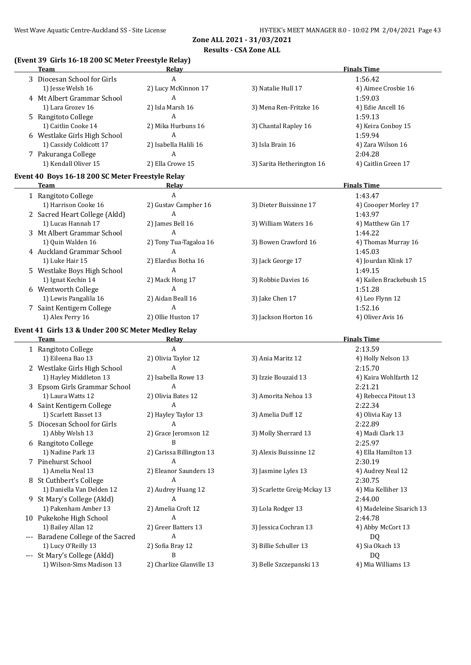#### **Results - CSA Zone ALL**

## **(Event 39 Girls 16-18 200 SC Meter Freestyle Relay)**

|   | <b>Team</b>                                         | Relay                    |                             | <b>Finals Time</b>       |
|---|-----------------------------------------------------|--------------------------|-----------------------------|--------------------------|
|   | 3 Diocesan School for Girls                         | A                        |                             | 1:56.42                  |
|   | 1) Jesse Welsh 16                                   | 2) Lucy McKinnon 17      | 3) Natalie Hull 17          | 4) Aimee Crosbie 16      |
|   | 4 Mt Albert Grammar School                          | A                        |                             | 1:59.03                  |
|   | 1) Lara Grozev 16                                   | 2) Isla Marsh 16         | 3) Mena Ren-Fritzke 16      | 4) Edie Ancell 16        |
|   | 5 Rangitoto College                                 | A                        |                             | 1:59.13                  |
|   | 1) Caitlin Cooke 14                                 | 2) Mika Hurbuns 16       | 3) Chantal Rapley 16        | 4) Keira Conboy 15       |
|   | 6 Westlake Girls High School                        | A                        |                             | 1:59.94                  |
|   |                                                     |                          |                             |                          |
|   | 1) Cassidy Coldicott 17                             | 2) Isabella Halili 16    | 3) Isla Brain 16            | 4) Zara Wilson 16        |
|   | 7 Pakuranga College                                 | A                        |                             | 2:04.28                  |
|   | 1) Kendall Oliver 15                                | 2) Ella Crowe 15         | 3) Sarita Hetherington 16   | 4) Caitlin Green 17      |
|   | Event 40 Boys 16-18 200 SC Meter Freestyle Relay    |                          |                             |                          |
|   | <b>Team</b>                                         | Relay                    |                             | <b>Finals Time</b>       |
|   | 1 Rangitoto College                                 | A                        |                             | 1:43.47                  |
|   | 1) Harrison Cooke 16                                | 2) Gustav Campher 16     | 3) Dieter Buissinne 17      | 4) Coooper Morley 17     |
|   | 2 Sacred Heart College (Akld)                       | A                        |                             | 1:43.97                  |
|   | 1) Lucas Hannah 17                                  | 2) James Bell 16         | 3) William Waters 16        | 4) Matthew Gin 17        |
|   | 3 Mt Albert Grammar School                          | A                        |                             | 1:44.22                  |
|   | 1) Quin Walden 16                                   | 2) Tony Tua-Tagaloa 16   | 3) Bowen Crawford 16        | 4) Thomas Murray 16      |
|   | 4 Auckland Grammar School                           | A                        |                             | 1:45.03                  |
|   | 1) Luke Hair 15                                     | 2) Elardus Botha 16      |                             | 4) Jourdan Klink 17      |
|   |                                                     |                          | 3) Jack George 17           |                          |
|   | 5 Westlake Boys High School                         | A                        |                             | 1:49.15                  |
|   | 1) Ignat Kechin 14                                  | 2) Mack Hong 17          | 3) Robbie Davies 16         | 4) Kailen Brackebush 15  |
|   | 6 Wentworth College                                 | A                        |                             | 1:51.28                  |
|   | 1) Lewis Pangalila 16                               | 2) Aidan Beall 16        | 3) Jake Chen 17             | 4) Leo Flynn 12          |
|   | 7 Saint Kentigern College                           | A                        |                             | 1:52.16                  |
|   | 1) Alex Perry 16                                    | 2) Ollie Huston 17       | 3) Jackson Horton 16        | 4) Oliver Avis 16        |
|   | Event 41 Girls 13 & Under 200 SC Meter Medley Relay |                          |                             |                          |
|   | <b>Team</b>                                         | Relay                    |                             | <b>Finals Time</b>       |
|   | 1 Rangitoto College                                 | A                        |                             | 2:13.59                  |
|   | 1) Eileena Bao 13                                   | 2) Olivia Taylor 12      | 3) Ania Maritz 12           | 4) Holly Nelson 13       |
|   | 2 Westlake Girls High School                        | A                        |                             | 2:15.70                  |
|   | 1) Hayley Middleton 13                              | 2) Isabella Rowe 13      | 3) Izzie Bouzaid 13         | 4) Kaira Wohlfarth 12    |
|   | 3 Epsom Girls Grammar School                        | A                        |                             | 2:21.21                  |
|   | 1) Laura Watts 12                                   | 2) Olivia Bates 12       | 3) Amorita Nehoa 13         | 4) Rebecca Pitout 13     |
|   |                                                     | A                        |                             | 2:22.34                  |
|   | 4 Saint Kentigern College<br>1) Scarlett Basset 13  |                          |                             |                          |
|   |                                                     | 2) Hayley Taylor 13      | 3) Amelia Duff 12           | 4) Olivia Kay 13         |
| 5 | Diocesan School for Girls                           | A                        |                             | 2:22.89                  |
|   | 1) Abby Welsh 13                                    | 2) Grace Jeromson 12     | 3) Molly Sherrard 13        | 4) Madi Clark 13         |
|   | 6 Rangitoto College                                 | B                        |                             | 2:25.97                  |
|   | 1) Nadine Park 13                                   | 2) Carissa Billington 13 | 3) Alexis Buissinne 12      | 4) Ella Hamilton 13      |
|   | 7 Pinehurst School                                  | A                        |                             | 2:30.19                  |
|   | 1) Amelia Neal 13                                   | 2) Eleanor Saunders 13   | 3) Jasmine Lyles 13         | 4) Audrey Neal 12        |
|   | 8 St Cuthbert's College                             | A                        |                             | 2:30.75                  |
|   | 1) Daniella Van Delden 12                           | 2) Audrey Huang 12       | 3) Scarlette Greig-Mckay 13 | 4) Mia Kelliher 13       |
|   | 9 St Mary's College (Akld)                          | A                        |                             | 2:44.00                  |
|   | 1) Pakenham Amber 13                                | 2) Amelia Croft 12       | 3) Lola Rodger 13           | 4) Madeleine Sisarich 13 |
|   | 10 Pukekohe High School                             | A                        |                             | 2:44.78                  |
|   | 1) Bailey Allan 12                                  | 2) Greer Batters 13      | 3) Jessica Cochran 13       | 4) Abby McCort 13        |
|   | --- Baradene College of the Sacred                  | Α                        |                             | DQ                       |
|   | 1) Lucy O'Reilly 13                                 | 2) Sofia Bray 12         | 3) Billie Schuller 13       | 4) Sia Okach 13          |
|   | --- St Mary's College (Akld)                        | B                        |                             | DQ                       |
|   | 1) Wilson-Sims Madison 13                           | 2) Charlize Glanville 13 | 3) Belle Szczepanski 13     | 4) Mia Williams 13       |
|   |                                                     |                          |                             |                          |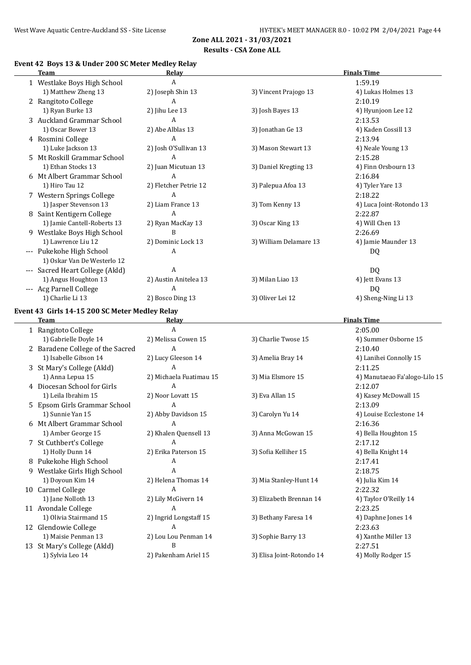## **Results - CSA Zone ALL**

### **Event 42 Boys 13 & Under 200 SC Meter Medley Relay**

| Team                                              | <b>Relay</b>                               |                           | <b>Finals Time</b>            |
|---------------------------------------------------|--------------------------------------------|---------------------------|-------------------------------|
| 1 Westlake Boys High School                       | A                                          |                           | 1:59.19                       |
| 1) Matthew Zheng 13                               | 2) Joseph Shin 13                          | 3) Vincent Prajogo 13     | 4) Lukas Holmes 13            |
| 2 Rangitoto College                               | A                                          |                           | 2:10.19                       |
| 1) Ryan Burke 13                                  | 2) Jihu Lee 13                             | 3) Josh Bayes 13          | 4) Hyunjoon Lee 12            |
| 3 Auckland Grammar School                         | A                                          |                           | 2:13.53                       |
| 1) Oscar Bower 13                                 | 2) Abe Alblas 13                           | 3) Jonathan Ge 13         | 4) Kaden Cossill 13           |
| 4 Rosmini College                                 | A                                          |                           | 2:13.94                       |
| 1) Luke Jackson 13                                | 2) Josh O'Sullivan 13                      | 3) Mason Stewart 13       | 4) Neale Young 13             |
| 5 Mt Roskill Grammar School                       | A                                          |                           | 2:15.28                       |
| 1) Ethan Stocks 13                                | 2) Juan Micutuan 13                        | 3) Daniel Kregting 13     | 4) Finn Orsbourn 13           |
| 6 Mt Albert Grammar School                        | $\mathbf{A}$                               |                           | 2:16.84                       |
| 1) Hiro Tau 12                                    | 2) Fletcher Petrie 12                      | 3) Palepua Afoa 13        | 4) Tyler Yare 13              |
| 7 Western Springs College                         | $\mathbf{A}$                               |                           | 2:18.22                       |
| 1) Jasper Stevenson 13                            | 2) Liam France 13                          | 3) Tom Kenny 13           | 4) Luca Joint-Rotondo 13      |
| 8 Saint Kentigern College                         | $\mathbf{A}$                               |                           | 2:22.87                       |
| 1) Jamie Cantell-Roberts 13                       | 2) Ryan MacKay 13                          | 3) Oscar King 13          | 4) Will Chen 13               |
|                                                   | B                                          |                           | 2:26.69                       |
| 9 Westlake Boys High School<br>1) Lawrence Liu 12 |                                            |                           |                               |
|                                                   | 2) Dominic Lock 13                         | 3) William Delamare 13    | 4) Jamie Maunder 13           |
| --- Pukekohe High School                          | A                                          |                           | DQ                            |
| 1) Oskar Van De Westerlo 12                       | $\mathbf{A}$                               |                           |                               |
| --- Sacred Heart College (Akld)                   |                                            |                           | DQ                            |
| 1) Angus Houghton 13                              | 2) Austin Anitelea 13                      | 3) Milan Liao 13          | 4) Jett Evans 13              |
| --- Acg Parnell College                           | $\overline{A}$                             |                           | DQ                            |
| 1) Charlie Li 13                                  | 2) Bosco Ding 13                           | 3) Oliver Lei 12          | 4) Sheng-Ning Li 13           |
| Event 43 Girls 14-15 200 SC Meter Medley Relay    |                                            |                           |                               |
|                                                   |                                            |                           |                               |
| <b>Team</b>                                       | Relay                                      |                           | <b>Finals Time</b>            |
| 1 Rangitoto College                               | A                                          |                           | 2:05.00                       |
| 1) Gabrielle Doyle 14                             | 2) Melissa Cowen 15                        | 3) Charlie Twose 15       | 4) Summer Osborne 15          |
| 2 Baradene College of the Sacred                  | A                                          |                           | 2:10.40                       |
| 1) Isabelle Gibson 14                             | 2) Lucy Gleeson 14                         | 3) Amelia Bray 14         | 4) Lanihei Connolly 15        |
| 3 St Mary's College (Akld)                        | A                                          |                           | 2:11.25                       |
| 1) Anna Lepua 15                                  | 2) Michaela Fuatimau 15                    | 3) Mia Elsmore 15         | 4) Manutaeao Fa'alogo-Lilo 15 |
| 4 Diocesan School for Girls                       | A                                          |                           | 2:12.07                       |
| 1) Leila Ibrahim 15                               | 2) Noor Lovatt 15                          | 3) Eva Allan 15           | 4) Kasey McDowall 15          |
| 5 Epsom Girls Grammar School                      | A                                          |                           | 2:13.09                       |
| 1) Sunnie Yan 15                                  | 2) Abby Davidson 15                        | 3) Carolyn Yu 14          | 4) Louise Ecclestone 14       |
| 6 Mt Albert Grammar School                        | A                                          |                           | 2:16.36                       |
| 1) Amber George 15                                | 2) Khalen Quensell 13                      | 3) Anna McGowan 15        | 4) Bella Houghton 15          |
| 7 St Cuthbert's College                           | A                                          |                           | 2:17.12                       |
| 1) Holly Dunn 14                                  | 2) Erika Paterson 15                       | 3) Sofia Kelliher 15      | 4) Bella Knight 14            |
| 8 Pukekohe High School                            | А                                          |                           | 2:17.41                       |
| 9 Westlake Girls High School                      | A                                          |                           | 2:18.75                       |
| 1) Doyoun Kim 14                                  | 2) Helena Thomas 14                        | 3) Mia Stanley-Hunt 14    | 4) Julia Kim 14               |
|                                                   | A                                          |                           |                               |
| 10 Carmel College                                 |                                            | 3) Elizabeth Brennan 14   | 2:22.32                       |
| 1) Jane Nolloth 13                                | 2) Lily McGivern 14<br>A                   |                           | 4) Taylor O'Reilly 14         |
| 11 Avondale College                               |                                            |                           | 2:23.25                       |
| 1) Olivia Stairmand 15                            | 2) Ingrid Longstaff 15<br>$\boldsymbol{A}$ | 3) Bethany Faresa 14      | 4) Daphne Jones 14            |
| 12 Glendowie College                              |                                            |                           | 2:23.63                       |
| 1) Maisie Penman 13                               | 2) Lou Lou Penman 14<br>B                  | 3) Sophie Barry 13        | 4) Xanthe Miller 13           |
| 13 St Mary's College (Akld)<br>1) Sylvia Leo 14   | 2) Pakenham Ariel 15                       | 3) Elisa Joint-Rotondo 14 | 2:27.51<br>4) Molly Rodger 15 |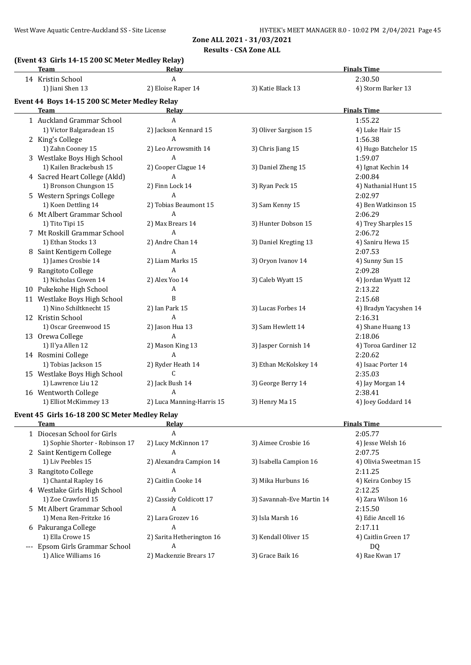**Results - CSA Zone ALL**

#### **(Event 43 Girls 14-15 200 SC Meter Medley Relay)**

| Team                                           | <u>Relav</u>              |                           | <b>Finals Time</b>    |
|------------------------------------------------|---------------------------|---------------------------|-----------------------|
| 14 Kristin School                              | A                         |                           | 2:30.50               |
| 1) Jiani Shen 13                               | 2) Eloise Raper 14        | 3) Katie Black 13         | 4) Storm Barker 13    |
| Event 44 Boys 14-15 200 SC Meter Medley Relay  |                           |                           |                       |
| Team                                           | Relay                     |                           | <b>Finals Time</b>    |
| 1 Auckland Grammar School                      | $\overline{A}$            |                           | 1:55.22               |
| 1) Victor Balgaradean 15                       | 2) Jackson Kennard 15     | 3) Oliver Sargison 15     | 4) Luke Hair 15       |
| 2 King's College                               | A                         |                           | 1:56.38               |
| 1) Zahn Cooney 15                              | 2) Leo Arrowsmith 14      | 3) Chris Jiang 15         | 4) Hugo Batchelor 15  |
| 3 Westlake Boys High School                    | Α                         |                           | 1:59.07               |
| 1) Kailen Brackebush 15                        | 2) Cooper Clague 14       | 3) Daniel Zheng 15        | 4) Ignat Kechin 14    |
| 4 Sacred Heart College (Akld)                  | Α                         |                           | 2:00.84               |
| 1) Bronson Chungson 15                         | 2) Finn Lock 14           | 3) Ryan Peck 15           | 4) Nathanial Hunt 15  |
| 5 Western Springs College                      | Α                         |                           | 2:02.97               |
| 1) Koen Dettling 14                            | 2) Tobias Beaumont 15     | 3) Sam Kenny 15           | 4) Ben Watkinson 15   |
| 6 Mt Albert Grammar School                     | Α                         |                           | 2:06.29               |
| 1) Tito Tipi 15                                | 2) Max Brears 14          | 3) Hunter Dobson 15       | 4) Trey Sharples 15   |
| 7 Mt Roskill Grammar School                    | A                         |                           | 2:06.72               |
| 1) Ethan Stocks 13                             | 2) Andre Chan 14          | 3) Daniel Kregting 13     | 4) Saniru Hewa 15     |
| 8 Saint Kentigern College                      | A                         |                           | 2:07.53               |
| 1) James Crosbie 14                            | 2) Liam Marks 15          | 3) Oryon Ivanov 14        | 4) Sunny Sun 15       |
| 9 Rangitoto College                            | A                         |                           | 2:09.28               |
| 1) Nicholas Cowen 14                           | 2) Alex Yoo 14            | 3) Caleb Wyatt 15         | 4) Jordan Wyatt 12    |
| 10 Pukekohe High School                        | Α                         |                           | 2:13.22               |
| 11 Westlake Boys High School                   | B                         |                           | 2:15.68               |
| 1) Nino Schiltknecht 15                        | 2) Ian Park 15            | 3) Lucas Forbes 14        | 4) Bradyn Yacyshen 14 |
| 12 Kristin School                              | A                         |                           | 2:16.31               |
| 1) Oscar Greenwood 15                          | 2) Jason Hua 13           | 3) Sam Hewlett 14         | 4) Shane Huang 13     |
| 13 Orewa College                               | A                         |                           | 2:18.06               |
| 1) Il'ya Allen 12                              | 2) Mason King 13          | 3) Jasper Cornish 14      | 4) Toroa Gardiner 12  |
| 14 Rosmini College                             | A                         |                           | 2:20.62               |
| 1) Tobias Jackson 15                           | 2) Ryder Heath 14         | 3) Ethan McKolskey 14     | 4) Isaac Porter 14    |
| 15 Westlake Boys High School                   | C                         |                           | 2:35.03               |
| 1) Lawrence Liu 12                             | 2) Jack Bush 14           | 3) George Berry 14        | 4) Jay Morgan 14      |
| 16 Wentworth College                           | A                         |                           | 2:38.41               |
| 1) Elliot McKimmey 13                          | 2) Luca Manning-Harris 15 | 3) Henry Ma 15            | 4) Joey Goddard 14    |
|                                                |                           |                           |                       |
| Event 45 Girls 16-18 200 SC Meter Medley Relay |                           |                           |                       |
| <b>Team</b>                                    | <b>Relay</b>              |                           | <b>Finals Time</b>    |
| 1 Diocesan School for Girls                    | A                         |                           | 2:05.77               |
| 1) Sophie Shorter - Robinson 17                | 2) Lucy McKinnon 17       | 3) Aimee Crosbie 16       | 4) Jesse Welsh 16     |
| 2 Saint Kentigern College                      | A                         |                           | 2:07.75               |
| 1) Liv Peebles 15                              | 2) Alexandra Campion 14   | 3) Isabella Campion 16    | 4) Olivia Sweetman 15 |
| 3 Rangitoto College                            | A                         |                           | 2:11.25               |
| 1) Chantal Rapley 16                           | 2) Caitlin Cooke 14       | 3) Mika Hurbuns 16        | 4) Keira Conboy 15    |
| 4 Westlake Girls High School                   | A                         |                           | 2:12.25               |
| 1) Zoe Crawford 15                             | 2) Cassidy Coldicott 17   | 3) Savannah-Eve Martin 14 | 4) Zara Wilson 16     |
| 5 Mt Albert Grammar School                     | A                         |                           | 2:15.50               |
| 1) Mena Ren-Fritzke 16                         | 2) Lara Grozev 16         | 3) Isla Marsh 16          | 4) Edie Ancell 16     |
| 6 Pakuranga College                            | A                         |                           | 2:17.11               |
| 1) Ella Crowe 15                               | 2) Sarita Hetherington 16 | 3) Kendall Oliver 15      | 4) Caitlin Green 17   |
| --- Epsom Girls Grammar School                 | A                         |                           | DQ                    |
| 1) Alice Williams 16                           | 2) Mackenzie Brears 17    | 3) Grace Baik 16          | 4) Rae Kwan 17        |